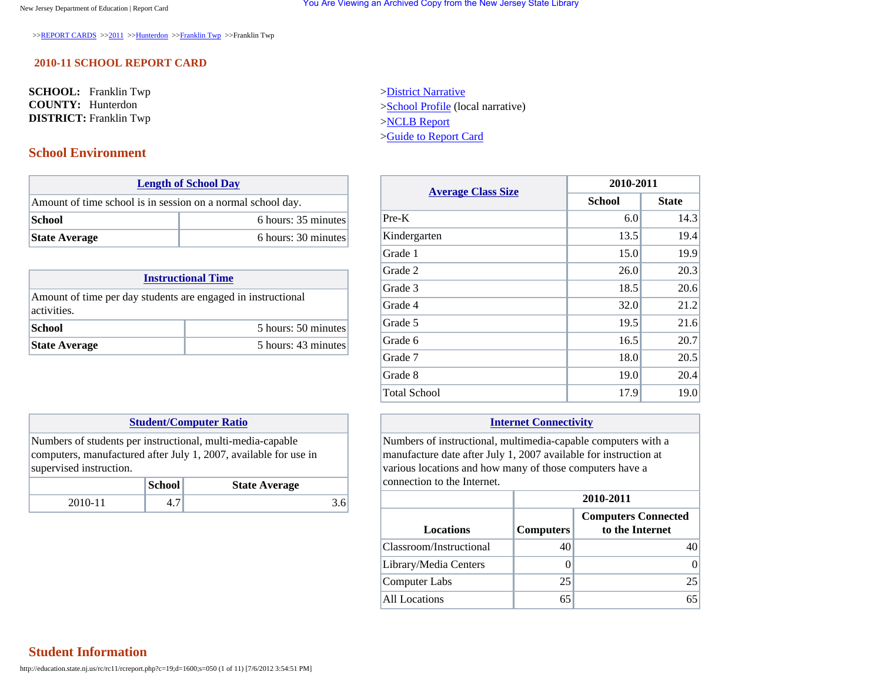>>[REPORT CARDS](http://education.state.nj.us/rc/index.html) >>[2011](http://education.state.nj.us/rc/rc11/) >[>Hunterdon](http://education.state.nj.us/rc/rc11/nav.php?c=19) >>[Franklin Twp](http://education.state.nj.us/rc/rc11/nav.php?c=19;d=1600) >>Franklin Twp

### **2010-11 SCHOOL REPORT CARD**

**SCHOOL:** Franklin Twp **COUNTY:** Hunterdon **DISTRICT:** Franklin Twp

## **School Environment**

|                                                             | <b>Length of School Day</b> |  |  |
|-------------------------------------------------------------|-----------------------------|--|--|
| Amount of time school is in session on a normal school day. |                             |  |  |
| School                                                      | 6 hours: 35 minutes         |  |  |
| <b>State Average</b>                                        | 6 hours: 30 minutes         |  |  |

| <b>Instructional Time</b>                                                   |                     |  |
|-----------------------------------------------------------------------------|---------------------|--|
| Amount of time per day students are engaged in instructional<br>activities. |                     |  |
| School                                                                      | 5 hours: 50 minutes |  |
| <b>State Average</b>                                                        | 5 hours: 43 minutes |  |

### **[Student/Computer Ratio](javascript:void(0))**

Numbers of students per instructional, multi-media-capable computers, manufactured after July 1, 2007, available for use in supervised instruction.

|       | School | <b>State Average</b> |
|-------|--------|----------------------|
| 2010- | т. 1   |                      |

[>District Narrative](http://education.state.nj.us/rc/rc11/narrative/19/1600/19-1600-000.html) [>School Profile](http://education.state.nj.us/rc/rc11/narrative/19/1600/19-1600-050.html) (local narrative) [>NCLB Report](http://education.state.nj.us/rc/nclb/index.html) [>Guide to Report Card](http://education.state.nj.us/rc/rc11/guide.htm)

| <b>Average Class Size</b> | 2010-2011     |              |  |
|---------------------------|---------------|--------------|--|
|                           | <b>School</b> | <b>State</b> |  |
| $Pre-K$                   | 6.0           | 14.3         |  |
| Kindergarten              | 13.5          | 19.4         |  |
| Grade 1                   | 15.0          | 19.9         |  |
| Grade 2                   | 26.0          | 20.3         |  |
| Grade 3                   | 18.5          | 20.6         |  |
| Grade 4                   | 32.0          | 21.2         |  |
| Grade 5                   | 19.5          | 21.6         |  |
| Grade 6                   | 16.5          | 20.7         |  |
| Grade 7                   | 18.0          | 20.5         |  |
| Grade 8                   | 19.0          | 20.4         |  |
| <b>Total School</b>       | 17.9          | 19.0         |  |

### **[Internet Connectivity](javascript:void(0))**

Numbers of instructional, multimedia-capable computers with a manufacture date after July 1, 2007 available for instruction at various locations and how many of those computers have a connection to the Internet.

|                         | 2010-2011        |                                               |  |
|-------------------------|------------------|-----------------------------------------------|--|
| <b>Locations</b>        | <b>Computers</b> | <b>Computers Connected</b><br>to the Internet |  |
| Classroom/Instructional | 40               |                                               |  |
| Library/Media Centers   |                  |                                               |  |
| Computer Labs           | 25               | 25                                            |  |
| All Locations           | 65               | 65                                            |  |

### **Student Information**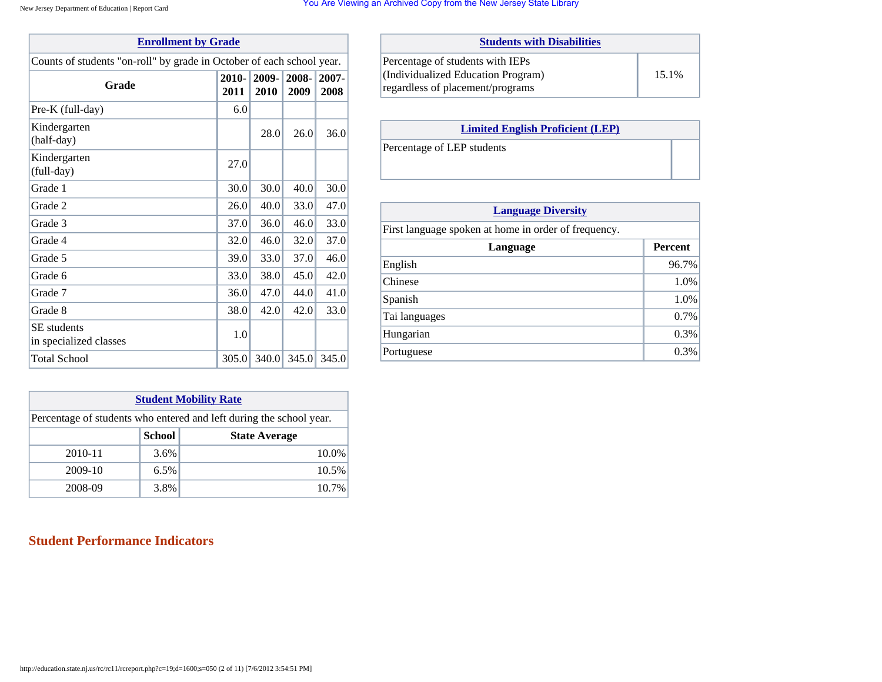#### New Jersey Department of Education | Report Card

|  |  | You Are Viewing an Archived Copy from the New Jersey State Library |  |  |  |  |
|--|--|--------------------------------------------------------------------|--|--|--|--|
|  |  |                                                                    |  |  |  |  |

| <b>Enrollment by Grade</b>                                            |               |               |       |       |  |  |  |
|-----------------------------------------------------------------------|---------------|---------------|-------|-------|--|--|--|
| Counts of students "on-roll" by grade in October of each school year. |               |               |       |       |  |  |  |
| Grade                                                                 | 2008-<br>2009 | 2007-<br>2008 |       |       |  |  |  |
| Pre-K (full-day)                                                      | 6.0           |               |       |       |  |  |  |
| Kindergarten<br>(half-day)                                            |               | 28.0          | 26.0  | 36.0  |  |  |  |
| Kindergarten<br>$(full-day)$                                          | 27.0          |               |       |       |  |  |  |
| Grade 1                                                               | 30.0          | 30.0          | 40.0  | 30.0  |  |  |  |
| Grade 2                                                               | 26.0          | 40.0          | 33.0  | 47.0  |  |  |  |
| Grade 3                                                               | 37.0          | 36.0          | 46.0  | 33.0  |  |  |  |
| Grade 4                                                               | 32.0          | 46.0          | 32.0  | 37.0  |  |  |  |
| Grade 5                                                               | 39.0          | 33.0          | 37.0  | 46.0  |  |  |  |
| Grade 6                                                               | 33.0          | 38.0          | 45.0  | 42.0  |  |  |  |
| Grade 7                                                               | 36.0          | 47.0          | 44.0  | 41.0  |  |  |  |
| Grade 8                                                               | 38.0          | 42.0          | 42.0  | 33.0  |  |  |  |
| <b>SE</b> students<br>in specialized classes                          | 1.0           |               |       |       |  |  |  |
| <b>Total School</b>                                                   | 305.0         | 340.0         | 345.0 | 345.0 |  |  |  |

| <b>Student Mobility Rate</b> |                                                                     |                      |  |  |
|------------------------------|---------------------------------------------------------------------|----------------------|--|--|
|                              | Percentage of students who entered and left during the school year. |                      |  |  |
|                              | School                                                              | <b>State Average</b> |  |  |
| 2010-11                      | $3.6\%$                                                             | 10.0%                |  |  |
| 2009-10                      | $6.5\%$                                                             | 10.5%                |  |  |
| 2008-09                      | 3.8%                                                                | 10.7%                |  |  |

| <b>Student Performance Indicators</b> |  |
|---------------------------------------|--|
|                                       |  |

| <b>Students with Disabilities</b>                                                                          |       |
|------------------------------------------------------------------------------------------------------------|-------|
| Percentage of students with IEPs<br>(Individualized Education Program)<br>regardless of placement/programs | 15.1% |

| <b>Limited English Proficient (LEP)</b> |
|-----------------------------------------|
| Percentage of LEP students              |

| <b>Language Diversity</b>                            |                |  |  |  |  |
|------------------------------------------------------|----------------|--|--|--|--|
| First language spoken at home in order of frequency. |                |  |  |  |  |
| Language                                             | <b>Percent</b> |  |  |  |  |
| English                                              | 96.7%          |  |  |  |  |
| Chinese                                              | 1.0%           |  |  |  |  |
| Spanish                                              | 1.0%           |  |  |  |  |
| Tai languages                                        | 0.7%           |  |  |  |  |
| Hungarian                                            | 0.3%           |  |  |  |  |
| Portuguese                                           | 0.3%           |  |  |  |  |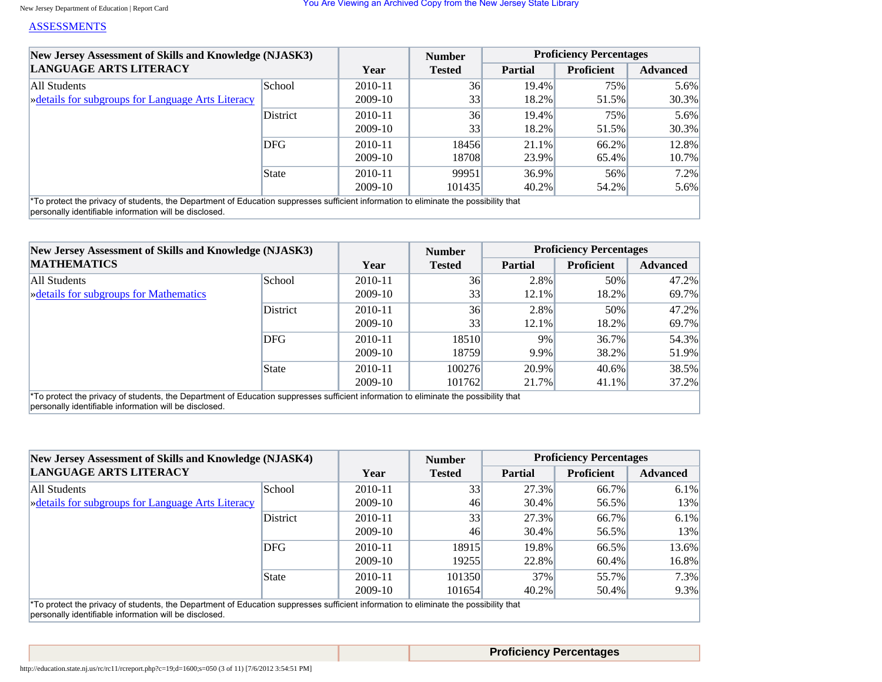### [ASSESSMENTS](javascript:void(0))

| New Jersey Assessment of Skills and Knowledge (NJASK3)<br>LANGUAGE ARTS LITERACY                                                                 |              |         | <b>Number</b>   | <b>Proficiency Percentages</b> |                   |                 |
|--------------------------------------------------------------------------------------------------------------------------------------------------|--------------|---------|-----------------|--------------------------------|-------------------|-----------------|
|                                                                                                                                                  |              | Year    | <b>Tested</b>   | <b>Partial</b>                 | <b>Proficient</b> | <b>Advanced</b> |
| All Students                                                                                                                                     | School       | 2010-11 | 36              | $19.4\%$                       | 75%               | 5.6%            |
| » details for subgroups for Language Arts Literacy                                                                                               |              | 2009-10 | 33 <sup>1</sup> | 18.2%                          | 51.5%             | $30.3\%$        |
|                                                                                                                                                  | District     | 2010-11 | 36              | 19.4%                          | 75%               | 5.6%            |
|                                                                                                                                                  |              | 2009-10 | 33              | 18.2%                          | 51.5%             | $30.3\%$        |
|                                                                                                                                                  | <b>DFG</b>   | 2010-11 | 18456           | $21.1\%$                       | $66.2\%$          | 12.8%           |
|                                                                                                                                                  |              | 2009-10 | 18708           | 23.9%                          | 65.4%             | $10.7\%$        |
|                                                                                                                                                  | <b>State</b> | 2010-11 | 99951           | $36.9\%$                       | 56%               | 7.2%            |
|                                                                                                                                                  |              | 2009-10 | 101435          | $40.2\%$                       | 54.2%             | 5.6%            |
| <sup>*</sup> To protect the privacy of students, the Department of Education suppresses sufficient information to eliminate the possibility that |              |         |                 |                                |                   |                 |

personally identifiable information will be disclosed.

| New Jersey Assessment of Skills and Knowledge (NJASK3)<br><b>MATHEMATICS</b>                                                                     |          |             | <b>Number</b> | <b>Proficiency Percentages</b> |                   |                 |
|--------------------------------------------------------------------------------------------------------------------------------------------------|----------|-------------|---------------|--------------------------------|-------------------|-----------------|
|                                                                                                                                                  |          | Year        | <b>Tested</b> | <b>Partial</b>                 | <b>Proficient</b> | <b>Advanced</b> |
| All Students                                                                                                                                     | School   | 2010-11     | 36            | 2.8%                           | 50%               | 47.2%           |
| <b>Example 3</b> $\frac{1}{2}$ <b>Details for subgroups for Mathematics</b>                                                                      |          | 2009-10     | 33            | 12.1%                          | 18.2%             | 69.7%           |
|                                                                                                                                                  | District | 2010-11     | 36            | 2.8%                           | 50%               | 47.2%           |
|                                                                                                                                                  |          | 2009-10     | 33            | $12.1\%$                       | 18.2%             | 69.7%           |
|                                                                                                                                                  | DFG      | $2010 - 11$ | 18510         | 9%                             | $36.7\%$          | 54.3%           |
|                                                                                                                                                  |          | 2009-10     | 18759         | 9.9%                           | 38.2%             | 51.9%           |
|                                                                                                                                                  | State    | $2010 - 11$ | 100276        | 20.9%                          | $40.6\%$          | 38.5%           |
|                                                                                                                                                  |          | 2009-10     | 101762        | 21.7%                          | $41.1\%$          | $37.2\%$        |
| <sup>*</sup> To protect the privacy of students, the Department of Education suppresses sufficient information to eliminate the possibility that |          |             |               |                                |                   |                 |

personally identifiable information will be disclosed.

| New Jersey Assessment of Skills and Knowledge (NJASK4)<br><b>LANGUAGE ARTS LITERACY</b>                                                          |            |         | <b>Number</b> | <b>Proficiency Percentages</b> |                   |                 |
|--------------------------------------------------------------------------------------------------------------------------------------------------|------------|---------|---------------|--------------------------------|-------------------|-----------------|
|                                                                                                                                                  |            | Year    | <b>Tested</b> | <b>Partial</b>                 | <b>Proficient</b> | <b>Advanced</b> |
| All Students                                                                                                                                     | School     | 2010-11 | 33            | 27.3%                          | 66.7%             | $6.1\%$         |
| » details for subgroups for Language Arts Literacy                                                                                               |            | 2009-10 | 46            | $30.4\%$                       | 56.5%             | 13%             |
|                                                                                                                                                  | District   | 2010-11 | 33            | 27.3%                          | 66.7%             | $6.1\%$         |
|                                                                                                                                                  |            | 2009-10 | 46            | $30.4\%$                       | 56.5%             | 13%             |
|                                                                                                                                                  | <b>DFG</b> | 2010-11 | 18915         | 19.8%                          | 66.5%             | 13.6%           |
|                                                                                                                                                  |            | 2009-10 | 19255         | 22.8%                          | 60.4%             | 16.8%           |
|                                                                                                                                                  | State      | 2010-11 | 101350        | 37%                            | 55.7%             | $7.3\%$         |
|                                                                                                                                                  |            | 2009-10 | 101654        | 40.2%                          | 50.4%             | $9.3\%$         |
| <sup>*</sup> To protect the privacy of students, the Department of Education suppresses sufficient information to eliminate the possibility that |            |         |               |                                |                   |                 |

personally identifiable information will be disclosed.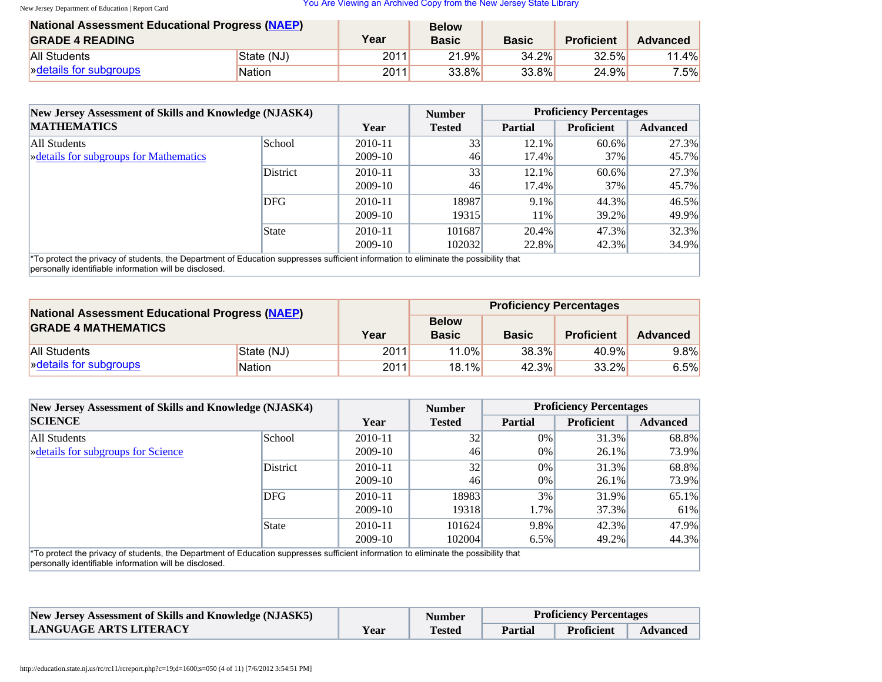| <b>National Assessment Educational Progress (NAEP)</b> |               |      | <b>Below</b> |              |                   |          |
|--------------------------------------------------------|---------------|------|--------------|--------------|-------------------|----------|
| <b>GRADE 4 READING</b>                                 |               | Year | <b>Basic</b> | <b>Basic</b> | <b>Proficient</b> | Advanced |
| <b>All Students</b>                                    | State (NJ)    | 2011 | 21.9%        | 34.2%        | 32.5%             | 11.4%    |
| <b>Example 13</b> Note that is not subgroups           | <b>Nation</b> | 2011 | $33.8\%$     | $33.8\%$     | 24.9%             | $7.5\%$  |

| New Jersey Assessment of Skills and Knowledge (NJASK4)<br><b>MATHEMATICS</b>                                                                                                                               |               |         | <b>Number</b> |                | <b>Proficiency Percentages</b> |                 |
|------------------------------------------------------------------------------------------------------------------------------------------------------------------------------------------------------------|---------------|---------|---------------|----------------|--------------------------------|-----------------|
|                                                                                                                                                                                                            |               | Year    | <b>Tested</b> | <b>Partial</b> | <b>Proficient</b>              | <b>Advanced</b> |
| All Students                                                                                                                                                                                               | <b>School</b> | 2010-11 | 33            | $12.1\%$       | $60.6\%$                       | 27.3%           |
| <b>Example 3</b> $\frac{1}{2}$ <b>Details for subgroups for Mathematics</b>                                                                                                                                |               | 2009-10 | 46            | 17.4%          | $37\%$                         | 45.7%           |
|                                                                                                                                                                                                            | District      | 2010-11 | 33            | 12.1%          | 60.6%                          | 27.3%           |
|                                                                                                                                                                                                            |               | 2009-10 | 46            | 17.4%          | 37%                            | 45.7%           |
|                                                                                                                                                                                                            | DFG           | 2010-11 | 18987         | $9.1\%$        | 44.3%                          | 46.5%           |
|                                                                                                                                                                                                            |               | 2009-10 | 19315         | 11%            | 39.2%                          | 49.9%           |
| State                                                                                                                                                                                                      |               | 2010-11 | 101687        | $20.4\%$       | 47.3%                          | $32.3\%$        |
|                                                                                                                                                                                                            |               | 2009-10 | 102032        | 22.8%          | $42.3\%$                       | 34.9%           |
| <sup>*</sup> To protect the privacy of students, the Department of Education suppresses sufficient information to eliminate the possibility that<br>personally identifiable information will be disclosed. |               |         |               |                |                                |                 |

| <b>National Assessment Educational Progress (NAEP)</b><br><b>GRADE 4 MATHEMATICS</b> |               |      | <b>Proficiency Percentages</b> |              |                   |                 |  |
|--------------------------------------------------------------------------------------|---------------|------|--------------------------------|--------------|-------------------|-----------------|--|
|                                                                                      |               | Year | <b>Below</b><br><b>Basic</b>   | <b>Basic</b> | <b>Proficient</b> | <b>Advanced</b> |  |
| State (NJ)<br>All Students                                                           |               | 2011 | 11.0%                          | 38.3%        | 40.9%             | $9.8\%$         |  |
| » details for subgroups                                                              | <b>Nation</b> | 2011 | $18.1\%$                       | 42.3%        | $33.2\%$          | 6.5%            |  |

| New Jersey Assessment of Skills and Knowledge (NJASK4)                                                                                                                                                     |          |           | <b>Number</b>   | <b>Proficiency Percentages</b> |                   |                 |
|------------------------------------------------------------------------------------------------------------------------------------------------------------------------------------------------------------|----------|-----------|-----------------|--------------------------------|-------------------|-----------------|
| <b>SCIENCE</b>                                                                                                                                                                                             |          | Year      | <b>Tested</b>   | <b>Partial</b>                 | <b>Proficient</b> | <b>Advanced</b> |
| All Students                                                                                                                                                                                               | School   | 2010-11   | 32 <sub>1</sub> | $0\%$                          | 31.3%             | 68.8%           |
| <b>Example 3</b> $\frac{1}{2}$ <b>Details</b> for subgroups for Science                                                                                                                                    |          | $2009-10$ | 46              | $0\%$                          | $26.1\%$          | 73.9%           |
|                                                                                                                                                                                                            | District | 2010-11   | 32              | $0\%$                          | $31.3\%$          | 68.8%           |
|                                                                                                                                                                                                            |          | 2009-10   | 46              | $0\%$                          | $26.1\%$          | 73.9%           |
|                                                                                                                                                                                                            | DFG      | 2010-11   | 18983           | 3%                             | 31.9%             | 65.1%           |
|                                                                                                                                                                                                            |          | 2009-10   | 19318           | $1.7\%$                        | 37.3%             | 61%             |
|                                                                                                                                                                                                            | State    | 2010-11   | 101624          | 9.8%                           | 42.3%             | 47.9%           |
|                                                                                                                                                                                                            |          | 2009-10   | 102004          | $6.5\%$                        | 49.2%             | 44.3%           |
| <sup>*</sup> To protect the privacy of students, the Department of Education suppresses sufficient information to eliminate the possibility that<br>personally identifiable information will be disclosed. |          |           |                 |                                |                   |                 |

| <b>New Jersey Assessment of Skills and Knowledge (NJASK5)</b> |      | <b>Number</b> | <b>Proficiency Percentages</b> |                   |                 |
|---------------------------------------------------------------|------|---------------|--------------------------------|-------------------|-----------------|
| LANGUAGE ARTS LITERACY                                        | Year | <b>Tested</b> | Partial                        | <b>Proficient</b> | <b>Advanced</b> |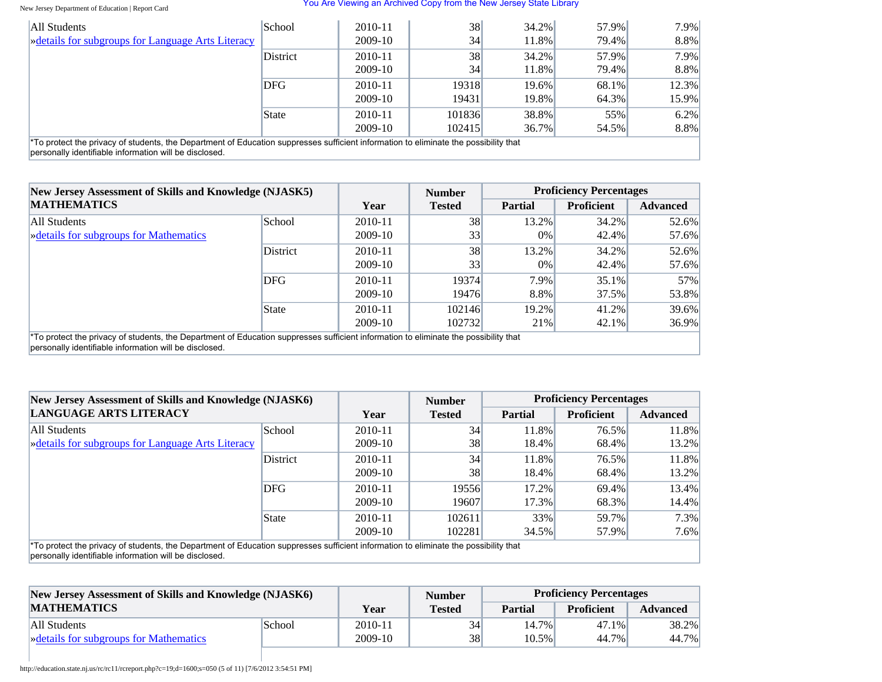#### New Jersey Department of Education | Report Card

#### You Are Viewing an Archived Copy from the New Jersey State Library

| All Students                                                                                                                                                                                   | School     | $2010 - 11$ | 38     | $34.2\%$ | 57.9% | 7.9%    |
|------------------------------------------------------------------------------------------------------------------------------------------------------------------------------------------------|------------|-------------|--------|----------|-------|---------|
| » details for subgroups for Language Arts Literacy                                                                                                                                             |            | 2009-10     | 34     | 11.8%    | 79.4% | 8.8%    |
|                                                                                                                                                                                                | District   | 2010-11     | 38     | $34.2\%$ | 57.9% | $7.9\%$ |
|                                                                                                                                                                                                |            | 2009-10     | 34     | 11.8%    | 79.4% | 8.8%    |
|                                                                                                                                                                                                | <b>DFG</b> | 2010-11     | 19318  | 19.6%    | 68.1% | 12.3%   |
|                                                                                                                                                                                                |            | 2009-10     | 19431  | 19.8%    | 64.3% | 15.9%   |
|                                                                                                                                                                                                | State      | 2010-11     | 101836 | 38.8%    | 55%   | $6.2\%$ |
|                                                                                                                                                                                                |            | 2009-10     | 102415 | $36.7\%$ | 54.5% | 8.8%    |
| *To protect the privacy of students, the Department of Education suppresses sufficient information to eliminate the possibility that<br>personally identifiable information will be disclosed. |            |             |        |          |       |         |

| New Jersey Assessment of Skills and Knowledge (NJASK5)<br><b>MATHEMATICS</b>                                                                                                                   |               |         | <b>Number</b> | <b>Proficiency Percentages</b> |                   |                 |
|------------------------------------------------------------------------------------------------------------------------------------------------------------------------------------------------|---------------|---------|---------------|--------------------------------|-------------------|-----------------|
|                                                                                                                                                                                                |               | Year    | <b>Tested</b> | <b>Partial</b>                 | <b>Proficient</b> | <b>Advanced</b> |
| All Students                                                                                                                                                                                   | <b>School</b> | 2010-11 | 38            | $13.2\%$                       | $34.2\%$          | 52.6%           |
| <b>Example 3</b> Setails for subgroups for Mathematics                                                                                                                                         |               | 2009-10 | 33            | $0\%$                          | 42.4%             | 57.6%           |
|                                                                                                                                                                                                | District      | 2010-11 | 38            | 13.2%                          | 34.2%             | 52.6%           |
|                                                                                                                                                                                                |               | 2009-10 | 33            | $0\%$                          | 42.4%             | 57.6%           |
|                                                                                                                                                                                                | DFG           | 2010-11 | 19374         | 7.9%                           | $35.1\%$          | 57%             |
|                                                                                                                                                                                                |               | 2009-10 | 19476         | 8.8%                           | 37.5%             | 53.8%           |
|                                                                                                                                                                                                | State         | 2010-11 | 102146        | $19.2\%$                       | 41.2%             | 39.6%           |
|                                                                                                                                                                                                |               | 2009-10 | 102732        | 21%                            | $42.1\%$          | 36.9%           |
| *To protect the privacy of students, the Department of Education suppresses sufficient information to eliminate the possibility that<br>personally identifiable information will be disclosed. |               |         |               |                                |                   |                 |

| New Jersey Assessment of Skills and Knowledge (NJASK6)<br><b>LANGUAGE ARTS LITERACY</b>                                                                                                                    |          |             | <b>Number</b> |                | <b>Proficiency Percentages</b> |                 |
|------------------------------------------------------------------------------------------------------------------------------------------------------------------------------------------------------------|----------|-------------|---------------|----------------|--------------------------------|-----------------|
|                                                                                                                                                                                                            |          | Year        | <b>Tested</b> | <b>Partial</b> | <b>Proficient</b>              | <b>Advanced</b> |
| All Students                                                                                                                                                                                               | School   | 2010-11     | 34            | 11.8%          | 76.5%                          | 11.8%           |
| <b>Example 3</b> $\blacktriangleright$ details for subgroups for Language Arts Literacy                                                                                                                    |          | 2009-10     | 38            | 18.4%          | 68.4%                          | 13.2%           |
|                                                                                                                                                                                                            | District | $2010 - 11$ | 34            | 11.8%          | 76.5%                          | 11.8%           |
|                                                                                                                                                                                                            |          | 2009-10     | 38            | 18.4%          | 68.4%                          | 13.2%           |
|                                                                                                                                                                                                            | DFG      | $2010 - 11$ | 19556         | $17.2\%$       | 69.4%                          | 13.4%           |
|                                                                                                                                                                                                            |          | 2009-10     | 19607         | 17.3%          | 68.3%                          | 14.4%           |
|                                                                                                                                                                                                            | State    | $2010 - 11$ | 102611        | 33%            | 59.7%                          | 7.3%            |
|                                                                                                                                                                                                            |          | $2009-10$   | 102281        | 34.5%          | 57.9%                          | $7.6\%$         |
| <sup>*</sup> To protect the privacy of students, the Department of Education suppresses sufficient information to eliminate the possibility that<br>personally identifiable information will be disclosed. |          |             |               |                |                                |                 |

| New Jersey Assessment of Skills and Knowledge (NJASK6) |        |           | <b>Number</b> | <b>Proficiency Percentages</b> |                   |                 |
|--------------------------------------------------------|--------|-----------|---------------|--------------------------------|-------------------|-----------------|
| <b>MATHEMATICS</b>                                     |        | Year      | <b>Tested</b> | <b>Partial</b>                 | <b>Proficient</b> | <b>Advanced</b> |
| All Students                                           | School | 2010-11   | 34            | $14.7\%$                       | $47.1\%$          | 38.2%           |
| <b>Example 3</b> Setails for subgroups for Mathematics |        | $2009-10$ | 38            | $10.5\%$                       | 44.7%             | 44.7%           |

http://education.state.nj.us/rc/rc11/rcreport.php?c=19;d=1600;s=050 (5 of 11) [7/6/2012 3:54:51 PM]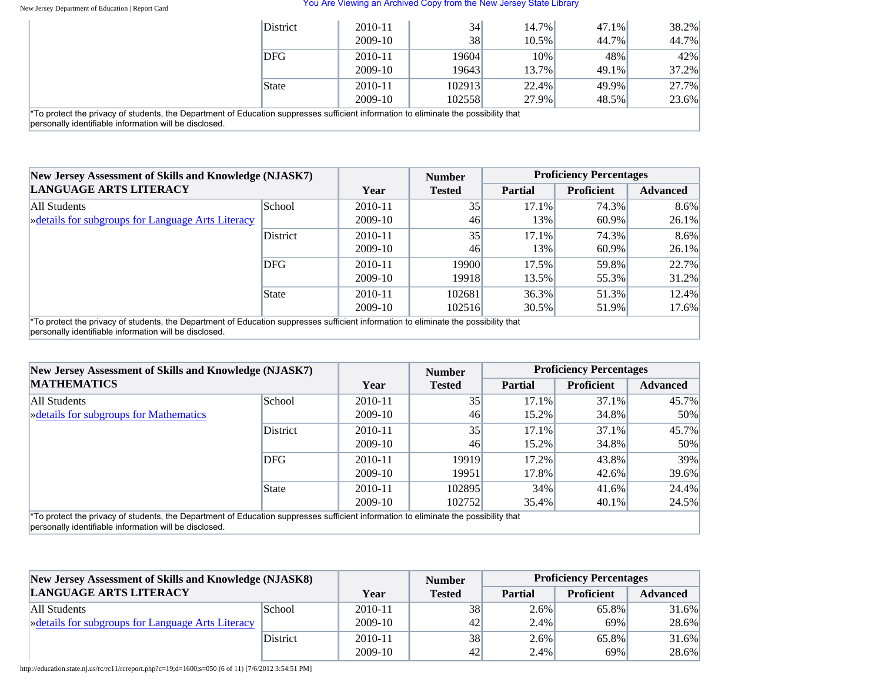#### New Jersey Department of Education | Report Card

 $\beta$  personally identifiable information

#### You Are Viewing an Archived Copy from the New Jersey State Library

|                                                                                                                                                                                                            | <b>District</b> | 2010-11   | 34        | $14.7\%$ | 47.1% | 38.2%    |
|------------------------------------------------------------------------------------------------------------------------------------------------------------------------------------------------------------|-----------------|-----------|-----------|----------|-------|----------|
|                                                                                                                                                                                                            |                 | $2009-10$ | <b>38</b> | $10.5\%$ | 44.7% | 44.7%    |
|                                                                                                                                                                                                            | <b>DFG</b>      | 2010-11   | 19604     | 10%      | 48%   | 42%      |
|                                                                                                                                                                                                            |                 | $2009-10$ | 19643     | 13.7%    | 49.1% | $37.2\%$ |
|                                                                                                                                                                                                            | State           | 2010-11   | 102913    | 22.4%    | 49.9% | 27.7%    |
|                                                                                                                                                                                                            |                 | 2009-10   | 102558    | 27.9%    | 48.5% | 23.6%    |
| <sup>*</sup> To protect the privacy of students, the Department of Education suppresses sufficient information to eliminate the possibility that<br>personally identifiable information will be disclosed. |                 |           |           |          |       |          |

| New Jersey Assessment of Skills and Knowledge (NJASK7)                                                                                                                                         |               |             | <b>Number</b> |                | <b>Proficiency Percentages</b> |                 |
|------------------------------------------------------------------------------------------------------------------------------------------------------------------------------------------------|---------------|-------------|---------------|----------------|--------------------------------|-----------------|
| <b>LANGUAGE ARTS LITERACY</b>                                                                                                                                                                  |               | Year        | <b>Tested</b> | <b>Partial</b> | <b>Proficient</b>              | <b>Advanced</b> |
| All Students                                                                                                                                                                                   | <b>School</b> | $2010 - 11$ | 35            | $17.1\%$       | 74.3%                          | $8.6\%$         |
| <b>Example 3</b> Setails for subgroups for Language Arts Literacy                                                                                                                              |               | 2009-10     | 46            | $13\%$         | $60.9\%$                       | $26.1\%$        |
|                                                                                                                                                                                                | District      | $2010 - 11$ | 35            | $17.1\%$       | 74.3%                          | 8.6%            |
|                                                                                                                                                                                                |               | 2009-10     | 46            | 13%            | $60.9\%$                       | 26.1%           |
|                                                                                                                                                                                                | DFG           | $2010 - 11$ | 19900         | $17.5\%$       | 59.8%                          | 22.7%           |
|                                                                                                                                                                                                |               | 2009-10     | 19918         | 13.5%          | 55.3%                          | $31.2\%$        |
|                                                                                                                                                                                                | State         | $2010 - 11$ | 102681        | $36.3\%$       | 51.3%                          | 12.4%           |
|                                                                                                                                                                                                |               | 2009-10     | 102516        | $30.5\%$       | 51.9%                          | 17.6%           |
| *To protect the privacy of students, the Department of Education suppresses sufficient information to eliminate the possibility that<br>bersonally identifiable information will be disclosed. |               |             |               |                |                                |                 |

| New Jersey Assessment of Skills and Knowledge (NJASK7)                                                                                                                                         |                 |           | <b>Number</b> | <b>Proficiency Percentages</b> |                   |                 |  |
|------------------------------------------------------------------------------------------------------------------------------------------------------------------------------------------------|-----------------|-----------|---------------|--------------------------------|-------------------|-----------------|--|
| <b>MATHEMATICS</b>                                                                                                                                                                             |                 |           | <b>Tested</b> | <b>Partial</b>                 | <b>Proficient</b> | <b>Advanced</b> |  |
| All Students                                                                                                                                                                                   | School          | 2010-11   | 35            | $17.1\%$                       | 37.1%             | 45.7%           |  |
| <b>Example 3</b> Setails for subgroups for Mathematics                                                                                                                                         |                 | 2009-10   | 46            | $15.2\%$                       | 34.8%             | 50%             |  |
|                                                                                                                                                                                                | <b>District</b> | 2010-11   | 35            | $17.1\%$                       | $37.1\%$          | 45.7%           |  |
|                                                                                                                                                                                                |                 | 2009-10   | 46            | $15.2\%$                       | 34.8%             | 50%             |  |
|                                                                                                                                                                                                | <b>DFG</b>      | 2010-11   | 19919         | $17.2\%$                       | 43.8%             | 39%             |  |
|                                                                                                                                                                                                |                 | 2009-10   | 19951         | 17.8%                          | 42.6%             | 39.6%           |  |
|                                                                                                                                                                                                | State           | 2010-11   | 102895        | 34%                            | 41.6%             | 24.4%           |  |
|                                                                                                                                                                                                |                 | $2009-10$ | 102752        | 35.4%                          | 40.1%             | 24.5%           |  |
| *To protect the privacy of students, the Department of Education suppresses sufficient information to eliminate the possibility that<br>personally identifiable information will be disclosed. |                 |           |               |                                |                   |                 |  |

| New Jersey Assessment of Skills and Knowledge (NJASK8) |                 |         | <b>Number</b> | <b>Proficiency Percentages</b> |                   |                 |
|--------------------------------------------------------|-----------------|---------|---------------|--------------------------------|-------------------|-----------------|
| <b>LANGUAGE ARTS LITERACY</b>                          |                 | Year    | <b>Tested</b> | Partial                        | <b>Proficient</b> | <b>Advanced</b> |
| All Students                                           | School          | 2010-11 | 38            | 2.6%                           | 65.8%             | 31.6%           |
| » details for subgroups for Language Arts Literacy     |                 | 2009-10 | 42            | 2.4%                           | 69%               | 28.6%           |
|                                                        | <b>District</b> | 2010-11 | 38            | $2.6\%$                        | 65.8%             | $31.6\%$        |
|                                                        |                 | 2009-10 | 42            | 2.4%                           | 69%               | 28.6%           |

http://education.state.nj.us/rc/rc11/rcreport.php?c=19;d=1600;s=050 (6 of 11) [7/6/2012 3:54:51 PM]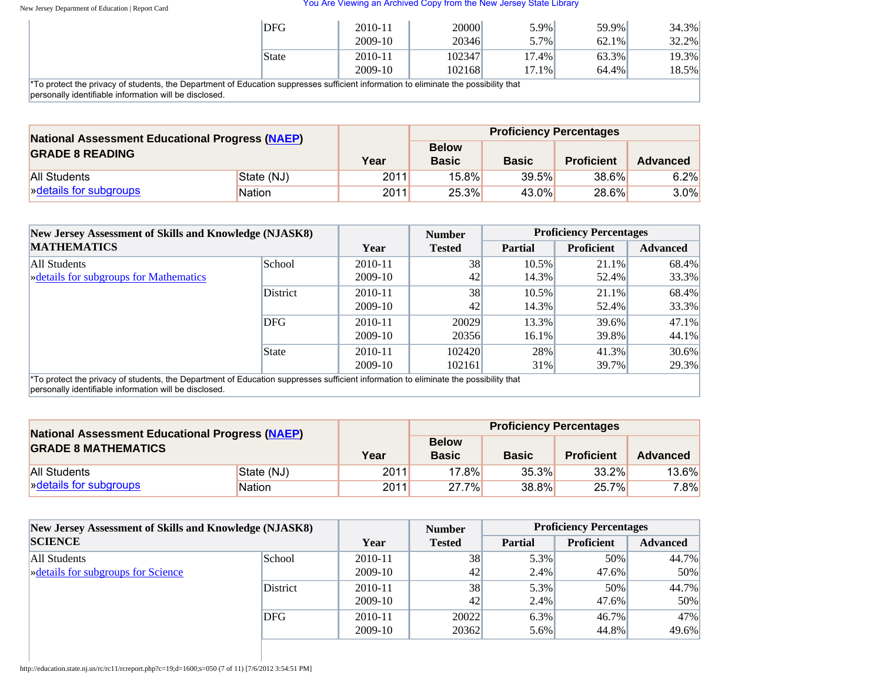| <b>DFG</b>                                                                                                          | 2010-11<br>2009-10 | 20000<br>20346 | $5.9\%$<br>$5.7\%$ | 59.9%<br>62.1% | 34.3%<br>$32.2\%$ |
|---------------------------------------------------------------------------------------------------------------------|--------------------|----------------|--------------------|----------------|-------------------|
| <b>State</b>                                                                                                        | 2010-11            | 102347         | 17.4%              | 63.3%          | 19.3%             |
| saivany of otudente, the Denominant of Education currences outficient information to eliminate the negotiality that | 2009-10            | 102168         | 17.1%              | 64.4%          | 18.5%             |

\*To protect the privacy of students, the Department of Education suppresses sufficient information to eliminate the possibility that personally identifiable information will be disclosed.

| <b>National Assessment Educational Progress (NAEP)</b><br><b>GRADE 8 READING</b> |               |      | <b>Proficiency Percentages</b> |              |                   |                 |  |  |
|----------------------------------------------------------------------------------|---------------|------|--------------------------------|--------------|-------------------|-----------------|--|--|
|                                                                                  |               | Year | <b>Below</b><br><b>Basic</b>   | <b>Basic</b> | <b>Proficient</b> | <b>Advanced</b> |  |  |
| All Students                                                                     | State (NJ)    | 2011 | $15.8\%$                       | 39.5%        | 38.6%             | 6.2%            |  |  |
| » details for subgroups                                                          | <b>Nation</b> | 2011 | 25.3%                          | 43.0%        | 28.6%             | $3.0\%$         |  |  |

|                                                                                                                                                                                                                                                                                                                        | New Jersey Assessment of Skills and Knowledge (NJASK8) |             | <b>Number</b> | <b>Proficiency Percentages</b> |                   |                 |  |
|------------------------------------------------------------------------------------------------------------------------------------------------------------------------------------------------------------------------------------------------------------------------------------------------------------------------|--------------------------------------------------------|-------------|---------------|--------------------------------|-------------------|-----------------|--|
| <b>MATHEMATICS</b>                                                                                                                                                                                                                                                                                                     |                                                        | Year        | <b>Tested</b> | <b>Partial</b>                 | <b>Proficient</b> | <b>Advanced</b> |  |
| All Students                                                                                                                                                                                                                                                                                                           | School                                                 | $2010 - 11$ | 38            | $10.5\%$                       | 21.1%             | 68.4%           |  |
| <b>Example 3</b> $\frac{1}{2}$ $\frac{1}{2}$ $\frac{1}{2}$ $\frac{1}{2}$ $\frac{1}{2}$ $\frac{1}{2}$ $\frac{1}{2}$ $\frac{1}{2}$ $\frac{1}{2}$ $\frac{1}{2}$ $\frac{1}{2}$ $\frac{1}{2}$ $\frac{1}{2}$ $\frac{1}{2}$ $\frac{1}{2}$ $\frac{1}{2}$ $\frac{1}{2}$ $\frac{1}{2}$ $\frac{1}{2}$ $\frac{1}{2}$ $\frac{1}{2}$ |                                                        | 2009-10     | 42            | 14.3%                          | 52.4%             | 33.3%           |  |
|                                                                                                                                                                                                                                                                                                                        | District                                               | 2010-11     | 38            | 10.5%                          | 21.1%             | 68.4%           |  |
|                                                                                                                                                                                                                                                                                                                        |                                                        | 2009-10     | 42            | 14.3%                          | 52.4%             | 33.3%           |  |
|                                                                                                                                                                                                                                                                                                                        | DFG                                                    | $2010 - 11$ | 20029         | 13.3%                          | 39.6%             | 47.1%           |  |
|                                                                                                                                                                                                                                                                                                                        |                                                        | 2009-10     | 20356         | $16.1\%$                       | 39.8%             | 44.1%           |  |
|                                                                                                                                                                                                                                                                                                                        | State                                                  | $2010 - 11$ | 102420        | 28%                            | 41.3%             | $30.6\%$        |  |
|                                                                                                                                                                                                                                                                                                                        |                                                        | 2009-10     | 102161        | 31%                            | 39.7%             | 29.3%           |  |
| *To protect the privacy of students, the Department of Education suppresses sufficient information to eliminate the possibility that                                                                                                                                                                                   |                                                        |             |               |                                |                   |                 |  |

personally identifiable information will be disclosed.

| <b>National Assessment Educational Progress (NAEP)</b><br><b>GRADE 8 MATHEMATICS</b> |               |      |                              |              | <b>Proficiency Percentages</b> |          |
|--------------------------------------------------------------------------------------|---------------|------|------------------------------|--------------|--------------------------------|----------|
|                                                                                      |               | Year | <b>Below</b><br><b>Basic</b> | <b>Basic</b> | <b>Proficient</b>              | Advanced |
| <b>All Students</b>                                                                  | State (NJ)    | 2011 | $17.8\%$                     | 35.3%        | $33.2\%$                       | 13.6%    |
| » details for subgroups                                                              | <b>Nation</b> | 2011 | 27.7%                        | 38.8%        | 25.7%                          | $7.8\%$  |

| New Jersey Assessment of Skills and Knowledge (NJASK8)<br><b>SCIENCE</b> |         | <b>Number</b> | <b>Proficiency Percentages</b> |                   |                 |  |
|--------------------------------------------------------------------------|---------|---------------|--------------------------------|-------------------|-----------------|--|
|                                                                          |         | <b>Tested</b> | <b>Partial</b>                 | <b>Proficient</b> | <b>Advanced</b> |  |
| School                                                                   | 2010-11 | 38            | 5.3%                           | $50\%$            | 44.7%           |  |
|                                                                          | 2009-10 | 42            | $2.4\%$                        | 47.6%             | 50%             |  |
| District                                                                 | 2010-11 | 38            | 5.3%                           | 50%               | 44.7%           |  |
|                                                                          | 2009-10 | 42            | $2.4\%$                        | 47.6%             | 50%             |  |
| DFG                                                                      | 2010-11 | 20022         | $6.3\%$                        | $46.7\%$          | 47%             |  |
|                                                                          | 2009-10 | 20362         | $5.6\%$                        | 44.8%             | 49.6%           |  |
|                                                                          |         | Year          |                                |                   |                 |  |

http://education.state.nj.us/rc/rc11/rcreport.php?c=19;d=1600;s=050 (7 of 11) [7/6/2012 3:54:51 PM]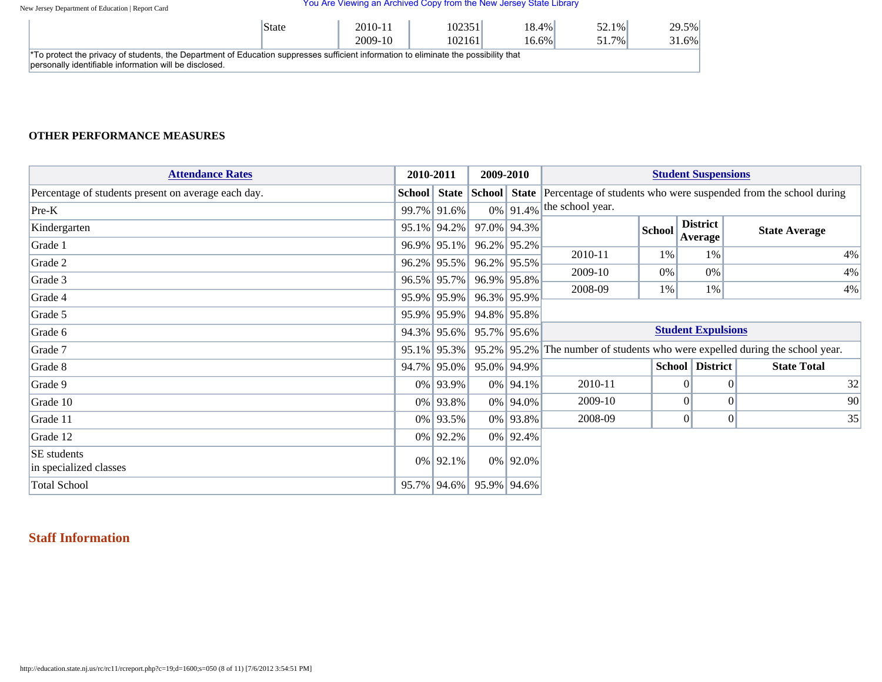New Jersey Department of Education | Report Card

#### You Are Viewing an Archived Copy from the New Jersey State Library

| <sup>'</sup> State                                                                                                                               | 2010-11<br>2009-10 | 102351 <br>102161 | $18.4\%$<br>$16.6\%$ | 52.1% <br>51.7% | 29.5%<br>31.6% |  |  |  |
|--------------------------------------------------------------------------------------------------------------------------------------------------|--------------------|-------------------|----------------------|-----------------|----------------|--|--|--|
| <sup>*</sup> To protect the privacy of students, the Department of Education suppresses sufficient information to eliminate the possibility that |                    |                   |                      |                 |                |  |  |  |
| personally identifiable information will be disclosed.                                                                                           |                    |                   |                      |                 |                |  |  |  |

### **OTHER PERFORMANCE MEASURES**

| <b>Attendance Rates</b>                             | 2010-2011   | 2009-2010 |                | <b>Student Suspensions</b>                                                                                            |        |                        |                                                                              |
|-----------------------------------------------------|-------------|-----------|----------------|-----------------------------------------------------------------------------------------------------------------------|--------|------------------------|------------------------------------------------------------------------------|
| Percentage of students present on average each day. | 99.7% 91.6% |           | $0\%$ 91.4%    | <b>School</b> State School State Percentage of students who were suspended from the school during<br>the school year. |        |                        |                                                                              |
| $Pre-K$<br>Kindergarten                             | 95.1% 94.2% |           | 97.0% 94.3%    |                                                                                                                       | School | <b>District</b>        | <b>State Average</b>                                                         |
| Grade 1                                             | 96.9% 95.1% |           | $96.2\%$ 95.2% | 2010-11                                                                                                               | 1%     | Average<br>1%          | 4%                                                                           |
| Grade 2                                             | 96.2% 95.5% |           | $96.2\%$ 95.5% | 2009-10                                                                                                               | $0\%$  | $0\%$                  | 4%                                                                           |
| Grade 3                                             | 96.5% 95.7% |           | 96.9% 95.8%    |                                                                                                                       |        |                        |                                                                              |
| Grade 4                                             | 95.9% 95.9% |           | 96.3% 95.9%    | 2008-09                                                                                                               | 1%     | 1%                     | 4%                                                                           |
| Grade 5                                             | 95.9% 95.9% |           | 94.8% 95.8%    |                                                                                                                       |        |                        |                                                                              |
| Grade 6                                             | 94.3% 95.6% |           | 95.7% 95.6%    | <b>Student Expulsions</b>                                                                                             |        |                        |                                                                              |
| Grade 7                                             | 95.1% 95.3% |           |                |                                                                                                                       |        |                        | 95.2% 95.2% The number of students who were expelled during the school year. |
| Grade 8                                             | 94.7% 95.0% |           | 95.0% 94.9%    |                                                                                                                       |        | <b>School District</b> | <b>State Total</b>                                                           |
| Grade 9                                             | 0% 93.9%    |           | 0% 94.1%       | 2010-11                                                                                                               |        | 01                     | 32<br>$\Omega$                                                               |
| Grade 10                                            | 0% 93.8%    |           | 0% 94.0%       | 2009-10                                                                                                               |        | $\Omega$               | 90<br>$\vert 0 \vert$                                                        |
| Grade 11                                            | 0% 93.5%    |           | 0% 93.8%       | 2008-09                                                                                                               |        | 0                      | $\overline{0}$<br>35                                                         |
| Grade 12                                            | $0\%$ 92.2% |           | $0\%$ 92.4%    |                                                                                                                       |        |                        |                                                                              |
| SE students<br>in specialized classes               | $0\%$ 92.1% |           | $0\%$ 92.0%    |                                                                                                                       |        |                        |                                                                              |
| <b>Total School</b>                                 | 95.7% 94.6% |           | 95.9% 94.6%    |                                                                                                                       |        |                        |                                                                              |

## **Staff Information**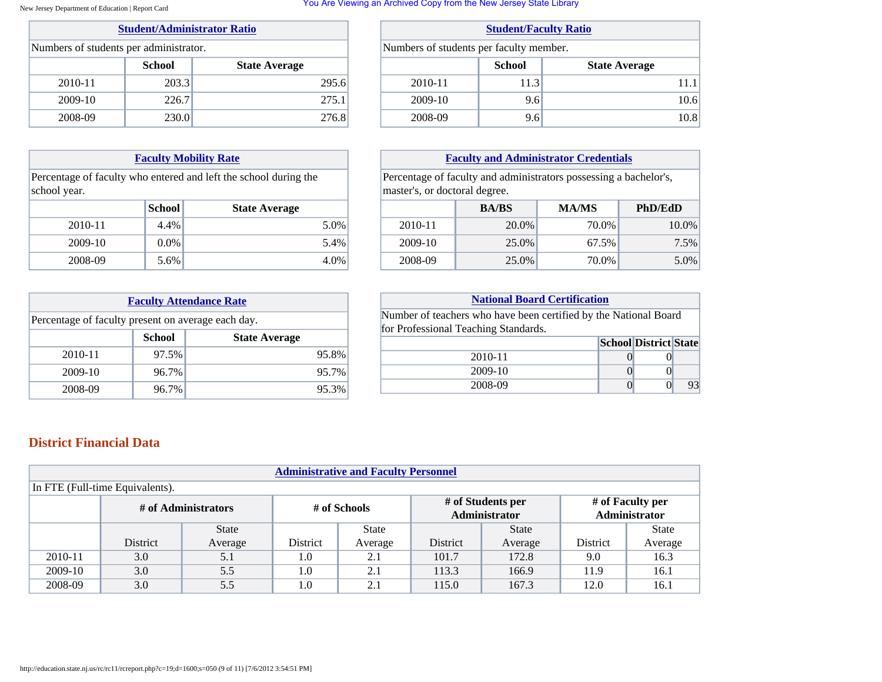#### New Jersey Department of Education | Report Card

### **[Student/Administrator Ratio](javascript:void(0))**

| Numbers of students per administrator. |               |                      |  |  |  |  |  |
|----------------------------------------|---------------|----------------------|--|--|--|--|--|
|                                        | <b>School</b> | <b>State Average</b> |  |  |  |  |  |
| 2010-11                                | 203.3         | 295.6                |  |  |  |  |  |
| 2009-10                                | 226.7         | 275.1                |  |  |  |  |  |
| 2008-09                                | 230.0         | 276.8                |  |  |  |  |  |

### **[Faculty Mobility Rate](javascript:void(0))**

Percentage of faculty who entered and left the school during the school year.

|         | School  | <b>State Average</b> |
|---------|---------|----------------------|
| 2010-11 | $4.4\%$ | 5.0%                 |
| 2009-10 | $0.0\%$ | 5.4%                 |
| 2008-09 | $5.6\%$ | 4.0%                 |

| <b>Faculty Attendance Rate</b>                     |       |          |  |  |  |  |
|----------------------------------------------------|-------|----------|--|--|--|--|
| Percentage of faculty present on average each day. |       |          |  |  |  |  |
| <b>School</b><br><b>State Average</b>              |       |          |  |  |  |  |
| 2010-11                                            | 97.5% | 95.8%    |  |  |  |  |
| 2009-10                                            | 96.7% | 95.7%    |  |  |  |  |
| 2008-09                                            | 96.7% | $95.3\%$ |  |  |  |  |

#### You Are Viewing an Archived Copy from the New Jersey State Library

| <b>Student/Faculty Ratio</b>            |      |      |  |  |  |  |
|-----------------------------------------|------|------|--|--|--|--|
| Numbers of students per faculty member. |      |      |  |  |  |  |
| <b>School</b><br><b>State Average</b>   |      |      |  |  |  |  |
| 2010-11                                 | 11.3 | 11.1 |  |  |  |  |
| 2009-10                                 | 9.6  | 10.6 |  |  |  |  |
| 2008-09                                 | 9.6  | 10.8 |  |  |  |  |

### **[Faculty and Administrator Credentials](javascript:void(0))**

Percentage of faculty and administrators possessing a bachelor's, master's, or doctoral degree.

|         | <b>BA/BS</b> | <b>MA/MS</b> | <b>PhD/EdD</b> |
|---------|--------------|--------------|----------------|
| 2010-11 | 20.0%        | 70.0%        | 10.0%          |
| 2009-10 | 25.0%        | 67.5%        | 7.5%           |
| 2008-09 | 25.0%        | 70.0%        | 5.0%           |

| <b>National Board Certification</b>                              |  |  |    |  |  |  |  |
|------------------------------------------------------------------|--|--|----|--|--|--|--|
| Number of teachers who have been certified by the National Board |  |  |    |  |  |  |  |
| for Professional Teaching Standards.                             |  |  |    |  |  |  |  |
| <b>School District State</b>                                     |  |  |    |  |  |  |  |
| 2010-11                                                          |  |  |    |  |  |  |  |
| 2009-10                                                          |  |  |    |  |  |  |  |
| 2008-09                                                          |  |  | 93 |  |  |  |  |

## **District Financial Data**

| <b>Administrative and Faculty Personnel</b>                                                                    |                 |              |          |              |          |              |          |              |
|----------------------------------------------------------------------------------------------------------------|-----------------|--------------|----------|--------------|----------|--------------|----------|--------------|
| In FTE (Full-time Equivalents).                                                                                |                 |              |          |              |          |              |          |              |
| # of Faculty per<br># of Students per<br># of Administrators<br># of Schools<br>Administrator<br>Administrator |                 |              |          |              |          |              |          |              |
|                                                                                                                |                 | <b>State</b> |          | <b>State</b> |          | <b>State</b> |          | <b>State</b> |
|                                                                                                                | <b>District</b> | Average      | District | Average      | District | Average      | District | Average      |
| 2010-11                                                                                                        | 3.0             | 5.1          | 1.0      | 2.1          | 101.7    | 172.8        | 9.0      | 16.3         |
| 2009-10                                                                                                        | 3.0             | 5.5          | 1.0      | 2.1          | 113.3    | 166.9        | 11.9     | 16.1         |
| 2008-09                                                                                                        | 3.0             | 5.5          | 1.0      | 2.1          | 115.0    | 167.3        | 12.0     | 16.1         |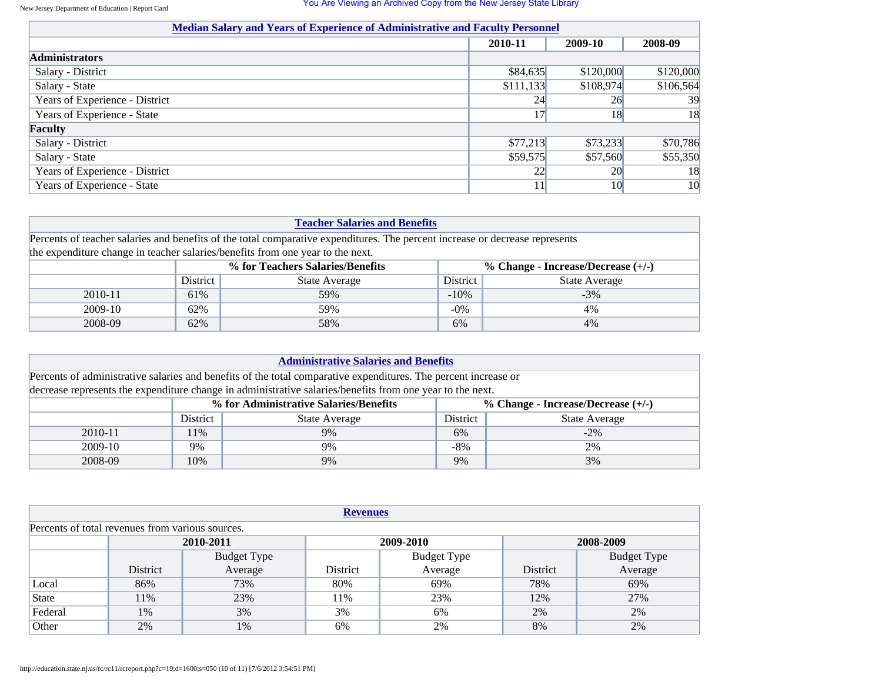| <b>Median Salary and Years of Experience of Administrative and Faculty Personnel</b> |           |           |           |  |  |  |  |
|--------------------------------------------------------------------------------------|-----------|-----------|-----------|--|--|--|--|
|                                                                                      | 2010-11   | 2009-10   | 2008-09   |  |  |  |  |
| <b>Administrators</b>                                                                |           |           |           |  |  |  |  |
| Salary - District                                                                    | \$84,635  | \$120,000 | \$120,000 |  |  |  |  |
| Salary - State                                                                       | \$111,133 | \$108,974 | \$106,564 |  |  |  |  |
| Years of Experience - District                                                       | 24        | 26        | 39        |  |  |  |  |
| Years of Experience - State                                                          | 17        | 18        | 18        |  |  |  |  |
| Faculty                                                                              |           |           |           |  |  |  |  |
| Salary - District                                                                    | \$77,213  | \$73,233  | \$70,786  |  |  |  |  |
| Salary - State                                                                       | \$59,575  | \$57,560  | \$55,350  |  |  |  |  |
| Years of Experience - District                                                       | 22        | 20        | 18        |  |  |  |  |
| Years of Experience - State                                                          | 11        | 10        | 10        |  |  |  |  |

| <b>Teacher Salaries and Benefits</b> |                                                                                                                              |                                                                                |         |                      |  |  |  |
|--------------------------------------|------------------------------------------------------------------------------------------------------------------------------|--------------------------------------------------------------------------------|---------|----------------------|--|--|--|
|                                      | Percents of teacher salaries and benefits of the total comparative expenditures. The percent increase or decrease represents |                                                                                |         |                      |  |  |  |
|                                      |                                                                                                                              | the expenditure change in teacher salaries/benefits from one year to the next. |         |                      |  |  |  |
|                                      |                                                                                                                              | % for Teachers Salaries/Benefits<br>% Change - Increase/Decrease $(+/-)$       |         |                      |  |  |  |
|                                      | <b>District</b>                                                                                                              | State Average                                                                  |         | <b>State Average</b> |  |  |  |
| 2010-11                              | 61\%                                                                                                                         | 59%                                                                            | $-10\%$ | $-3\%$               |  |  |  |
| 2009-10                              | 62%                                                                                                                          | 59%                                                                            | $-0\%$  | 4%                   |  |  |  |
| 2008-09                              | 62%                                                                                                                          | 58%                                                                            | 6%      | 4%                   |  |  |  |

| <b>Administrative Salaries and Benefits</b>                                                                     |          |                                                                                |              |                      |  |  |  |
|-----------------------------------------------------------------------------------------------------------------|----------|--------------------------------------------------------------------------------|--------------|----------------------|--|--|--|
| Percents of administrative salaries and benefits of the total comparative expenditures. The percent increase or |          |                                                                                |              |                      |  |  |  |
| decrease represents the expenditure change in administrative salaries/benefits from one year to the next.       |          |                                                                                |              |                      |  |  |  |
|                                                                                                                 |          | % for Administrative Salaries/Benefits<br>% Change - Increase/Decrease $(+/-)$ |              |                      |  |  |  |
|                                                                                                                 | District | <b>State Average</b>                                                           |              | <b>State Average</b> |  |  |  |
| 2010-11                                                                                                         | 11\%     | 9%                                                                             | 6%           | $-2\%$               |  |  |  |
| 2009-10                                                                                                         | 9%       | 9%                                                                             | $-8\%$<br>2% |                      |  |  |  |
| 2008-09                                                                                                         | 10%      | 9%                                                                             | 9%           | 3%                   |  |  |  |

| <b>Revenues</b>                                  |                                          |         |          |         |          |                        |  |  |  |
|--------------------------------------------------|------------------------------------------|---------|----------|---------|----------|------------------------|--|--|--|
| Percents of total revenues from various sources. |                                          |         |          |         |          |                        |  |  |  |
|                                                  | 2010-2011<br>2008-2009<br>2009-2010      |         |          |         |          |                        |  |  |  |
|                                                  | <b>Budget Type</b><br><b>Budget Type</b> |         |          |         |          |                        |  |  |  |
|                                                  | District                                 | Average | District | Average | District | Budget Type<br>Average |  |  |  |
| Local                                            | 86%                                      | 73%     | 80%      | 69%     | 78%      | 69%                    |  |  |  |
| State                                            | 11%                                      | 23%     | 11%      | 23%     | 12%      | 27%                    |  |  |  |
| Federal                                          | 1%                                       | 3%      | 3%       | 6%      | 2%       | 2%                     |  |  |  |
| Other                                            | 2%                                       | 1%      | 6%       | 2%      | 8%       | 2%                     |  |  |  |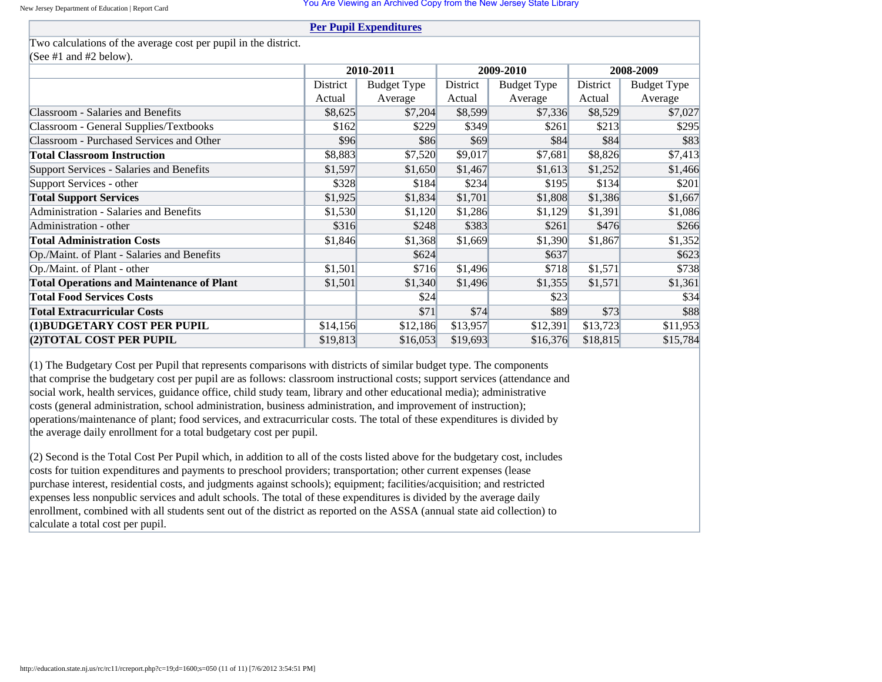### **[Per Pupil Expenditures](javascript:void(0))**

### Two calculations of the average cost per pupil in the district. (See #1 and #2 below).

| (See #1 and #2 below).                           |          |                    |          |                    |          |                    |  |
|--------------------------------------------------|----------|--------------------|----------|--------------------|----------|--------------------|--|
|                                                  |          | 2010-2011          |          | 2009-2010          |          | 2008-2009          |  |
|                                                  | District | <b>Budget Type</b> | District | <b>Budget Type</b> | District | <b>Budget Type</b> |  |
|                                                  | Actual   | Average            | Actual   | Average            | Actual   | Average            |  |
| <b>Classroom - Salaries and Benefits</b>         | \$8,625  | \$7,204            | \$8,599  | \$7,336            | \$8,529  | \$7,027            |  |
| Classroom - General Supplies/Textbooks           | \$162    | \$229              | \$349    | \$261              | \$213    | \$295              |  |
| <b>Classroom - Purchased Services and Other</b>  | \$96     | \$86               | \$69     | \$84               | \$84     | \$83               |  |
| <b>Total Classroom Instruction</b>               | \$8,883  | \$7,520            | \$9,017  | \$7,681            | \$8,826  | \$7,413            |  |
| Support Services - Salaries and Benefits         | \$1,597  | \$1,650            | \$1,467  | \$1,613            | \$1,252  | \$1,466            |  |
| Support Services - other                         | \$328    | \$184              | \$234    | \$195              | \$134    | \$201              |  |
| <b>Total Support Services</b>                    | \$1,925  | \$1,834            | \$1,701  | \$1,808            | \$1,386  | \$1,667            |  |
| Administration - Salaries and Benefits           | \$1,530  | \$1,120            | \$1,286  | \$1,129            | \$1,391  | \$1,086            |  |
| Administration - other                           | \$316    | \$248              | \$383    | \$261              | \$476    | \$266              |  |
| <b>Total Administration Costs</b>                | \$1,846  | \$1,368            | \$1,669  | \$1,390            | \$1,867  | \$1,352            |  |
| Op./Maint. of Plant - Salaries and Benefits      |          | \$624              |          | \$637              |          | \$623              |  |
| Op./Maint. of Plant - other                      | \$1,501  | \$716              | \$1,496  | \$718              | \$1,571  | \$738              |  |
| <b>Total Operations and Maintenance of Plant</b> | \$1,501  | \$1,340            | \$1,496  | \$1,355            | \$1,571  | \$1,361            |  |
| <b>Total Food Services Costs</b>                 |          | \$24               |          | \$23               |          | \$34               |  |
| <b>Total Extracurricular Costs</b>               |          | \$71               | \$74     | \$89               | \$73     | \$88               |  |
| (1)BUDGETARY COST PER PUPIL                      | \$14,156 | \$12,186           | \$13,957 | \$12,391           | \$13,723 | \$11,953           |  |
| (2) TOTAL COST PER PUPIL                         | \$19,813 | \$16,053           | \$19,693 | \$16,376           | \$18,815 | \$15,784           |  |

 $(1)$  The Budgetary Cost per Pupil that represents comparisons with districts of similar budget type. The components that comprise the budgetary cost per pupil are as follows: classroom instructional costs; support services (attendance and social work, health services, guidance office, child study team, library and other educational media); administrative costs (general administration, school administration, business administration, and improvement of instruction); operations/maintenance of plant; food services, and extracurricular costs. The total of these expenditures is divided by the average daily enrollment for a total budgetary cost per pupil.

 $(2)$  Second is the Total Cost Per Pupil which, in addition to all of the costs listed above for the budgetary cost, includes costs for tuition expenditures and payments to preschool providers; transportation; other current expenses (lease purchase interest, residential costs, and judgments against schools); equipment; facilities/acquisition; and restricted expenses less nonpublic services and adult schools. The total of these expenditures is divided by the average daily enrollment, combined with all students sent out of the district as reported on the ASSA (annual state aid collection) to calculate a total cost per pupil.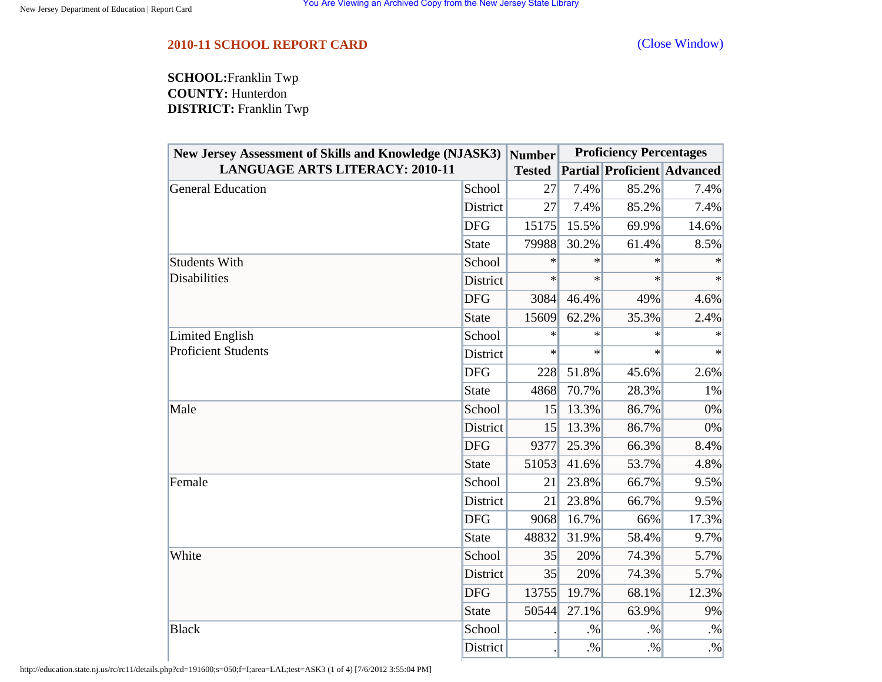## <span id="page-11-0"></span>**2010-11 SCHOOL REPORT CARD** [\(Close Window\)](#page-11-0)

**SCHOOL:**Franklin Twp **COUNTY:** Hunterdon **DISTRICT:** Franklin Twp

| <b>New Jersey Assessment of Skills and Knowledge (NJASK3)</b> |                 | <b>Number</b>   | <b>Proficiency Percentages</b> |        |                                    |
|---------------------------------------------------------------|-----------------|-----------------|--------------------------------|--------|------------------------------------|
| <b>LANGUAGE ARTS LITERACY: 2010-11</b>                        |                 | <b>Tested</b>   |                                |        | <b>Partial Proficient Advanced</b> |
| <b>General Education</b>                                      | School          | 27              | 7.4%                           | 85.2%  | 7.4%                               |
|                                                               | District        | 27              | 7.4%                           | 85.2%  | 7.4%                               |
|                                                               | <b>DFG</b>      | 15175           | 15.5%                          | 69.9%  | 14.6%                              |
|                                                               | <b>State</b>    | 79988           | 30.2%                          | 61.4%  | 8.5%                               |
| <b>Students With</b>                                          | School          | $\ast$          | $\ast$                         | $\ast$ |                                    |
| <b>Disabilities</b>                                           | District        | $\ast$          | $\ast$                         | $\ast$ | $\ast$                             |
|                                                               | <b>DFG</b>      | 3084            | 46.4%                          | 49%    | 4.6%                               |
|                                                               | <b>State</b>    | 15609           | 62.2%                          | 35.3%  | 2.4%                               |
| <b>Limited English</b>                                        | School          | $\ast$          | $\ast$                         | $\ast$ | $\ast$                             |
| <b>Proficient Students</b>                                    | District        | $\ast$          | $\ast$                         | $\ast$ | $\ast$                             |
|                                                               | <b>DFG</b>      | 228             | 51.8%                          | 45.6%  | 2.6%                               |
|                                                               | <b>State</b>    | 4868            | 70.7%                          | 28.3%  | $1\%$                              |
| Male                                                          | School          | 15 <sup>l</sup> | 13.3%                          | 86.7%  | 0%                                 |
|                                                               | District        | 15              | 13.3%                          | 86.7%  | 0%                                 |
|                                                               | <b>DFG</b>      | 9377            | 25.3%                          | 66.3%  | 8.4%                               |
|                                                               | <b>State</b>    | 51053           | 41.6%                          | 53.7%  | 4.8%                               |
| Female                                                        | School          | 21              | 23.8%                          | 66.7%  | 9.5%                               |
|                                                               | District        | 21              | 23.8%                          | 66.7%  | 9.5%                               |
|                                                               | <b>DFG</b>      | 9068            | 16.7%                          | 66%    | 17.3%                              |
|                                                               | <b>State</b>    | 48832           | 31.9%                          | 58.4%  | 9.7%                               |
| White                                                         | School          | 35              | 20%                            | 74.3%  | 5.7%                               |
|                                                               | District        | 35              | 20%                            | 74.3%  | 5.7%                               |
|                                                               | <b>DFG</b>      | 13755           | 19.7%                          | 68.1%  | 12.3%                              |
|                                                               | <b>State</b>    | 50544           | 27.1%                          | 63.9%  | 9%                                 |
| <b>Black</b>                                                  | School          |                 | $. \%$                         | .9/6   | $. \%$                             |
|                                                               | <b>District</b> |                 | $. \%$                         | $. \%$ | $. \%$                             |

http://education.state.nj.us/rc/rc11/details.php?cd=191600;s=050;f=I;area=LAL;test=ASK3 (1 of 4) [7/6/2012 3:55:04 PM]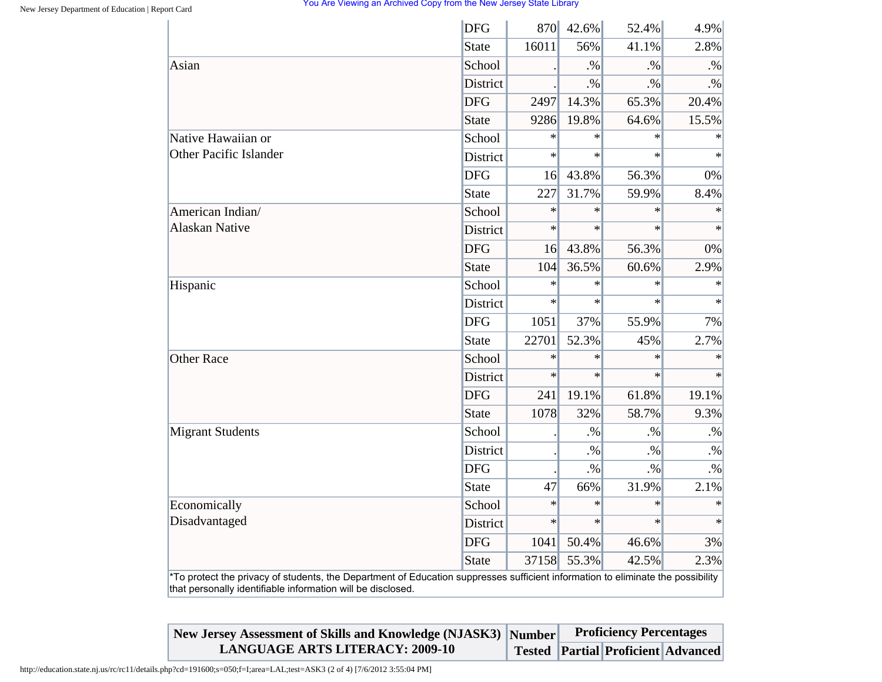|                                                                                                                                                                                                | <b>DFG</b>      |        | 870 42.6% | 52.4%  | 4.9%      |
|------------------------------------------------------------------------------------------------------------------------------------------------------------------------------------------------|-----------------|--------|-----------|--------|-----------|
|                                                                                                                                                                                                | <b>State</b>    | 16011  | 56%       | 41.1%  | 2.8%      |
| Asian                                                                                                                                                                                          | School          |        | .96       | $. \%$ | $. \%$    |
|                                                                                                                                                                                                | <b>District</b> |        | $. \%$    | $. \%$ | $\cdot\%$ |
|                                                                                                                                                                                                | <b>DFG</b>      | 2497   | 14.3%     | 65.3%  | 20.4%     |
|                                                                                                                                                                                                | <b>State</b>    | 9286   | 19.8%     | 64.6%  | 15.5%     |
| Native Hawaiian or                                                                                                                                                                             | School          | $\ast$ | $\ast$    | $\ast$ | $\ast$    |
| <b>Other Pacific Islander</b>                                                                                                                                                                  | District        | $\ast$ | $\ast$    | $\ast$ | $\star$   |
|                                                                                                                                                                                                | <b>DFG</b>      | 16     | 43.8%     | 56.3%  | 0%        |
|                                                                                                                                                                                                | <b>State</b>    | 227    | 31.7%     | 59.9%  | 8.4%      |
| American Indian/                                                                                                                                                                               | School          | $\ast$ | $\ast$    | $\ast$ | $\ast$    |
| <b>Alaskan Native</b>                                                                                                                                                                          | <b>District</b> | $\ast$ | $\ast$    | $\ast$ | $\ast$    |
|                                                                                                                                                                                                | <b>DFG</b>      | 16     | 43.8%     | 56.3%  | 0%        |
|                                                                                                                                                                                                | <b>State</b>    | 104    | 36.5%     | 60.6%  | 2.9%      |
| Hispanic                                                                                                                                                                                       | School          | $\ast$ | $\ast$    | $\ast$ | $\ast$    |
|                                                                                                                                                                                                | <b>District</b> | $\ast$ | $\ast$    | $\ast$ | $\ast$    |
|                                                                                                                                                                                                | <b>DFG</b>      | 1051   | 37%       | 55.9%  | 7%        |
|                                                                                                                                                                                                | <b>State</b>    | 22701  | 52.3%     | 45%    | 2.7%      |
| <b>Other Race</b>                                                                                                                                                                              | School          | $\ast$ | $\ast$    | $\ast$ | $\ast$    |
|                                                                                                                                                                                                | District        | $\ast$ | $\ast$    | $\ast$ | $\ast$    |
|                                                                                                                                                                                                | <b>DFG</b>      | 241    | 19.1%     | 61.8%  | 19.1%     |
|                                                                                                                                                                                                | <b>State</b>    | 1078   | 32%       | 58.7%  | 9.3%      |
| <b>Migrant Students</b>                                                                                                                                                                        | School          |        | $. \%$    | $. \%$ | $. \%$    |
|                                                                                                                                                                                                | District        |        | $. \%$    | $. \%$ | $. \%$    |
|                                                                                                                                                                                                | <b>DFG</b>      |        | $. \%$    | $. \%$ | $. \%$    |
|                                                                                                                                                                                                | <b>State</b>    | 47     | 66%       | 31.9%  | 2.1%      |
| Economically                                                                                                                                                                                   | School          | $\ast$ | $\ast$    | $\ast$ | $\ast$    |
| Disadvantaged                                                                                                                                                                                  | District        | $\ast$ | $\ast$    | $\ast$ | $\ast$    |
|                                                                                                                                                                                                | <b>DFG</b>      | 1041   | 50.4%     | 46.6%  | 3%        |
|                                                                                                                                                                                                | <b>State</b>    | 37158  | 55.3%     | 42.5%  | 2.3%      |
| *To protect the privacy of students, the Department of Education suppresses sufficient information to eliminate the possibility<br>that personally identifiable information will be disclosed. |                 |        |           |        |           |

| New Jersey Assessment of Skills and Knowledge (NJASK3) Number | <b>Proficiency Percentages</b> |                                           |  |  |
|---------------------------------------------------------------|--------------------------------|-------------------------------------------|--|--|
| <b>LANGUAGE ARTS LITERACY: 2009-10</b>                        |                                | <b>Tested Partial Proficient Advanced</b> |  |  |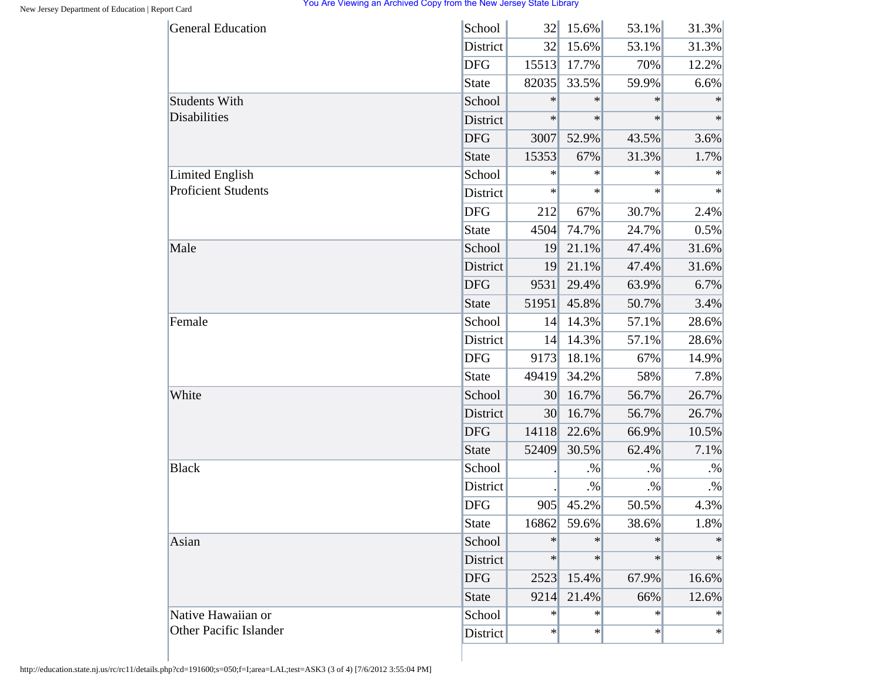| <b>General Education</b>      | School          | 32              | 15.6%     | 53.1%  | 31.3%     |
|-------------------------------|-----------------|-----------------|-----------|--------|-----------|
|                               | <b>District</b> | 32              | 15.6%     | 53.1%  | 31.3%     |
|                               | <b>DFG</b>      | 15513           | 17.7%     | 70%    | 12.2%     |
|                               | State           | 82035           | 33.5%     | 59.9%  | 6.6%      |
| <b>Students With</b>          | School          | $\ast$          | $\ast$    | $\ast$ | $\ast$    |
| Disabilities                  | District        | $\ast$          | $\ast$    | $\ast$ | $\ast$    |
|                               | <b>DFG</b>      | 3007            | 52.9%     | 43.5%  | 3.6%      |
|                               | State           | 15353           | 67%       | 31.3%  | 1.7%      |
| <b>Limited English</b>        | School          | $\ast$          | $\ast$    | $\ast$ | $\ast$    |
| <b>Proficient Students</b>    | District        | $\ast$          | $\ast$    | $\ast$ | $\ast$    |
|                               | <b>DFG</b>      | 212             | 67%       | 30.7%  | 2.4%      |
|                               | State           | 4504            | 74.7%     | 24.7%  | 0.5%      |
| Male                          | School          | 19              | 21.1%     | 47.4%  | 31.6%     |
|                               | District        | 19              | 21.1%     | 47.4%  | 31.6%     |
|                               | <b>DFG</b>      | 9531            | 29.4%     | 63.9%  | 6.7%      |
|                               | State           | 51951           | 45.8%     | 50.7%  | 3.4%      |
| Female                        | School          | 14              | 14.3%     | 57.1%  | 28.6%     |
|                               | District        | 14              | 14.3%     | 57.1%  | 28.6%     |
|                               | <b>DFG</b>      | 9173            | 18.1%     | 67%    | 14.9%     |
|                               | State           | 49419           | 34.2%     | 58%    | 7.8%      |
| White                         | School          | 30              | 16.7%     | 56.7%  | 26.7%     |
|                               | District        | 30 <sup>l</sup> | 16.7%     | 56.7%  | 26.7%     |
|                               | <b>DFG</b>      | 14118           | 22.6%     | 66.9%  | 10.5%     |
|                               | State           | 52409           | 30.5%     | 62.4%  | 7.1%      |
| <b>Black</b>                  | School          |                 | $\cdot\%$ | $. \%$ | $\cdot\%$ |
|                               | District        |                 | $. \%$    | $. \%$ | $. \%$    |
|                               | <b>DFG</b>      | 905             | 45.2%     | 50.5%  | 4.3%      |
|                               | <b>State</b>    | 16862           | 59.6%     | 38.6%  | 1.8%      |
| Asian                         | School          | $\ast$          | $\ast$    | $\ast$ | $\ast$    |
|                               | District        | $\ast$          | $\ast$    | $\ast$ | $\ast$    |
|                               | <b>DFG</b>      | 2523            | 15.4%     | 67.9%  | 16.6%     |
|                               | <b>State</b>    | 9214            | 21.4%     | 66%    | 12.6%     |
| Native Hawaiian or            | School          | $\ast$          | $\ast$    | $\ast$ | $\ast$    |
| <b>Other Pacific Islander</b> | District        | $\ast$          | $\ast$    | $\ast$ | $\ast$    |

http://education.state.nj.us/rc/rc11/details.php?cd=191600;s=050;f=I;area=LAL;test=ASK3 (3 of 4) [7/6/2012 3:55:04 PM]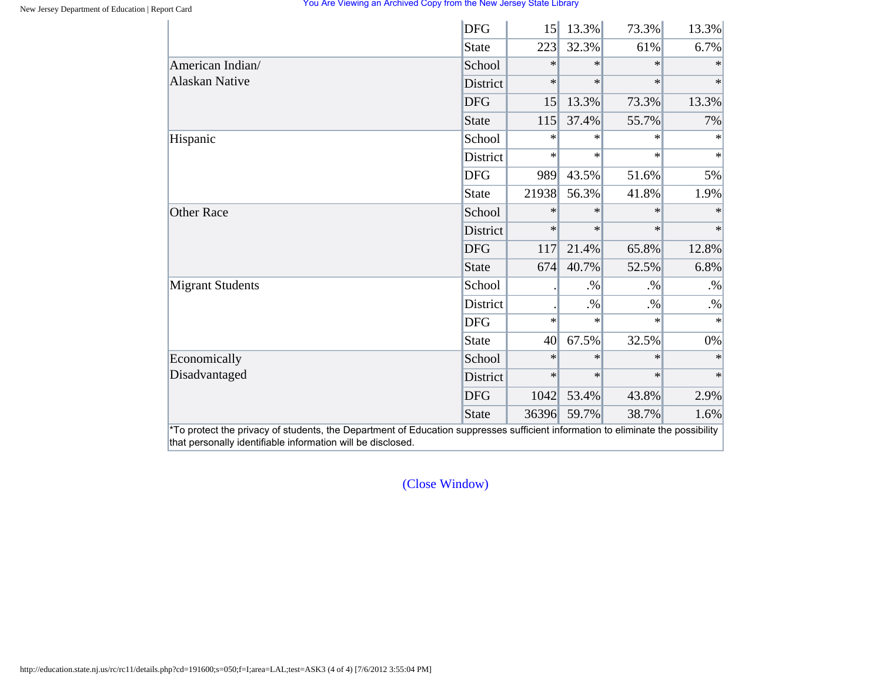|                         | <b>DFG</b>      | 15     | 13.3%  | 73.3%  | 13.3%  |
|-------------------------|-----------------|--------|--------|--------|--------|
|                         | State           | 223    | 32.3%  | 61%    | 6.7%   |
| American Indian/        | School          | $\ast$ | $\ast$ | $*$    | $\ast$ |
| <b>Alaskan Native</b>   | <b>District</b> | $\ast$ | $\ast$ | $\ast$ | $\ast$ |
|                         | <b>DFG</b>      | 15     | 13.3%  | 73.3%  | 13.3%  |
|                         | State           | 115    | 37.4%  | 55.7%  | 7%     |
| Hispanic                | School          | $\ast$ | $\ast$ | $\ast$ | $\ast$ |
|                         | District        | $\ast$ | $\ast$ | $\ast$ | $\ast$ |
|                         | <b>DFG</b>      | 989    | 43.5%  | 51.6%  | 5%     |
|                         | State           | 21938  | 56.3%  | 41.8%  | 1.9%   |
| <b>Other Race</b>       | School          | $\ast$ | $\ast$ | $\ast$ | $\ast$ |
|                         | <b>District</b> | $\ast$ | $\ast$ | $\ast$ | $\ast$ |
|                         | <b>DFG</b>      | 117    | 21.4%  | 65.8%  | 12.8%  |
|                         | State           | 674    | 40.7%  | 52.5%  | 6.8%   |
| <b>Migrant Students</b> | School          |        | $. \%$ | $. \%$ | $. \%$ |
|                         | District        |        | $. \%$ | $. \%$ | $. \%$ |
|                         | <b>DFG</b>      | $\ast$ | $\ast$ | $\ast$ | $\ast$ |
|                         | State           | 40     | 67.5%  | 32.5%  | $0\%$  |
| Economically            | School          | $\ast$ | $\ast$ | $\ast$ | $\ast$ |
| Disadvantaged           | District        | $\ast$ | $\ast$ | $\ast$ | $\ast$ |
|                         | <b>DFG</b>      | 1042   | 53.4%  | 43.8%  | 2.9%   |
|                         | State           | 36396  | 59.7%  | 38.7%  | 1.6%   |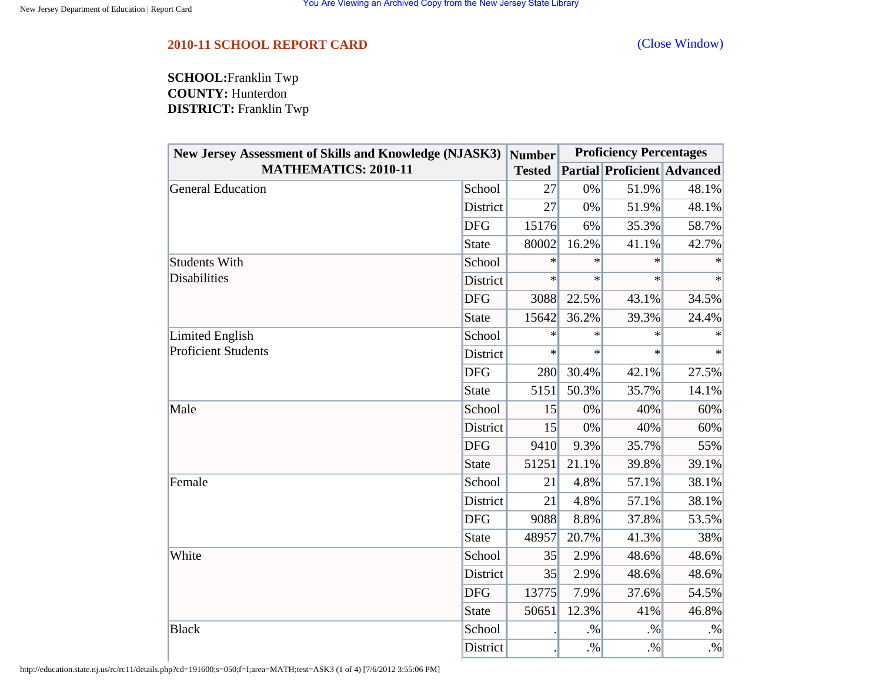## <span id="page-15-0"></span>**2010-11 SCHOOL REPORT CARD** [\(Close Window\)](#page-15-0)

**SCHOOL:**Franklin Twp **COUNTY:** Hunterdon **DISTRICT:** Franklin Twp

| New Jersey Assessment of Skills and Knowledge (NJASK3)  Number |              |               | <b>Proficiency Percentages</b> |                                    |        |
|----------------------------------------------------------------|--------------|---------------|--------------------------------|------------------------------------|--------|
| <b>MATHEMATICS: 2010-11</b>                                    |              | <b>Tested</b> |                                | <b>Partial Proficient Advanced</b> |        |
| <b>General Education</b>                                       | School       | 27            | 0%                             | 51.9%                              | 48.1%  |
|                                                                | District     | 27            | 0%                             | 51.9%                              | 48.1%  |
|                                                                | <b>DFG</b>   | 15176         | 6%                             | 35.3%                              | 58.7%  |
|                                                                | <b>State</b> | 80002         | 16.2%                          | 41.1%                              | 42.7%  |
| <b>Students With</b>                                           | School       | $\ast$        | ∗                              | $\ast$                             | ∗      |
| <b>Disabilities</b>                                            | District     | $\ast$        | $\ast$                         | $\ast$                             | $\ast$ |
|                                                                | <b>DFG</b>   | 3088          | 22.5%                          | 43.1%                              | 34.5%  |
|                                                                | <b>State</b> | 15642         | 36.2%                          | 39.3%                              | 24.4%  |
| Limited English                                                | School       | $\ast$        | $\ast$                         | $\ast$                             | $\ast$ |
| <b>Proficient Students</b>                                     | District     | $\ast$        | $\ast$                         | $\ast$                             | $\ast$ |
|                                                                | <b>DFG</b>   | 280           | 30.4%                          | 42.1%                              | 27.5%  |
|                                                                | <b>State</b> | 5151          | 50.3%                          | 35.7%                              | 14.1%  |
| Male                                                           | School       | 15            | 0%                             | 40%                                | 60%    |
|                                                                | District     | 15            | 0%                             | 40%                                | 60%    |
|                                                                | <b>DFG</b>   | 9410          | 9.3%                           | 35.7%                              | 55%    |
|                                                                | <b>State</b> | 51251         | 21.1%                          | 39.8%                              | 39.1%  |
| Female                                                         | School       | 21            | 4.8%                           | 57.1%                              | 38.1%  |
|                                                                | District     | 21            | 4.8%                           | 57.1%                              | 38.1%  |
|                                                                | <b>DFG</b>   | 9088          | 8.8%                           | 37.8%                              | 53.5%  |
|                                                                | <b>State</b> | 48957         | 20.7%                          | 41.3%                              | 38%    |
| White                                                          | School       | 35            | 2.9%                           | 48.6%                              | 48.6%  |
|                                                                | District     | 35            | 2.9%                           | 48.6%                              | 48.6%  |
|                                                                | <b>DFG</b>   | 13775         | 7.9%                           | 37.6%                              | 54.5%  |
|                                                                | <b>State</b> | 50651         | 12.3%                          | 41%                                | 46.8%  |
| <b>Black</b>                                                   | School       |               | $. \%$                         | $. \%$                             | $. \%$ |
|                                                                | District     |               | $. \%$                         | $. \%$                             | $. \%$ |

http://education.state.nj.us/rc/rc11/details.php?cd=191600;s=050;f=I;area=MATH;test=ASK3 (1 of 4) [7/6/2012 3:55:06 PM]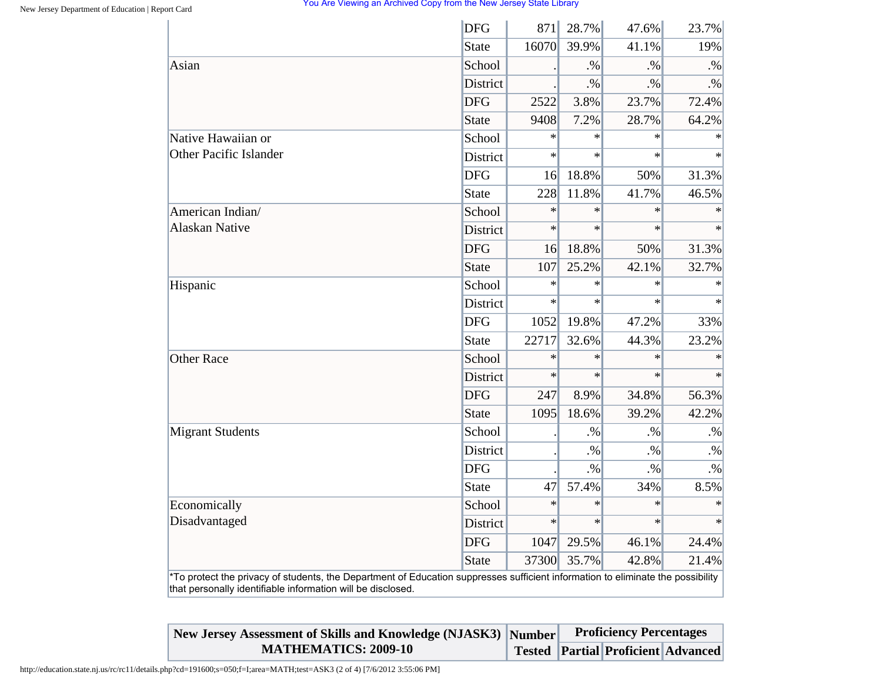|                                                                                                                                                                                                | <b>DFG</b>      | 871    | 28.7%  | 47.6%  | 23.7%  |
|------------------------------------------------------------------------------------------------------------------------------------------------------------------------------------------------|-----------------|--------|--------|--------|--------|
|                                                                                                                                                                                                | <b>State</b>    | 16070  | 39.9%  | 41.1%  | 19%    |
| Asian                                                                                                                                                                                          | School          |        | $. \%$ | $. \%$ | $. \%$ |
|                                                                                                                                                                                                | <b>District</b> |        | $. \%$ | $. \%$ | $. \%$ |
|                                                                                                                                                                                                | <b>DFG</b>      | 2522   | 3.8%   | 23.7%  | 72.4%  |
|                                                                                                                                                                                                | <b>State</b>    | 9408   | 7.2%   | 28.7%  | 64.2%  |
| Native Hawaiian or                                                                                                                                                                             | School          | $\ast$ | $\ast$ | $\ast$ |        |
| Other Pacific Islander                                                                                                                                                                         | District        | $\ast$ | $\ast$ | $\ast$ | $\ast$ |
|                                                                                                                                                                                                | <b>DFG</b>      | 16     | 18.8%  | 50%    | 31.3%  |
|                                                                                                                                                                                                | <b>State</b>    | 228    | 11.8%  | 41.7%  | 46.5%  |
| American Indian/                                                                                                                                                                               | School          | $\ast$ | $\ast$ | $\ast$ |        |
| <b>Alaskan Native</b>                                                                                                                                                                          | District        | $\ast$ | $\ast$ | $\ast$ | $\ast$ |
|                                                                                                                                                                                                | <b>DFG</b>      | 16     | 18.8%  | 50%    | 31.3%  |
|                                                                                                                                                                                                | <b>State</b>    | 107    | 25.2%  | 42.1%  | 32.7%  |
| Hispanic                                                                                                                                                                                       | School          | $\ast$ | $\ast$ | $\ast$ | $\ast$ |
|                                                                                                                                                                                                | <b>District</b> | $\ast$ | $\ast$ | $\ast$ | $\ast$ |
|                                                                                                                                                                                                | <b>DFG</b>      | 1052   | 19.8%  | 47.2%  | 33%    |
|                                                                                                                                                                                                | <b>State</b>    | 22717  | 32.6%  | 44.3%  | 23.2%  |
| <b>Other Race</b>                                                                                                                                                                              | School          | $\ast$ | $\ast$ | $\ast$ | $\ast$ |
|                                                                                                                                                                                                | District        | $\ast$ | $\ast$ | $\ast$ | $\ast$ |
|                                                                                                                                                                                                | <b>DFG</b>      | 247    | 8.9%   | 34.8%  | 56.3%  |
|                                                                                                                                                                                                | <b>State</b>    | 1095   | 18.6%  | 39.2%  | 42.2%  |
| <b>Migrant Students</b>                                                                                                                                                                        | School          |        | $. \%$ | $. \%$ | $. \%$ |
|                                                                                                                                                                                                | District        |        | $. \%$ | $. \%$ | $. \%$ |
|                                                                                                                                                                                                | <b>DFG</b>      |        | $. \%$ | $. \%$ | $. \%$ |
|                                                                                                                                                                                                | <b>State</b>    | 47     | 57.4%  | 34%    | 8.5%   |
| Economically                                                                                                                                                                                   | School          | $\ast$ | $\ast$ | $\ast$ | $\ast$ |
| Disadvantaged                                                                                                                                                                                  | District        | $\ast$ | $\ast$ | $\ast$ | $\ast$ |
|                                                                                                                                                                                                | <b>DFG</b>      | 1047   | 29.5%  | 46.1%  | 24.4%  |
|                                                                                                                                                                                                | <b>State</b>    | 37300  | 35.7%  | 42.8%  | 21.4%  |
| *To protect the privacy of students, the Department of Education suppresses sufficient information to eliminate the possibility<br>that personally identifiable information will be disclosed. |                 |        |        |        |        |

| New Jersey Assessment of Skills and Knowledge (NJASK3) Number | <b>Proficiency Percentages</b> |                                           |  |  |
|---------------------------------------------------------------|--------------------------------|-------------------------------------------|--|--|
| <b>MATHEMATICS: 2009-10</b>                                   |                                | <b>Tested Partial Proficient Advanced</b> |  |  |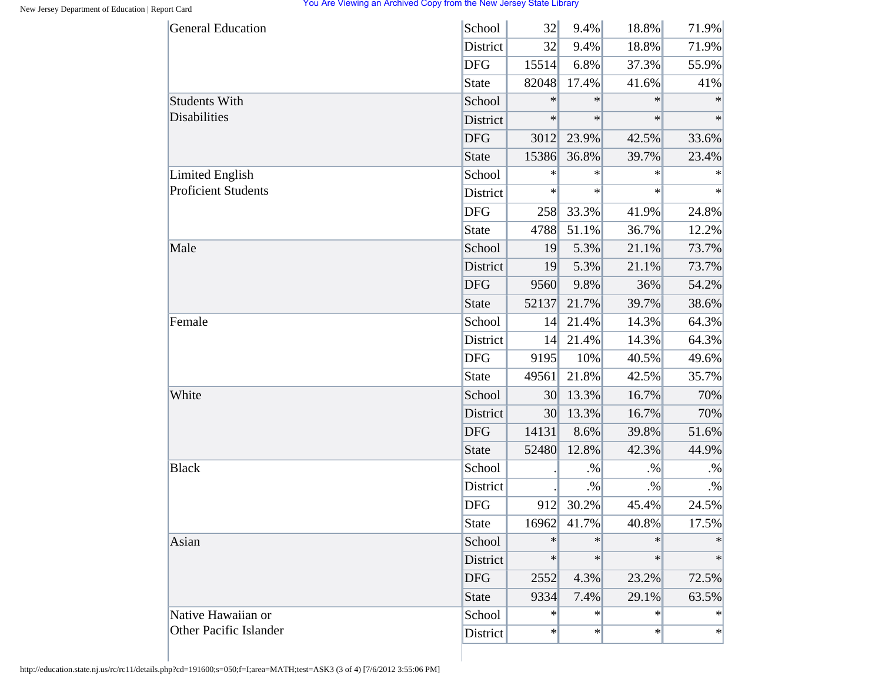| <b>General Education</b>   | School       | 32              | 9.4%   | 18.8%  | 71.9%     |
|----------------------------|--------------|-----------------|--------|--------|-----------|
|                            | District     | 32              | 9.4%   | 18.8%  | 71.9%     |
|                            | <b>DFG</b>   | 15514           | 6.8%   | 37.3%  | 55.9%     |
|                            | <b>State</b> | 82048           | 17.4%  | 41.6%  | 41%       |
| <b>Students With</b>       | School       | $\ast$          | $\ast$ | $\ast$ | $\ast$    |
| Disabilities               | District     | $\ast$          | $\ast$ | $\ast$ | $\ast$    |
|                            | <b>DFG</b>   | 3012            | 23.9%  | 42.5%  | 33.6%     |
|                            | <b>State</b> | 15386           | 36.8%  | 39.7%  | 23.4%     |
| <b>Limited English</b>     | School       | ∗               | $\ast$ | $\ast$ | $\ast$    |
| <b>Proficient Students</b> | District     | $\ast$          | $\ast$ | $\ast$ | $\ast$    |
|                            | <b>DFG</b>   | 258             | 33.3%  | 41.9%  | 24.8%     |
|                            | <b>State</b> | 4788            | 51.1%  | 36.7%  | 12.2%     |
| Male                       | School       | 19              | 5.3%   | 21.1%  | 73.7%     |
|                            | District     | 19              | 5.3%   | 21.1%  | 73.7%     |
|                            | <b>DFG</b>   | 9560            | 9.8%   | 36%    | 54.2%     |
|                            | <b>State</b> | 52137           | 21.7%  | 39.7%  | 38.6%     |
| Female                     | School       | 14              | 21.4%  | 14.3%  | 64.3%     |
|                            | District     | 14              | 21.4%  | 14.3%  | 64.3%     |
|                            | <b>DFG</b>   | 9195            | 10%    | 40.5%  | 49.6%     |
|                            | <b>State</b> | 49561           | 21.8%  | 42.5%  | 35.7%     |
| White                      | School       | 30              | 13.3%  | 16.7%  | 70%       |
|                            | District     | 30 <sup>l</sup> | 13.3%  | 16.7%  | 70%       |
|                            | <b>DFG</b>   | 14131           | 8.6%   | 39.8%  | 51.6%     |
|                            | <b>State</b> | 52480           | 12.8%  | 42.3%  | 44.9%     |
| <b>Black</b>               | School       |                 | $. \%$ | $. \%$ | $\cdot\%$ |
|                            | District     |                 | $. \%$ | $. \%$ | $. \%$    |
|                            | <b>DFG</b>   | 912             | 30.2%  | 45.4%  | 24.5%     |
|                            | <b>State</b> | 16962           | 41.7%  | 40.8%  | 17.5%     |
| Asian                      | School       | $\ast$          | $\ast$ | $\ast$ | ∗         |
|                            | District     | $\ast$          | $\ast$ | $\ast$ | $\ast$    |
|                            | <b>DFG</b>   | 2552            | 4.3%   | 23.2%  | 72.5%     |
|                            | <b>State</b> | 9334            | 7.4%   | 29.1%  | 63.5%     |
| Native Hawaiian or         | School       | $\ast$          | $\ast$ | ∗      | $\ast$    |
| Other Pacific Islander     | District     | $\ast$          | $\ast$ | $\ast$ | $\ast$    |

http://education.state.nj.us/rc/rc11/details.php?cd=191600;s=050;f=I;area=MATH;test=ASK3 (3 of 4) [7/6/2012 3:55:06 PM]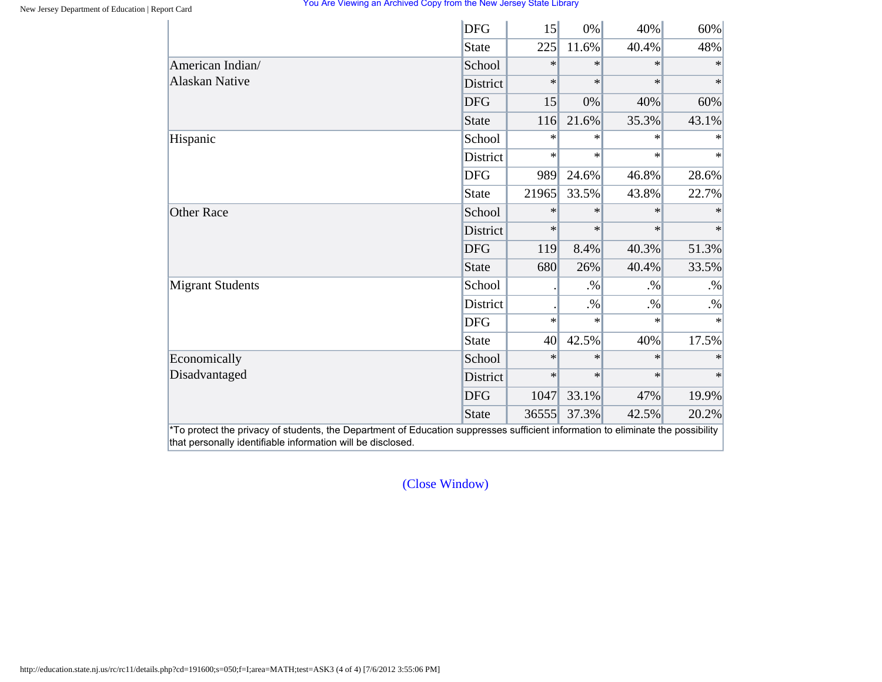|                         | <b>DFG</b>      | 15     | 0%     | 40%    | 60%    |
|-------------------------|-----------------|--------|--------|--------|--------|
|                         | State           | 225    | 11.6%  | 40.4%  | 48%    |
| American Indian/        | School          | $\ast$ | $\ast$ | $\ast$ | $\ast$ |
| <b>Alaskan Native</b>   | <b>District</b> | $\ast$ | $\ast$ | $\ast$ | $\ast$ |
|                         | <b>DFG</b>      | 15     | 0%     | 40%    | 60%    |
|                         | State           | 116    | 21.6%  | 35.3%  | 43.1%  |
| Hispanic                | School          | $\ast$ | $\ast$ | $\ast$ | $\ast$ |
|                         | District        | $\ast$ | $\ast$ | $\ast$ | $\ast$ |
|                         | <b>DFG</b>      | 989    | 24.6%  | 46.8%  | 28.6%  |
|                         | State           | 21965  | 33.5%  | 43.8%  | 22.7%  |
| <b>Other Race</b>       | School          | $\ast$ | $\ast$ | $\ast$ | $\ast$ |
|                         | District        | $\ast$ | $\ast$ | $\ast$ | $\ast$ |
|                         | <b>DFG</b>      | 119    | 8.4%   | 40.3%  | 51.3%  |
|                         | State           | 680    | 26%    | 40.4%  | 33.5%  |
| <b>Migrant Students</b> | School          |        | $. \%$ | $. \%$ | $. \%$ |
|                         | District        |        | $. \%$ | $. \%$ | $. \%$ |
|                         | <b>DFG</b>      | $\ast$ | $\ast$ | $\ast$ | $\ast$ |
|                         | <b>State</b>    | 40     | 42.5%  | 40%    | 17.5%  |
| Economically            | School          | $\ast$ | $\ast$ | $\ast$ | $\ast$ |
| Disadvantaged           | <b>District</b> | $\ast$ | $\ast$ | $\ast$ | $\ast$ |
|                         | <b>DFG</b>      | 1047   | 33.1%  | 47%    | 19.9%  |
|                         | State           | 36555  | 37.3%  | 42.5%  | 20.2%  |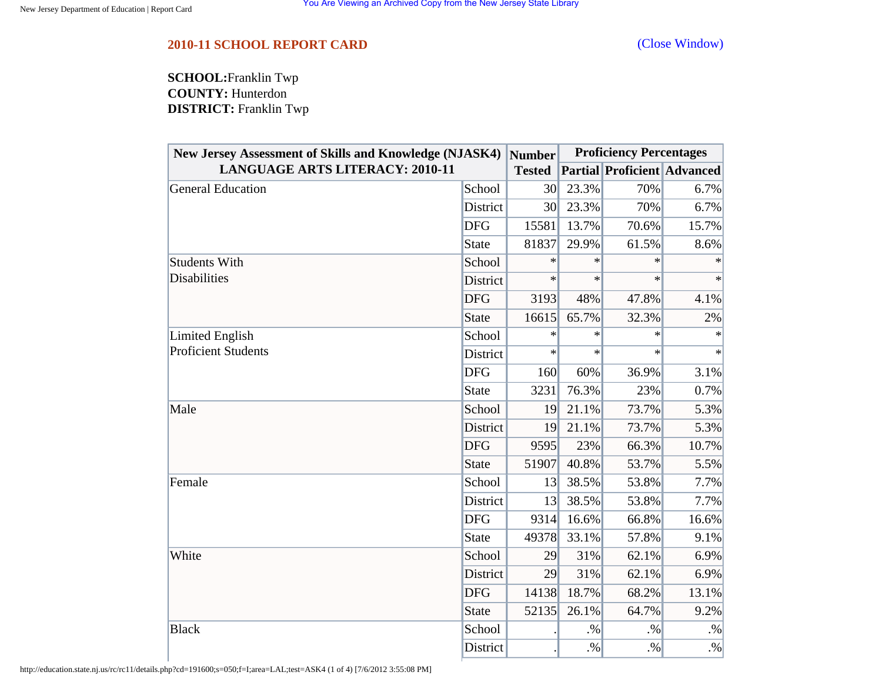## <span id="page-19-0"></span>**2010-11 SCHOOL REPORT CARD** [\(Close Window\)](#page-19-0)

**SCHOOL:**Franklin Twp **COUNTY:** Hunterdon **DISTRICT:** Franklin Twp

| <b>New Jersey Assessment of Skills and Knowledge (NJASK4)</b> |              | <b>Number</b>   | <b>Proficiency Percentages</b> |        |                                    |
|---------------------------------------------------------------|--------------|-----------------|--------------------------------|--------|------------------------------------|
| <b>LANGUAGE ARTS LITERACY: 2010-11</b>                        |              | <b>Tested</b>   |                                |        | <b>Partial Proficient Advanced</b> |
| General Education                                             | School       | 30 <sup>l</sup> | 23.3%                          | 70%    | 6.7%                               |
|                                                               | District     | 30              | 23.3%                          | 70%    | 6.7%                               |
|                                                               | <b>DFG</b>   | 15581           | 13.7%                          | 70.6%  | 15.7%                              |
|                                                               | <b>State</b> | 81837           | 29.9%                          | 61.5%  | 8.6%                               |
| <b>Students With</b>                                          | School       | $\ast$          | $\ast$                         | $\ast$ |                                    |
| <b>Disabilities</b>                                           | District     | $\ast$          | $\ast$                         | $\ast$ | $\ast$                             |
|                                                               | <b>DFG</b>   | 3193            | 48%                            | 47.8%  | 4.1%                               |
|                                                               | <b>State</b> | 16615           | 65.7%                          | 32.3%  | 2%                                 |
| Limited English                                               | School       | $\ast$          | $\ast$                         | $\ast$ | $\ast$                             |
| <b>Proficient Students</b>                                    | District     | $\ast$          | $\ast$                         | $\ast$ | $\ast$                             |
|                                                               | <b>DFG</b>   | 160             | 60%                            | 36.9%  | 3.1%                               |
|                                                               | <b>State</b> | 3231            | 76.3%                          | 23%    | 0.7%                               |
| Male                                                          | School       | 19              | 21.1%                          | 73.7%  | 5.3%                               |
|                                                               | District     | 19              | 21.1%                          | 73.7%  | 5.3%                               |
|                                                               | <b>DFG</b>   | 9595            | 23%                            | 66.3%  | 10.7%                              |
|                                                               | <b>State</b> | 51907           | 40.8%                          | 53.7%  | 5.5%                               |
| Female                                                        | School       | 13              | 38.5%                          | 53.8%  | 7.7%                               |
|                                                               | District     | 13              | 38.5%                          | 53.8%  | 7.7%                               |
|                                                               | <b>DFG</b>   | 9314            | 16.6%                          | 66.8%  | 16.6%                              |
|                                                               | <b>State</b> | 49378           | 33.1%                          | 57.8%  | 9.1%                               |
| White                                                         | School       | 29              | 31%                            | 62.1%  | 6.9%                               |
|                                                               | District     | 29              | 31%                            | 62.1%  | 6.9%                               |
|                                                               | <b>DFG</b>   | 14138           | 18.7%                          | 68.2%  | 13.1%                              |
|                                                               | <b>State</b> | 52135           | 26.1%                          | 64.7%  | 9.2%                               |
| <b>Black</b>                                                  | School       |                 | $. \%$                         | .9/6   | $. \%$                             |
|                                                               | District     |                 | $. \%$                         | $. \%$ | $. \%$                             |

http://education.state.nj.us/rc/rc11/details.php?cd=191600;s=050;f=I;area=LAL;test=ASK4 (1 of 4) [7/6/2012 3:55:08 PM]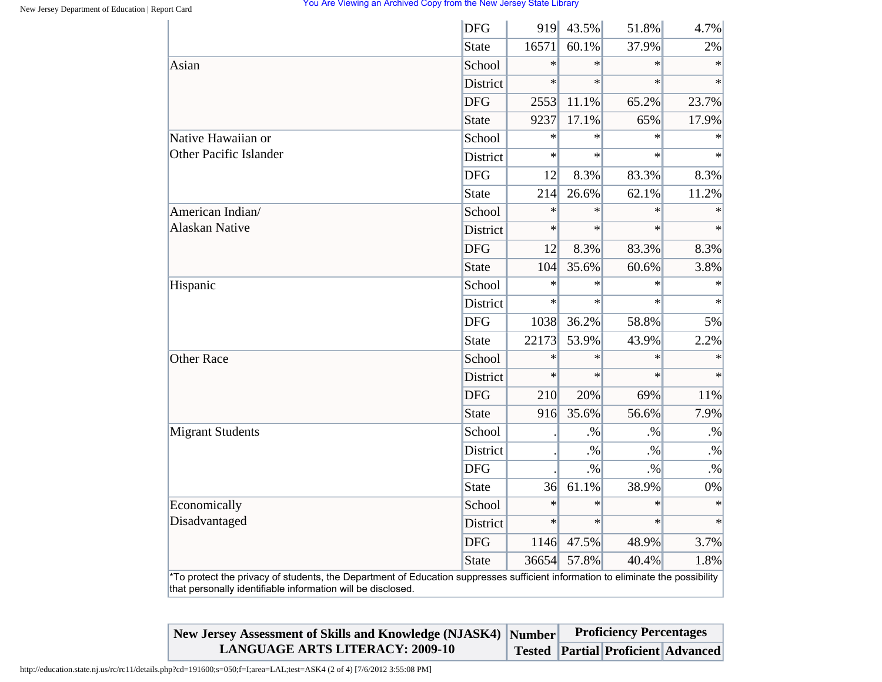|                                                                                                                                                                                                | <b>DFG</b>      | 919    | 43.5%  | 51.8%  | 4.7%    |
|------------------------------------------------------------------------------------------------------------------------------------------------------------------------------------------------|-----------------|--------|--------|--------|---------|
|                                                                                                                                                                                                | <b>State</b>    | 16571  | 60.1%  | 37.9%  | 2%      |
| Asian                                                                                                                                                                                          | School          | $\ast$ | $\ast$ | $\ast$ | $\ast$  |
|                                                                                                                                                                                                | <b>District</b> | $\ast$ | $\ast$ | $\ast$ | $\ast$  |
|                                                                                                                                                                                                | <b>DFG</b>      | 2553   | 11.1%  | 65.2%  | 23.7%   |
|                                                                                                                                                                                                | <b>State</b>    | 9237   | 17.1%  | 65%    | 17.9%   |
| Native Hawaiian or                                                                                                                                                                             | School          | $\ast$ | $\ast$ | $\ast$ | $\ast$  |
| <b>Other Pacific Islander</b>                                                                                                                                                                  | District        | $\ast$ | $\ast$ | $\ast$ | $\star$ |
|                                                                                                                                                                                                | <b>DFG</b>      | 12     | 8.3%   | 83.3%  | 8.3%    |
|                                                                                                                                                                                                | <b>State</b>    | 214    | 26.6%  | 62.1%  | 11.2%   |
| American Indian/                                                                                                                                                                               | School          | $\ast$ | $\ast$ | $\ast$ | $\ast$  |
| <b>Alaskan Native</b>                                                                                                                                                                          | District        | $\ast$ | $\ast$ | $\ast$ | $\ast$  |
|                                                                                                                                                                                                | <b>DFG</b>      | 12     | 8.3%   | 83.3%  | 8.3%    |
|                                                                                                                                                                                                | <b>State</b>    | 104    | 35.6%  | 60.6%  | 3.8%    |
| Hispanic                                                                                                                                                                                       | School          | $\ast$ | $\ast$ | $\ast$ | $\ast$  |
|                                                                                                                                                                                                | District        | $\ast$ | $\ast$ | $\ast$ | $\ast$  |
|                                                                                                                                                                                                | <b>DFG</b>      | 1038   | 36.2%  | 58.8%  | 5%      |
|                                                                                                                                                                                                | <b>State</b>    | 22173  | 53.9%  | 43.9%  | 2.2%    |
| <b>Other Race</b>                                                                                                                                                                              | School          | $\ast$ | $\ast$ | $\ast$ | $\ast$  |
|                                                                                                                                                                                                | <b>District</b> | $\ast$ | $\ast$ | $\ast$ | $\ast$  |
|                                                                                                                                                                                                | <b>DFG</b>      | 210    | 20%    | 69%    | 11%     |
|                                                                                                                                                                                                | <b>State</b>    | 916    | 35.6%  | 56.6%  | 7.9%    |
| <b>Migrant Students</b>                                                                                                                                                                        | School          |        | $. \%$ | $. \%$ | $. \%$  |
|                                                                                                                                                                                                | <b>District</b> |        | $. \%$ | $. \%$ | $. \%$  |
|                                                                                                                                                                                                | <b>DFG</b>      |        | $. \%$ | $. \%$ | .%      |
|                                                                                                                                                                                                | <b>State</b>    | 36     | 61.1%  | 38.9%  | 0%      |
| Economically                                                                                                                                                                                   | School          | $\ast$ | $\ast$ | $\ast$ | $\ast$  |
| Disadvantaged                                                                                                                                                                                  | District        | $\ast$ | $\ast$ | $\ast$ | $\ast$  |
|                                                                                                                                                                                                | <b>DFG</b>      | 1146   | 47.5%  | 48.9%  | 3.7%    |
|                                                                                                                                                                                                | <b>State</b>    | 36654  | 57.8%  | 40.4%  | 1.8%    |
| *To protect the privacy of students, the Department of Education suppresses sufficient information to eliminate the possibility<br>that personally identifiable information will be disclosed. |                 |        |        |        |         |

| New Jersey Assessment of Skills and Knowledge (NJASK4) Number | <b>Proficiency Percentages</b> |  |                                           |  |
|---------------------------------------------------------------|--------------------------------|--|-------------------------------------------|--|
| <b>LANGUAGE ARTS LITERACY: 2009-10</b>                        |                                |  | <b>Tested Partial Proficient Advanced</b> |  |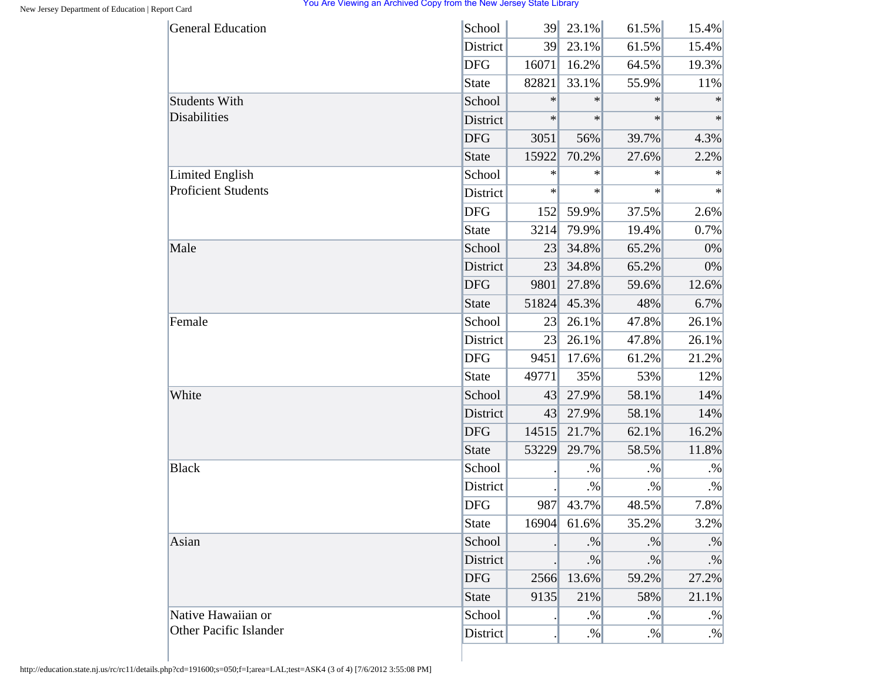| <b>General Education</b>   | School          | 39     | $23.1\%$ | 61.5%  | 15.4%     |
|----------------------------|-----------------|--------|----------|--------|-----------|
|                            | District        | 39     | 23.1%    | 61.5%  | 15.4%     |
|                            | <b>DFG</b>      | 16071  | 16.2%    | 64.5%  | 19.3%     |
|                            | <b>State</b>    | 82821  | 33.1%    | 55.9%  | 11%       |
| <b>Students With</b>       | School          | $\ast$ | $\ast$   | $\ast$ | $\ast$    |
| Disabilities               | District        | $\ast$ | $\ast$   | $\ast$ | $\ast$    |
|                            | <b>DFG</b>      | 3051   | 56%      | 39.7%  | 4.3%      |
|                            | <b>State</b>    | 15922  | 70.2%    | 27.6%  | 2.2%      |
| <b>Limited English</b>     | School          | $\ast$ | $\ast$   | $\ast$ | $\ast$    |
| <b>Proficient Students</b> | District        | $\ast$ | $\ast$   | $\ast$ | $\ast$    |
|                            | <b>DFG</b>      | 152    | 59.9%    | 37.5%  | 2.6%      |
|                            | <b>State</b>    | 3214   | 79.9%    | 19.4%  | 0.7%      |
| Male                       | School          | 23     | 34.8%    | 65.2%  | 0%        |
|                            | District        | 23     | 34.8%    | 65.2%  | 0%        |
|                            | <b>DFG</b>      | 9801   | 27.8%    | 59.6%  | 12.6%     |
|                            | <b>State</b>    | 51824  | 45.3%    | 48%    | 6.7%      |
| Female                     | School          | 23     | 26.1%    | 47.8%  | 26.1%     |
|                            | District        | 23     | 26.1%    | 47.8%  | 26.1%     |
|                            | <b>DFG</b>      | 9451   | 17.6%    | 61.2%  | 21.2%     |
|                            | <b>State</b>    | 49771  | 35%      | 53%    | 12%       |
| White                      | School          | 43     | 27.9%    | 58.1%  | 14%       |
|                            | District        | 43     | 27.9%    | 58.1%  | 14%       |
|                            | <b>DFG</b>      | 14515  | 21.7%    | 62.1%  | 16.2%     |
|                            | <b>State</b>    | 53229  | 29.7%    | 58.5%  | 11.8%     |
| <b>Black</b>               | School          |        | $. \%$   | $. \%$ | $. \%$    |
|                            | District        |        | $. \%$   | $. \%$ | $. \%$    |
|                            | <b>DFG</b>      | 987    | 43.7%    | 48.5%  | 7.8%      |
|                            | <b>State</b>    | 16904  | 61.6%    | 35.2%  | 3.2%      |
| Asian                      | School          |        | $. \%$   | $. \%$ | $\cdot\%$ |
|                            | <b>District</b> |        | $. \%$   | $. \%$ | $. \%$    |
|                            | <b>DFG</b>      | 2566   | 13.6%    | 59.2%  | 27.2%     |
|                            | <b>State</b>    | 9135   | 21%      | 58%    | 21.1%     |
| Native Hawaiian or         | School          |        | $. \%$   | $. \%$ | $. \%$    |
| Other Pacific Islander     | District        |        | $. \%$   | $. \%$ | $. \%$    |

http://education.state.nj.us/rc/rc11/details.php?cd=191600;s=050;f=I;area=LAL;test=ASK4 (3 of 4) [7/6/2012 3:55:08 PM]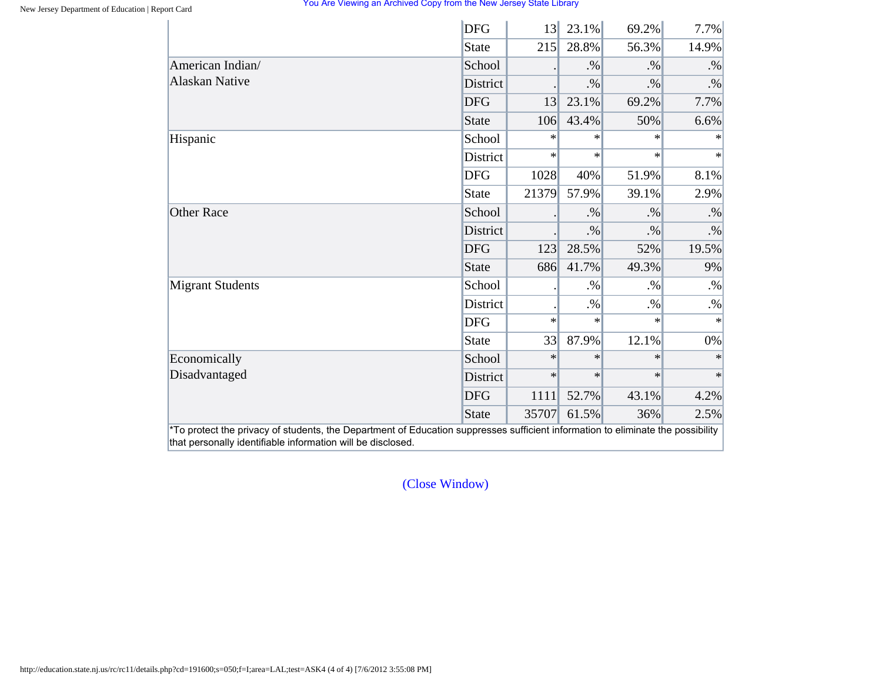|                         | <b>DFG</b>      | 13     | 23.1%  | 69.2%  | 7.7%   |
|-------------------------|-----------------|--------|--------|--------|--------|
|                         | State           | 215    | 28.8%  | 56.3%  | 14.9%  |
| American Indian/        | School          |        | $. \%$ | $. \%$ | $. \%$ |
| <b>Alaskan Native</b>   | <b>District</b> |        | $. \%$ | .9/6   | $. \%$ |
|                         | <b>DFG</b>      | 13     | 23.1%  | 69.2%  | 7.7%   |
|                         | State           | 106    | 43.4%  | 50%    | 6.6%   |
| Hispanic                | School          | $\ast$ | $\ast$ | $\ast$ | $\ast$ |
|                         | District        | $\ast$ | $\ast$ | $\ast$ | $\ast$ |
|                         | <b>DFG</b>      | 1028   | 40%    | 51.9%  | 8.1%   |
|                         | State           | 21379  | 57.9%  | 39.1%  | 2.9%   |
| <b>Other Race</b>       | School          |        | $. \%$ | $. \%$ | $. \%$ |
|                         | <b>District</b> |        | $. \%$ | $. \%$ | $. \%$ |
|                         | <b>DFG</b>      | 123    | 28.5%  | 52%    | 19.5%  |
|                         | State           | 686    | 41.7%  | 49.3%  | 9%     |
| <b>Migrant Students</b> | School          |        | $. \%$ | $. \%$ | $. \%$ |
|                         | District        |        | $. \%$ | $. \%$ | $. \%$ |
|                         | <b>DFG</b>      | $\ast$ | $\ast$ | $\ast$ | $\ast$ |
|                         | State           | 33     | 87.9%  | 12.1%  | $0\%$  |
| Economically            | School          | $\ast$ | $\ast$ | $\ast$ | $\ast$ |
| Disadvantaged           | District        | $\ast$ | $\ast$ | $\ast$ | $\ast$ |
|                         | <b>DFG</b>      | 1111   | 52.7%  | 43.1%  | 4.2%   |
|                         | State           | 35707  | 61.5%  | 36%    | 2.5%   |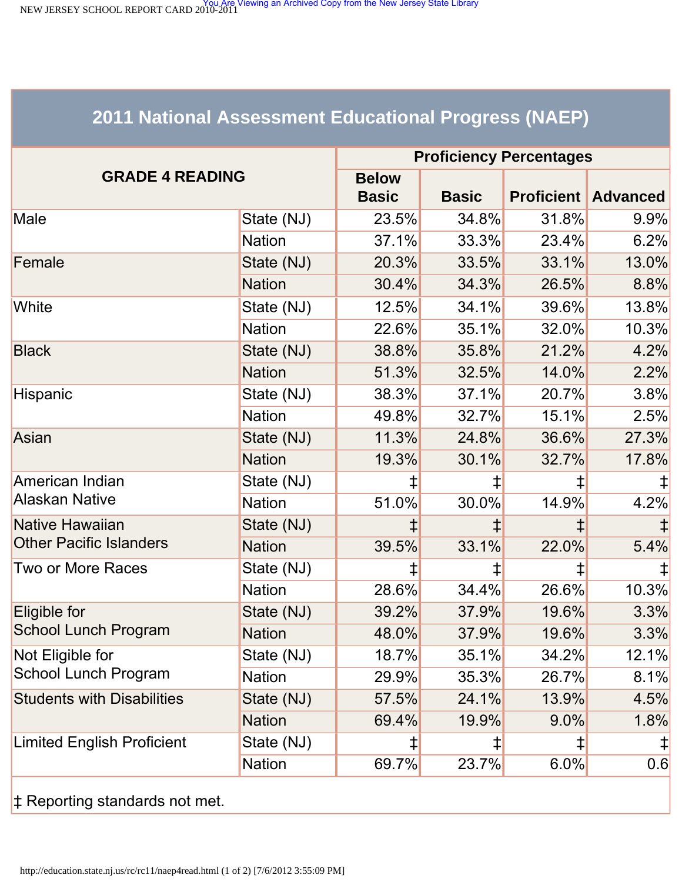<span id="page-23-1"></span><span id="page-23-0"></span>NEW JERSEY SCHOOL REPORT CARD 2010-2011<br>NEW JERSEY SCHOOL REPORT CARD 2010-2011

# **2011 National Assessment Educational Progress (NAEP)**

| State (NJ)<br><b>Nation</b> | <b>Below</b><br><b>Basic</b><br>23.5% | <b>Basic</b> | <b>Proficient</b> |                 |
|-----------------------------|---------------------------------------|--------------|-------------------|-----------------|
|                             |                                       |              |                   | <b>Advanced</b> |
|                             |                                       | 34.8%        | 31.8%             | $9.9\%$         |
|                             | 37.1%                                 | 33.3%        | 23.4%             | 6.2%            |
|                             | 20.3%                                 | 33.5%        | 33.1%             | 13.0%           |
| <b>Nation</b>               | 30.4%                                 | 34.3%        | 26.5%             | 8.8%            |
| State (NJ)                  | 12.5%                                 | 34.1%        | 39.6%             | 13.8%           |
| <b>Nation</b>               | 22.6%                                 | 35.1%        | 32.0%             | 10.3%           |
| State (NJ)                  | 38.8%                                 | 35.8%        | 21.2%             | 4.2%            |
| <b>Nation</b>               | 51.3%                                 | 32.5%        | 14.0%             | 2.2%            |
| State (NJ)                  | 38.3%                                 | 37.1%        | 20.7%             | 3.8%            |
| <b>Nation</b>               | 49.8%                                 | 32.7%        | 15.1%             | 2.5%            |
| State (NJ)                  | 11.3%                                 | 24.8%        | 36.6%             | 27.3%           |
| <b>Nation</b>               | 19.3%                                 | 30.1%        | 32.7%             | 17.8%           |
| State (NJ)                  | ‡                                     |              | ‡                 |                 |
| <b>Nation</b>               | 51.0%                                 | 30.0%        | 14.9%             | 4.2%            |
| State (NJ)                  |                                       |              |                   |                 |
| <b>Nation</b>               | 39.5%                                 | 33.1%        | 22.0%             | 5.4%            |
| State (NJ)                  | ‡                                     | ⇟            | $\ddagger$        |                 |
| <b>Nation</b>               | 28.6%                                 | 34.4%        | 26.6%             | 10.3%           |
| State (NJ)                  | 39.2%                                 | 37.9%        | 19.6%             | 3.3%            |
| <b>Nation</b>               | 48.0%                                 | 37.9%        | 19.6%             | 3.3%            |
| State (NJ)                  | 18.7%                                 | 35.1%        | 34.2%             | 12.1%           |
| <b>Nation</b>               | 29.9%                                 | 35.3%        | 26.7%             | 8.1%            |
| State (NJ)                  | 57.5%                                 | 24.1%        | 13.9%             | 4.5%            |
| <b>Nation</b>               | 69.4%                                 | 19.9%        | $9.0\%$           | 1.8%            |
| State (NJ)                  | $\ddagger$                            | ⇟            | ‡                 | $\ddagger$      |
| <b>Nation</b>               | 69.7%                                 | 23.7%        | 6.0%              | 0.6             |
|                             | State (NJ)                            |              |                   |                 |

‡ Reporting standards not met.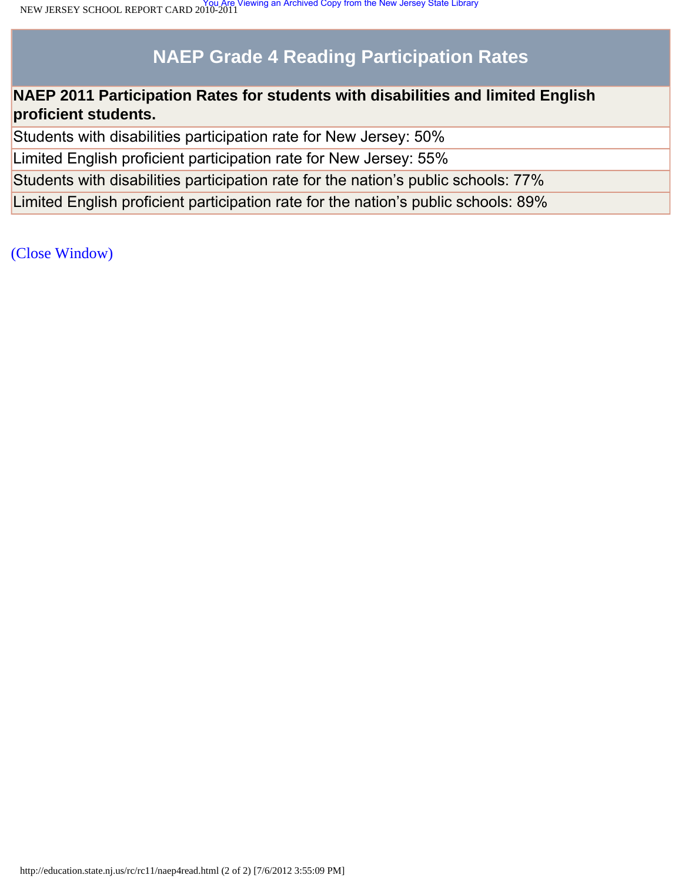# **NAEP Grade 4 Reading Participation Rates**

## **NAEP 2011 Participation Rates for students with disabilities and limited English proficient students.**

Students with disabilities participation rate for New Jersey: 50%

Limited English proficient participation rate for New Jersey: 55%

Students with disabilities participation rate for the nation's public schools: 77%

Limited English proficient participation rate for the nation's public schools: 89%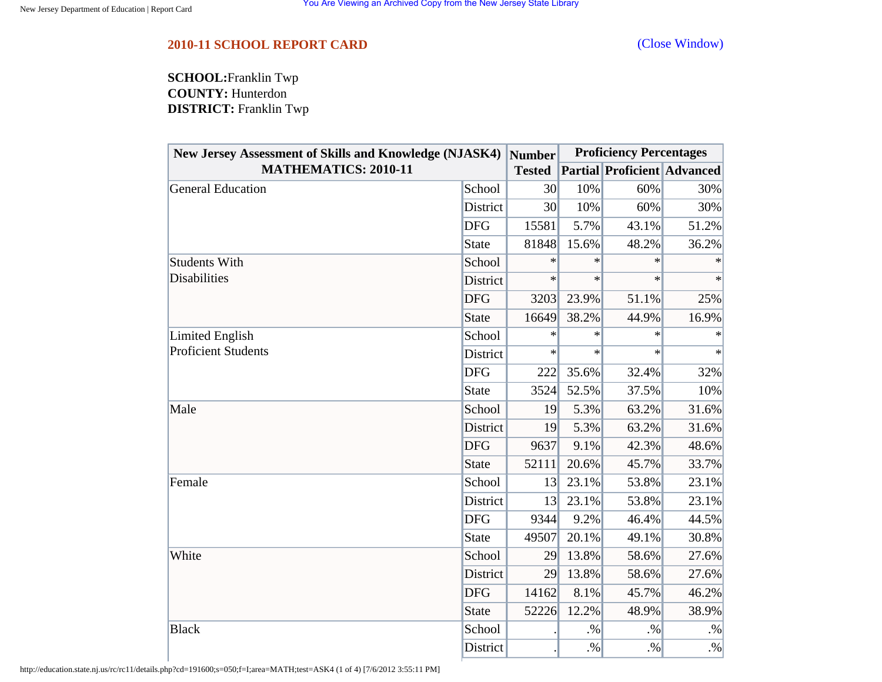## <span id="page-25-0"></span>**2010-11 SCHOOL REPORT CARD** [\(Close Window\)](#page-25-0)

**SCHOOL:**Franklin Twp **COUNTY:** Hunterdon **DISTRICT:** Franklin Twp

| <b>New Jersey Assessment of Skills and Knowledge (NJASK4)</b> |              | Number        | <b>Proficiency Percentages</b> |                                    |        |  |
|---------------------------------------------------------------|--------------|---------------|--------------------------------|------------------------------------|--------|--|
| <b>MATHEMATICS: 2010-11</b>                                   |              | <b>Tested</b> |                                | <b>Partial Proficient Advanced</b> |        |  |
| <b>General Education</b>                                      | School       | 30            | 10%                            | 60%                                | 30%    |  |
|                                                               | District     | 30            | 10%                            | 60%                                | 30%    |  |
|                                                               | <b>DFG</b>   | 15581         | 5.7%                           | 43.1%                              | 51.2%  |  |
|                                                               | <b>State</b> | 81848         | 15.6%                          | 48.2%                              | 36.2%  |  |
| <b>Students With</b>                                          | School       | $\ast$        | $\ast$                         | ∗                                  | ∗      |  |
| <b>Disabilities</b>                                           | District     | $\ast$        | $\ast$                         | $\ast$                             | $\ast$ |  |
| Limited English<br><b>Proficient Students</b>                 | <b>DFG</b>   | 3203          | 23.9%                          | 51.1%                              | 25%    |  |
|                                                               | <b>State</b> | 16649         | 38.2%                          | 44.9%                              | 16.9%  |  |
|                                                               | School       | $\ast$        | $\ast$                         | $\ast$                             | $\ast$ |  |
|                                                               | District     | $\ast$        | $\ast$                         | $\ast$                             | $\ast$ |  |
|                                                               | <b>DFG</b>   | 222           | 35.6%                          | 32.4%                              | 32%    |  |
|                                                               | <b>State</b> | 3524          | 52.5%                          | 37.5%                              | 10%    |  |
| Male                                                          | School       | 19            | 5.3%                           | 63.2%                              | 31.6%  |  |
|                                                               | District     | 19            | 5.3%                           | 63.2%                              | 31.6%  |  |
|                                                               | <b>DFG</b>   | 9637          | 9.1%                           | 42.3%                              | 48.6%  |  |
|                                                               | <b>State</b> | 52111         | 20.6%                          | 45.7%                              | 33.7%  |  |
| Female                                                        | School       | 13            | 23.1%                          | 53.8%                              | 23.1%  |  |
|                                                               | District     | 13            | 23.1%                          | 53.8%                              | 23.1%  |  |
|                                                               | <b>DFG</b>   | 9344          | 9.2%                           | 46.4%                              | 44.5%  |  |
|                                                               | <b>State</b> | 49507         | 20.1%                          | 49.1%                              | 30.8%  |  |
| White                                                         | School       | 29            | 13.8%                          | 58.6%                              | 27.6%  |  |
|                                                               | District     | 29            | 13.8%                          | 58.6%                              | 27.6%  |  |
|                                                               | <b>DFG</b>   | 14162         | 8.1%                           | 45.7%                              | 46.2%  |  |
|                                                               | <b>State</b> | 52226         | 12.2%                          | 48.9%                              | 38.9%  |  |
| <b>Black</b>                                                  | School       |               | $. \%$                         | $. \%$                             | $. \%$ |  |
|                                                               | District     |               | $. \%$                         | $. \%$                             | $. \%$ |  |

http://education.state.nj.us/rc/rc11/details.php?cd=191600;s=050;f=I;area=MATH;test=ASK4 (1 of 4) [7/6/2012 3:55:11 PM]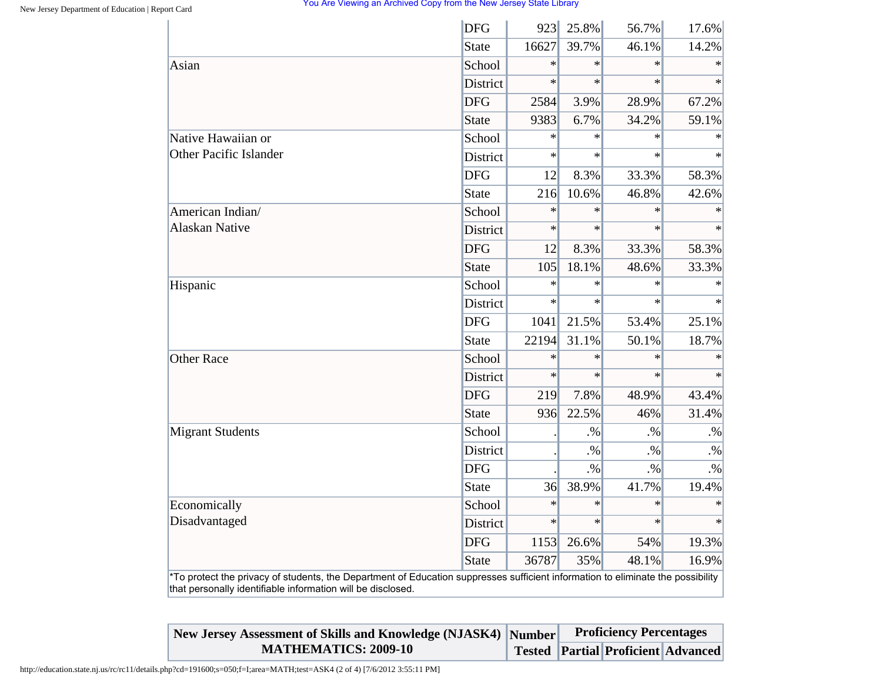|                                                                                                                                                                                                | <b>DFG</b>      | 923    | 25.8%  | 56.7%  | 17.6%  |
|------------------------------------------------------------------------------------------------------------------------------------------------------------------------------------------------|-----------------|--------|--------|--------|--------|
|                                                                                                                                                                                                | <b>State</b>    | 16627  | 39.7%  | 46.1%  | 14.2%  |
| Asian                                                                                                                                                                                          | School          | $\ast$ | $\ast$ | $\ast$ | $\ast$ |
|                                                                                                                                                                                                | <b>District</b> | $\ast$ | $\ast$ | $\ast$ | $\ast$ |
|                                                                                                                                                                                                | <b>DFG</b>      | 2584   | 3.9%   | 28.9%  | 67.2%  |
|                                                                                                                                                                                                | <b>State</b>    | 9383   | 6.7%   | 34.2%  | 59.1%  |
| Native Hawaiian or                                                                                                                                                                             | School          | $\ast$ | $\ast$ | $\ast$ | $\ast$ |
| <b>Other Pacific Islander</b>                                                                                                                                                                  | District        | $\ast$ | $\ast$ | $\ast$ | $\ast$ |
|                                                                                                                                                                                                | <b>DFG</b>      | 12     | 8.3%   | 33.3%  | 58.3%  |
|                                                                                                                                                                                                | <b>State</b>    | 216    | 10.6%  | 46.8%  | 42.6%  |
| American Indian/                                                                                                                                                                               | School          | $\ast$ | $\ast$ | $\ast$ | $\ast$ |
| <b>Alaskan Native</b>                                                                                                                                                                          | District        | $\ast$ | $\ast$ | $\ast$ |        |
|                                                                                                                                                                                                | <b>DFG</b>      | 12     | 8.3%   | 33.3%  | 58.3%  |
|                                                                                                                                                                                                | <b>State</b>    | 105    | 18.1%  | 48.6%  | 33.3%  |
| Hispanic                                                                                                                                                                                       | School          | $\ast$ | $\ast$ | $\ast$ | $\ast$ |
|                                                                                                                                                                                                | District        | $\ast$ | $\ast$ | $\ast$ |        |
|                                                                                                                                                                                                | <b>DFG</b>      | 1041   | 21.5%  | 53.4%  | 25.1%  |
|                                                                                                                                                                                                | <b>State</b>    | 22194  | 31.1%  | 50.1%  | 18.7%  |
| <b>Other Race</b>                                                                                                                                                                              | School          | $\ast$ | $\ast$ | $\ast$ | $\ast$ |
|                                                                                                                                                                                                | District        | $\ast$ | $\ast$ | $\ast$ | $\ast$ |
|                                                                                                                                                                                                | <b>DFG</b>      | 219    | 7.8%   | 48.9%  | 43.4%  |
|                                                                                                                                                                                                | <b>State</b>    | 936    | 22.5%  | 46%    | 31.4%  |
| <b>Migrant Students</b>                                                                                                                                                                        | School          |        | $. \%$ | $. \%$ | $. \%$ |
|                                                                                                                                                                                                | District        |        | $. \%$ | $. \%$ | $. \%$ |
|                                                                                                                                                                                                | <b>DFG</b>      |        | $. \%$ | $. \%$ | $. \%$ |
|                                                                                                                                                                                                | <b>State</b>    | 36     | 38.9%  | 41.7%  | 19.4%  |
| Economically                                                                                                                                                                                   | School          | $\ast$ | $\ast$ | $\ast$ | $\ast$ |
| Disadvantaged                                                                                                                                                                                  | District        | $\ast$ | $\ast$ | $\ast$ | $\ast$ |
|                                                                                                                                                                                                | <b>DFG</b>      | 1153   | 26.6%  | 54%    | 19.3%  |
|                                                                                                                                                                                                | <b>State</b>    | 36787  | 35%    | 48.1%  | 16.9%  |
| *To protect the privacy of students, the Department of Education suppresses sufficient information to eliminate the possibility<br>that personally identifiable information will be disclosed. |                 |        |        |        |        |

| New Jersey Assessment of Skills and Knowledge (NJASK4) Number |  | <b>Proficiency Percentages</b> |                                           |  |
|---------------------------------------------------------------|--|--------------------------------|-------------------------------------------|--|
| <b>MATHEMATICS: 2009-10</b>                                   |  |                                | <b>Tested Partial Proficient Advanced</b> |  |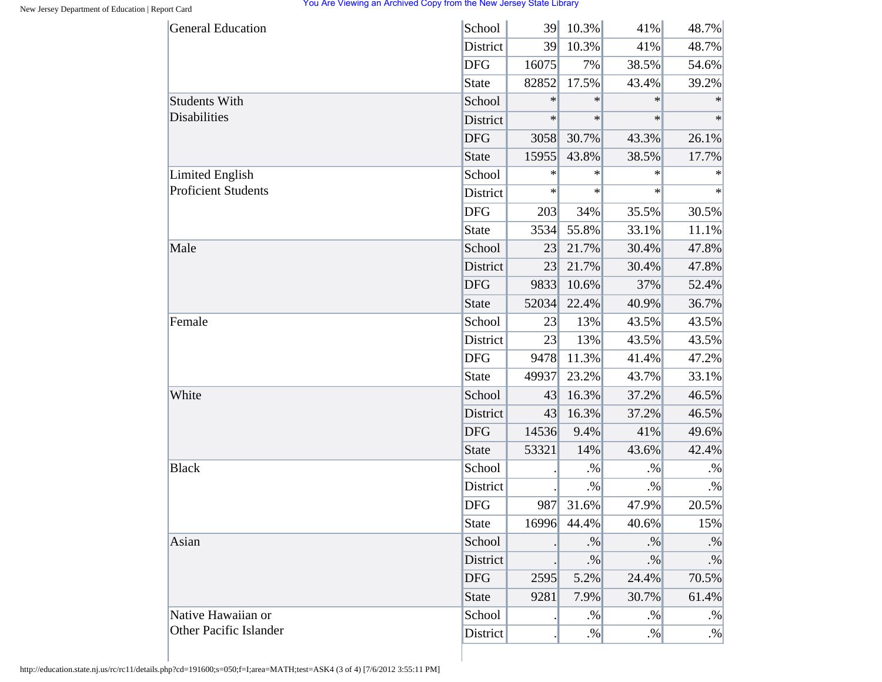| <b>General Education</b>      | School       | 39     | 10.3%       | 41%    | 48.7%  |
|-------------------------------|--------------|--------|-------------|--------|--------|
|                               | District     | 39     | 10.3%       | 41%    | 48.7%  |
|                               | <b>DFG</b>   | 16075  | 7%          | 38.5%  | 54.6%  |
|                               | <b>State</b> | 82852  | 17.5%       | 43.4%  | 39.2%  |
| <b>Students With</b>          | School       | $\ast$ | $\ast$      | $\ast$ | $\ast$ |
| Disabilities                  | District     | $\ast$ | $\ast$      | $\ast$ | $\ast$ |
|                               | <b>DFG</b>   | 3058   | 30.7%       | 43.3%  | 26.1%  |
|                               | <b>State</b> | 15955  | 43.8%       | 38.5%  | 17.7%  |
| <b>Limited English</b>        | School       | $\ast$ | $\ast$      | $\ast$ | $\ast$ |
| <b>Proficient Students</b>    | District     | $\ast$ | $\ast$      | $\ast$ | $\ast$ |
|                               | <b>DFG</b>   | 203    | 34%         | 35.5%  | 30.5%  |
|                               | State        | 3534   | 55.8%       | 33.1%  | 11.1%  |
| Male                          | School       | 23     | 21.7%       | 30.4%  | 47.8%  |
|                               | District     | 23     | 21.7%       | 30.4%  | 47.8%  |
|                               | <b>DFG</b>   | 9833   | 10.6%       | 37%    | 52.4%  |
|                               | <b>State</b> | 52034  | 22.4%       | 40.9%  | 36.7%  |
| Female                        | School       | 23     | 13%         | 43.5%  | 43.5%  |
|                               | District     | 23     | 13%         | 43.5%  | 43.5%  |
|                               | <b>DFG</b>   | 9478   | 11.3%       | 41.4%  | 47.2%  |
|                               | <b>State</b> | 49937  | 23.2%       | 43.7%  | 33.1%  |
| White                         | School       | 43     | 16.3%       | 37.2%  | 46.5%  |
|                               | District     | 43     | 16.3%       | 37.2%  | 46.5%  |
|                               | <b>DFG</b>   | 14536  | 9.4%        | 41%    | 49.6%  |
|                               | <b>State</b> | 53321  | 14%         | 43.6%  | 42.4%  |
| <b>Black</b>                  | School       |        | $. \%$      | $. \%$ | $. \%$ |
|                               | District     |        | $. \%$      | $. \%$ | $. \%$ |
|                               | <b>DFG</b>   | 987    | 31.6%       | 47.9%  | 20.5%  |
|                               | <b>State</b> |        | 16996 44.4% | 40.6%  | 15%    |
| Asian                         | School       |        | $. \%$      | $. \%$ | $. \%$ |
|                               | District     |        | $. \%$      | $. \%$ | $. \%$ |
|                               | <b>DFG</b>   | 2595   | 5.2%        | 24.4%  | 70.5%  |
|                               | <b>State</b> | 9281   | 7.9%        | 30.7%  | 61.4%  |
| Native Hawaiian or            | School       |        | $. \%$      | $. \%$ | $. \%$ |
| <b>Other Pacific Islander</b> | District     |        | $. \%$      | $. \%$ | $. \%$ |
|                               |              |        |             |        |        |

http://education.state.nj.us/rc/rc11/details.php?cd=191600;s=050;f=I;area=MATH;test=ASK4 (3 of 4) [7/6/2012 3:55:11 PM]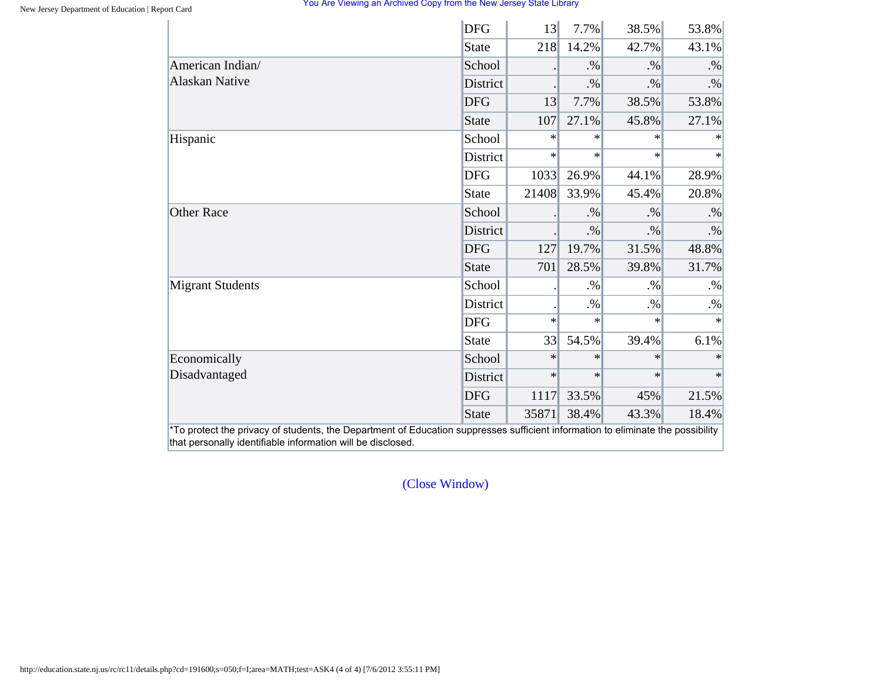|                         | <b>DFG</b>      | 13     | 7.7%   | 38.5%  | 53.8%  |
|-------------------------|-----------------|--------|--------|--------|--------|
|                         | State           | 218    | 14.2%  | 42.7%  | 43.1%  |
| American Indian/        | School          |        | $. \%$ | $. \%$ | $. \%$ |
| <b>Alaskan Native</b>   | <b>District</b> |        | $. \%$ | $. \%$ | $. \%$ |
|                         | <b>DFG</b>      | 13     | 7.7%   | 38.5%  | 53.8%  |
|                         | State           | 107    | 27.1%  | 45.8%  | 27.1%  |
| Hispanic                | School          | $\ast$ | $\ast$ | $\ast$ | $\ast$ |
|                         | District        | $\ast$ | $\ast$ | $\ast$ | $\ast$ |
|                         | <b>DFG</b>      | 1033   | 26.9%  | 44.1%  | 28.9%  |
|                         | State           | 21408  | 33.9%  | 45.4%  | 20.8%  |
| <b>Other Race</b>       | School          |        | $. \%$ | $. \%$ | $. \%$ |
|                         | District        |        | $. \%$ | $. \%$ | $. \%$ |
|                         | <b>DFG</b>      | 127    | 19.7%  | 31.5%  | 48.8%  |
|                         | State           | 701    | 28.5%  | 39.8%  | 31.7%  |
| <b>Migrant Students</b> | School          |        | $. \%$ | $. \%$ | $. \%$ |
|                         | District        |        | $. \%$ | $. \%$ | $. \%$ |
|                         | <b>DFG</b>      | $\ast$ | $\ast$ | $\ast$ | $\ast$ |
|                         | State           | 33     | 54.5%  | 39.4%  | 6.1%   |
| Economically            | School          | $\ast$ | $\ast$ | $\ast$ |        |
| Disadvantaged           | District        | $\ast$ | $\ast$ | $\ast$ | $\ast$ |
|                         | <b>DFG</b>      | 1117   | 33.5%  | 45%    | 21.5%  |
|                         | <b>State</b>    | 35871  | 38.4%  | 43.3%  | 18.4%  |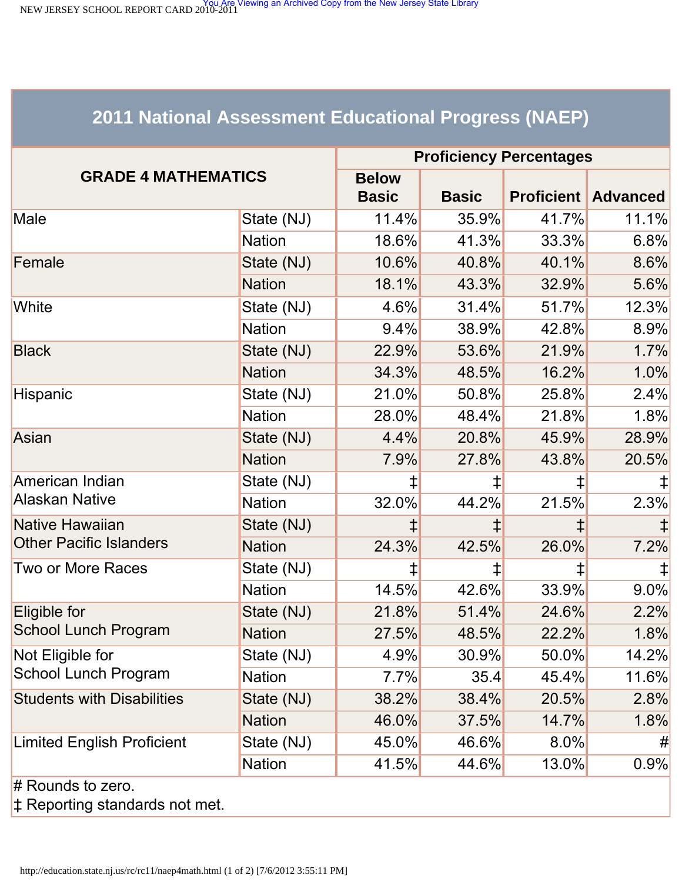<span id="page-29-1"></span><span id="page-29-0"></span>NEW JERSEY SCHOOL REPORT CARD 2010-2011<br>NEW JERSEY SCHOOL REPORT CARD 2010-2011

# **2011 National Assessment Educational Progress (NAEP)**

|                                   | <b>Proficiency Percentages</b> |              |              |            |                            |  |
|-----------------------------------|--------------------------------|--------------|--------------|------------|----------------------------|--|
| <b>GRADE 4 MATHEMATICS</b>        |                                | <b>Below</b> |              |            |                            |  |
|                                   |                                | <b>Basic</b> | <b>Basic</b> |            | <b>Proficient Advanced</b> |  |
| Male                              | State (NJ)                     | 11.4%        | 35.9%        | 41.7%      | 11.1%                      |  |
|                                   | <b>Nation</b>                  | 18.6%        | 41.3%        | 33.3%      | 6.8%                       |  |
| Female                            | State (NJ)                     | 10.6%        | 40.8%        | 40.1%      | 8.6%                       |  |
|                                   | <b>Nation</b>                  | 18.1%        | 43.3%        | 32.9%      | 5.6%                       |  |
| White                             | State (NJ)                     | $4.6\%$      | 31.4%        | 51.7%      | 12.3%                      |  |
|                                   | <b>Nation</b>                  | 9.4%         | 38.9%        | 42.8%      | 8.9%                       |  |
| <b>Black</b>                      | State (NJ)                     | 22.9%        | 53.6%        | 21.9%      | 1.7%                       |  |
|                                   | <b>Nation</b>                  | 34.3%        | 48.5%        | 16.2%      | 1.0%                       |  |
| Hispanic                          | State (NJ)                     | 21.0%        | 50.8%        | 25.8%      | 2.4%                       |  |
|                                   | <b>Nation</b>                  | 28.0%        | 48.4%        | 21.8%      | 1.8%                       |  |
| Asian                             | State (NJ)                     | 4.4%         | 20.8%        | 45.9%      | 28.9%                      |  |
|                                   | <b>Nation</b>                  | 7.9%         | 27.8%        | 43.8%      | 20.5%                      |  |
| American Indian                   | State (NJ)                     | ⇟            | ⇟            | ⇟          |                            |  |
| <b>Alaskan Native</b>             | <b>Nation</b>                  | 32.0%        | 44.2%        | 21.5%      | 2.3%                       |  |
| Native Hawaiian                   | State (NJ)                     |              |              | $\ddagger$ |                            |  |
| <b>Other Pacific Islanders</b>    | <b>Nation</b>                  | 24.3%        | 42.5%        | 26.0%      | 7.2%                       |  |
| Two or More Races                 | State (NJ)                     | ⇟            | ‡,           | ‡          |                            |  |
|                                   | <b>Nation</b>                  | 14.5%        | 42.6%        | 33.9%      | 9.0%                       |  |
| Eligible for                      | State (NJ)                     | 21.8%        | 51.4%        | 24.6%      | 2.2%                       |  |
| School Lunch Program              | <b>Nation</b>                  | 27.5%        | 48.5%        | 22.2%      | 1.8%                       |  |
| Not Eligible for                  | State (NJ)                     | 4.9%         | 30.9%        | $50.0\%$   | 14.2%                      |  |
| <b>School Lunch Program</b>       | <b>Nation</b>                  | 7.7%         | 35.4         | 45.4%      | 11.6%                      |  |
| <b>Students with Disabilities</b> | State (NJ)                     | 38.2%        | 38.4%        | 20.5%      | 2.8%                       |  |
|                                   | <b>Nation</b>                  | 46.0%        | 37.5%        | 14.7%      | 1.8%                       |  |
| <b>Limited English Proficient</b> | State (NJ)                     | 45.0%        | 46.6%        | 8.0%       | #                          |  |
|                                   | <b>Nation</b>                  | 41.5%        | 44.6%        | 13.0%      | 0.9%                       |  |
| $#$ Rounds to zero.               |                                |              |              |            |                            |  |

‡ Reporting standards not met.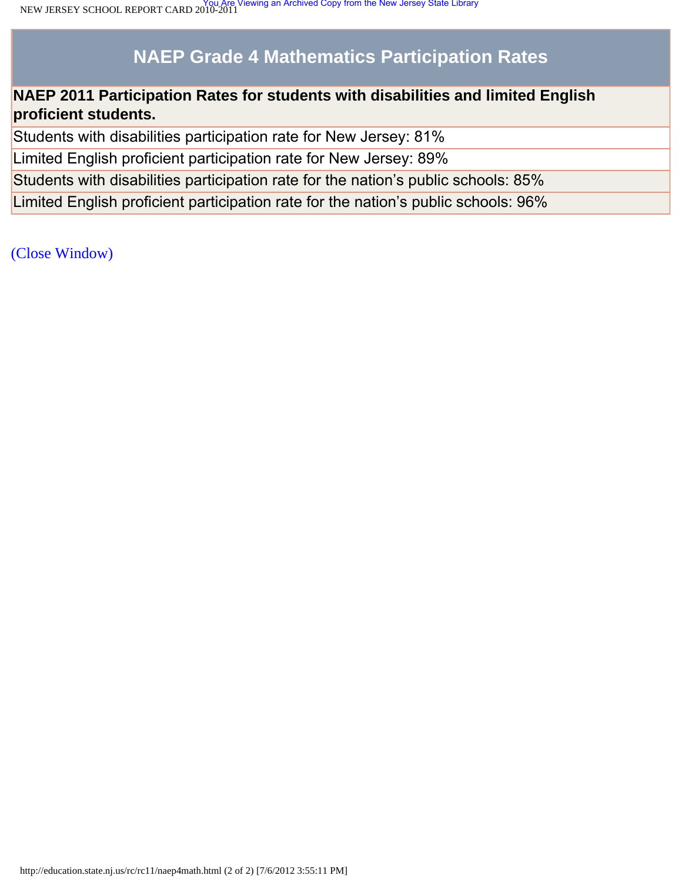# **NAEP Grade 4 Mathematics Participation Rates**

## **NAEP 2011 Participation Rates for students with disabilities and limited English proficient students.**

Students with disabilities participation rate for New Jersey: 81%

Limited English proficient participation rate for New Jersey: 89%

Students with disabilities participation rate for the nation's public schools: 85%

Limited English proficient participation rate for the nation's public schools: 96%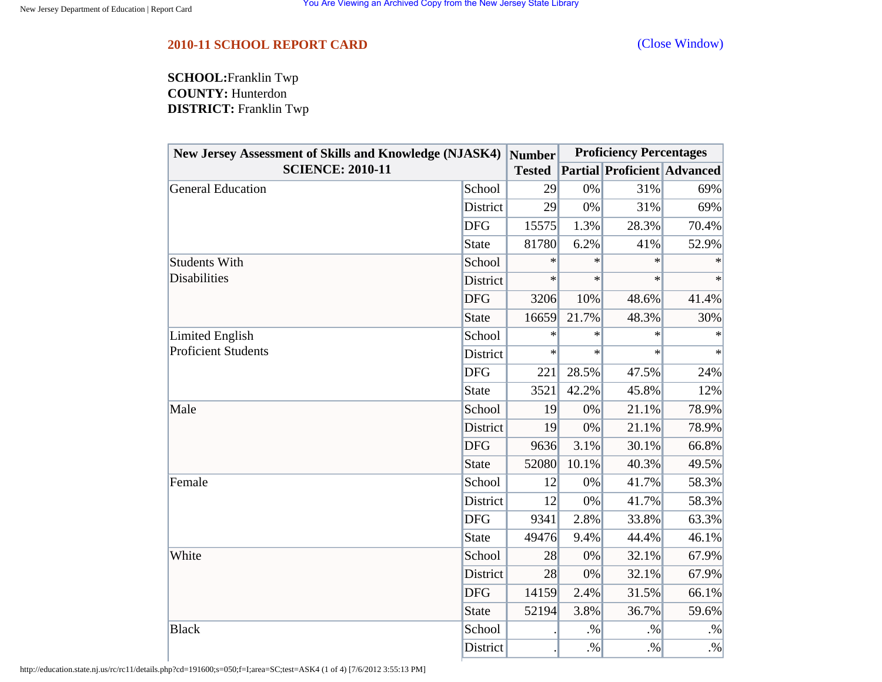## <span id="page-31-0"></span>**2010-11 SCHOOL REPORT CARD** [\(Close Window\)](#page-31-0)

**SCHOOL:**Franklin Twp **COUNTY:** Hunterdon **DISTRICT:** Franklin Twp

| <b>New Jersey Assessment of Skills and Knowledge (NJASK4)</b> |              | Number        | <b>Proficiency Percentages</b> |                                    |        |  |
|---------------------------------------------------------------|--------------|---------------|--------------------------------|------------------------------------|--------|--|
| <b>SCIENCE: 2010-11</b>                                       |              | <b>Tested</b> |                                | <b>Partial Proficient Advanced</b> |        |  |
| General Education                                             | School       | 29            | 0%                             | 31%                                | 69%    |  |
|                                                               | District     | 29            | 0%                             | 31%                                | 69%    |  |
|                                                               | <b>DFG</b>   | 15575         | 1.3%                           | 28.3%                              | 70.4%  |  |
|                                                               | <b>State</b> | 81780         | 6.2%                           | 41%                                | 52.9%  |  |
| <b>Students With</b>                                          | School       | ∗             | ∗                              | $\ast$                             | ∗      |  |
| <b>Disabilities</b>                                           | District     | $\ast$        | $\ast$                         | $\ast$                             | $\ast$ |  |
|                                                               | <b>DFG</b>   | 3206          | 10%                            | 48.6%                              | 41.4%  |  |
|                                                               | <b>State</b> | 16659         | 21.7%                          | 48.3%                              | 30%    |  |
| Limited English                                               | School       | $\ast$        | $\ast$                         | $\ast$                             | $\ast$ |  |
| <b>Proficient Students</b>                                    | District     | $\ast$        | $\ast$                         | $\ast$                             | $\ast$ |  |
|                                                               | <b>DFG</b>   | 221           | 28.5%                          | 47.5%                              | 24%    |  |
|                                                               | <b>State</b> | 3521          | 42.2%                          | 45.8%                              | 12%    |  |
| Male                                                          | School       | 19            | 0%                             | 21.1%                              | 78.9%  |  |
|                                                               | District     | 19            | 0%                             | 21.1%                              | 78.9%  |  |
|                                                               | <b>DFG</b>   | 9636          | 3.1%                           | 30.1%                              | 66.8%  |  |
|                                                               | <b>State</b> | 52080         | 10.1%                          | 40.3%                              | 49.5%  |  |
| Female                                                        | School       | 12            | 0%                             | 41.7%                              | 58.3%  |  |
|                                                               | District     | 12            | 0%                             | 41.7%                              | 58.3%  |  |
|                                                               | <b>DFG</b>   | 9341          | 2.8%                           | 33.8%                              | 63.3%  |  |
|                                                               | <b>State</b> | 49476         | 9.4%                           | 44.4%                              | 46.1%  |  |
| White                                                         | School       | 28            | 0%                             | 32.1%                              | 67.9%  |  |
|                                                               | District     | 28            | 0%                             | 32.1%                              | 67.9%  |  |
|                                                               | <b>DFG</b>   | 14159         | 2.4%                           | 31.5%                              | 66.1%  |  |
|                                                               | <b>State</b> | 52194         | 3.8%                           | 36.7%                              | 59.6%  |  |
| <b>Black</b>                                                  | School       |               | $. \%$                         | $. \%$                             | $. \%$ |  |
|                                                               | District     |               | $. \%$                         | $. \%$                             | $. \%$ |  |

http://education.state.nj.us/rc/rc11/details.php?cd=191600;s=050;f=I;area=SC;test=ASK4 (1 of 4) [7/6/2012 3:55:13 PM]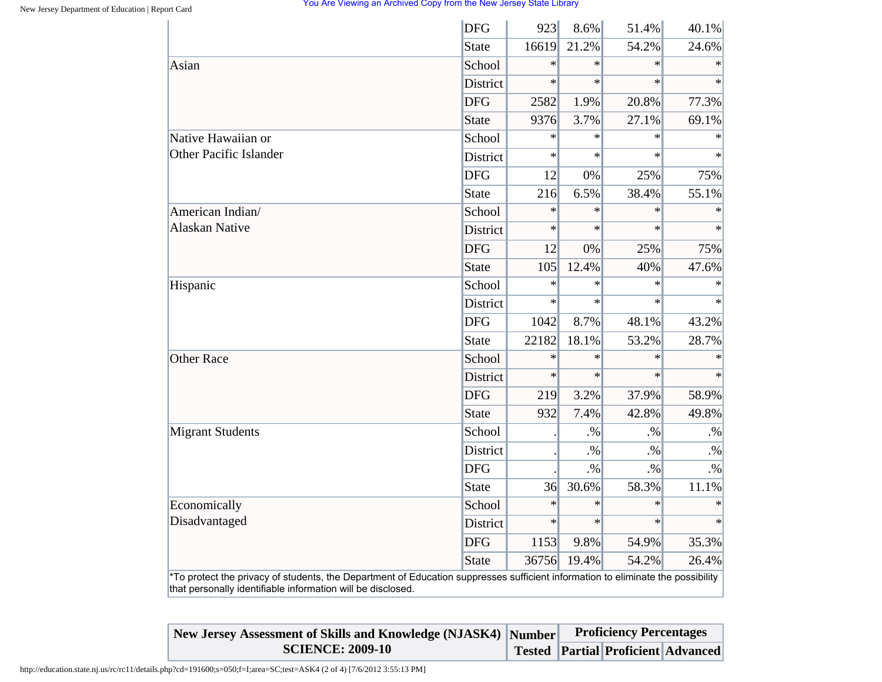|                                                                                                                                                                                                | <b>DFG</b>      | 923    | 8.6%   | 51.4%  | 40.1%     |
|------------------------------------------------------------------------------------------------------------------------------------------------------------------------------------------------|-----------------|--------|--------|--------|-----------|
|                                                                                                                                                                                                | <b>State</b>    | 16619  | 21.2%  | 54.2%  | 24.6%     |
| Asian                                                                                                                                                                                          | School          | $\ast$ | $\ast$ | $\ast$ | $\ast$    |
|                                                                                                                                                                                                | <b>District</b> | $\ast$ | $\ast$ | $\ast$ | $\ast$    |
|                                                                                                                                                                                                | <b>DFG</b>      | 2582   | 1.9%   | 20.8%  | 77.3%     |
|                                                                                                                                                                                                | <b>State</b>    | 9376   | 3.7%   | 27.1%  | 69.1%     |
| Native Hawaiian or                                                                                                                                                                             | School          | $\ast$ | $\ast$ | $\ast$ | $\ast$    |
| <b>Other Pacific Islander</b>                                                                                                                                                                  | <b>District</b> | $\ast$ | $\ast$ | $\ast$ | $\ast$    |
|                                                                                                                                                                                                | <b>DFG</b>      | 12     | 0%     | 25%    | 75%       |
|                                                                                                                                                                                                | <b>State</b>    | 216    | 6.5%   | 38.4%  | 55.1%     |
| American Indian/                                                                                                                                                                               | School          | $\ast$ | $\ast$ | $\ast$ | $\ast$    |
| <b>Alaskan Native</b>                                                                                                                                                                          | <b>District</b> | $\ast$ | $\ast$ | $\ast$ |           |
|                                                                                                                                                                                                | <b>DFG</b>      | 12     | 0%     | 25%    | 75%       |
|                                                                                                                                                                                                | <b>State</b>    | 105    | 12.4%  | 40%    | 47.6%     |
| Hispanic                                                                                                                                                                                       | School          | $\ast$ | $\ast$ | $\ast$ | $\ast$    |
|                                                                                                                                                                                                | <b>District</b> | $\ast$ | $\ast$ | $\ast$ |           |
|                                                                                                                                                                                                | <b>DFG</b>      | 1042   | 8.7%   | 48.1%  | 43.2%     |
|                                                                                                                                                                                                | <b>State</b>    | 22182  | 18.1%  | 53.2%  | 28.7%     |
| <b>Other Race</b>                                                                                                                                                                              | School          | $\ast$ | $\ast$ | $\ast$ | $\ast$    |
|                                                                                                                                                                                                | District        | $\ast$ | $\ast$ | $\ast$ | $\ast$    |
|                                                                                                                                                                                                | <b>DFG</b>      | 219    | 3.2%   | 37.9%  | 58.9%     |
|                                                                                                                                                                                                | <b>State</b>    | 932    | 7.4%   | 42.8%  | 49.8%     |
| <b>Migrant Students</b>                                                                                                                                                                        | School          |        | $. \%$ | $. \%$ | $. \%$    |
|                                                                                                                                                                                                | District        |        | $. \%$ | $. \%$ | $. \%$    |
|                                                                                                                                                                                                | <b>DFG</b>      |        | $. \%$ | $. \%$ | $\cdot\%$ |
|                                                                                                                                                                                                | <b>State</b>    | 36     | 30.6%  | 58.3%  | 11.1%     |
| Economically                                                                                                                                                                                   | School          | $\ast$ | $\ast$ | $\ast$ | $\ast$    |
| Disadvantaged                                                                                                                                                                                  | District        | $\ast$ | $\ast$ | $\ast$ | $\ast$    |
|                                                                                                                                                                                                | <b>DFG</b>      | 1153   | 9.8%   | 54.9%  | 35.3%     |
|                                                                                                                                                                                                | <b>State</b>    | 36756  | 19.4%  | 54.2%  | 26.4%     |
| *To protect the privacy of students, the Department of Education suppresses sufficient information to eliminate the possibility<br>that personally identifiable information will be disclosed. |                 |        |        |        |           |

| New Jersey Assessment of Skills and Knowledge (NJASK4) Number Proficiency Percentages |  |                                           |  |
|---------------------------------------------------------------------------------------|--|-------------------------------------------|--|
| <b>SCIENCE: 2009-10</b>                                                               |  | <b>Tested Partial Proficient Advanced</b> |  |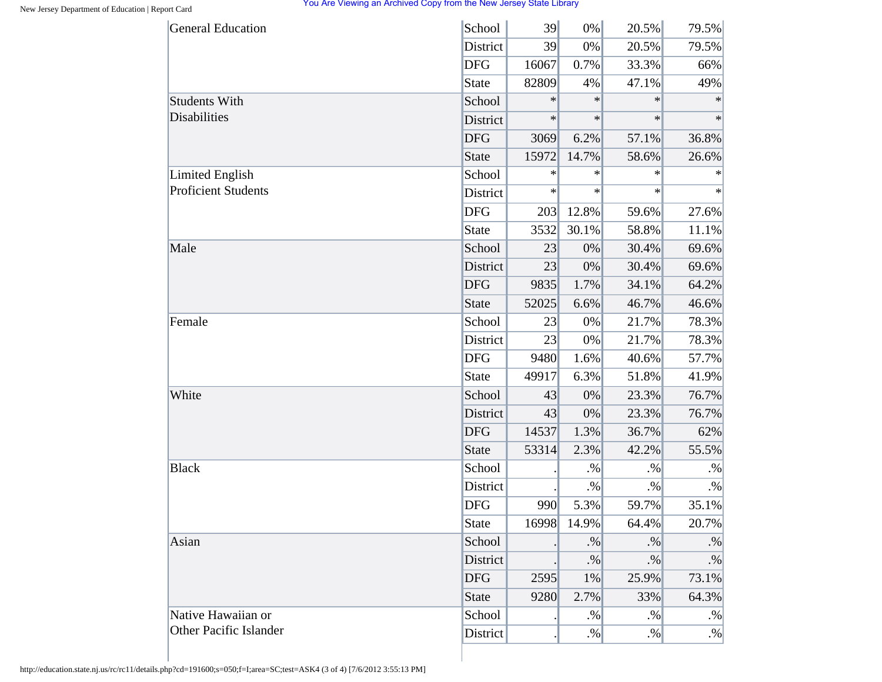| <b>General Education</b>                             | School       | 39     | $0\%$  | 20.5%  | 79.5%     |
|------------------------------------------------------|--------------|--------|--------|--------|-----------|
|                                                      | District     | 39     | 0%     | 20.5%  | 79.5%     |
|                                                      | <b>DFG</b>   | 16067  | 0.7%   | 33.3%  | 66%       |
|                                                      | <b>State</b> | 82809  | 4%     | 47.1%  | 49%       |
| <b>Students With</b>                                 | School       | $\ast$ | $\ast$ | $\ast$ | $\ast$    |
| Disabilities                                         | District     | $\ast$ | $\ast$ | $\ast$ | $\ast$    |
|                                                      | <b>DFG</b>   | 3069   | 6.2%   | 57.1%  | 36.8%     |
|                                                      | <b>State</b> | 15972  | 14.7%  | 58.6%  | 26.6%     |
| <b>Limited English</b><br><b>Proficient Students</b> | School       | ∗      | $\ast$ | $\ast$ | $\ast$    |
|                                                      | District     | $\ast$ | $\ast$ | $\ast$ | $\ast$    |
|                                                      | <b>DFG</b>   | 203    | 12.8%  | 59.6%  | 27.6%     |
|                                                      | <b>State</b> | 3532   | 30.1%  | 58.8%  | 11.1%     |
| Male                                                 | School       | 23     | 0%     | 30.4%  | 69.6%     |
|                                                      | District     | 23     | 0%     | 30.4%  | 69.6%     |
|                                                      | <b>DFG</b>   | 9835   | 1.7%   | 34.1%  | 64.2%     |
|                                                      | <b>State</b> | 52025  | 6.6%   | 46.7%  | 46.6%     |
| Female                                               | School       | 23     | 0%     | 21.7%  | 78.3%     |
|                                                      | District     | 23     | 0%     | 21.7%  | 78.3%     |
|                                                      | <b>DFG</b>   | 9480   | 1.6%   | 40.6%  | 57.7%     |
|                                                      | <b>State</b> | 49917  | 6.3%   | 51.8%  | 41.9%     |
| White                                                | School       | 43     | 0%     | 23.3%  | 76.7%     |
|                                                      | District     | 43     | 0%     | 23.3%  | 76.7%     |
|                                                      | <b>DFG</b>   | 14537  | 1.3%   | 36.7%  | 62%       |
|                                                      | <b>State</b> | 53314  | 2.3%   | 42.2%  | 55.5%     |
| <b>Black</b>                                         | School       |        | $. \%$ | $. \%$ | $. \%$    |
|                                                      | District     |        | $. \%$ | $. \%$ | $. \%$    |
|                                                      | <b>DFG</b>   | 990    | 5.3%   | 59.7%  | 35.1%     |
|                                                      | <b>State</b> | 16998  | 14.9%  | 64.4%  | 20.7%     |
| Asian                                                | School       |        | $. \%$ | $. \%$ | $\cdot\%$ |
|                                                      | District     |        | $. \%$ | $. \%$ | $. \%$    |
|                                                      | <b>DFG</b>   | 2595   | 1%     | 25.9%  | 73.1%     |
|                                                      | <b>State</b> | 9280   | 2.7%   | 33%    | 64.3%     |
| Native Hawaiian or                                   | School       |        | $. \%$ | $. \%$ | $. \%$    |
| Other Pacific Islander                               | District     |        | $. \%$ | $. \%$ | $. \%$    |

http://education.state.nj.us/rc/rc11/details.php?cd=191600;s=050;f=I;area=SC;test=ASK4 (3 of 4) [7/6/2012 3:55:13 PM]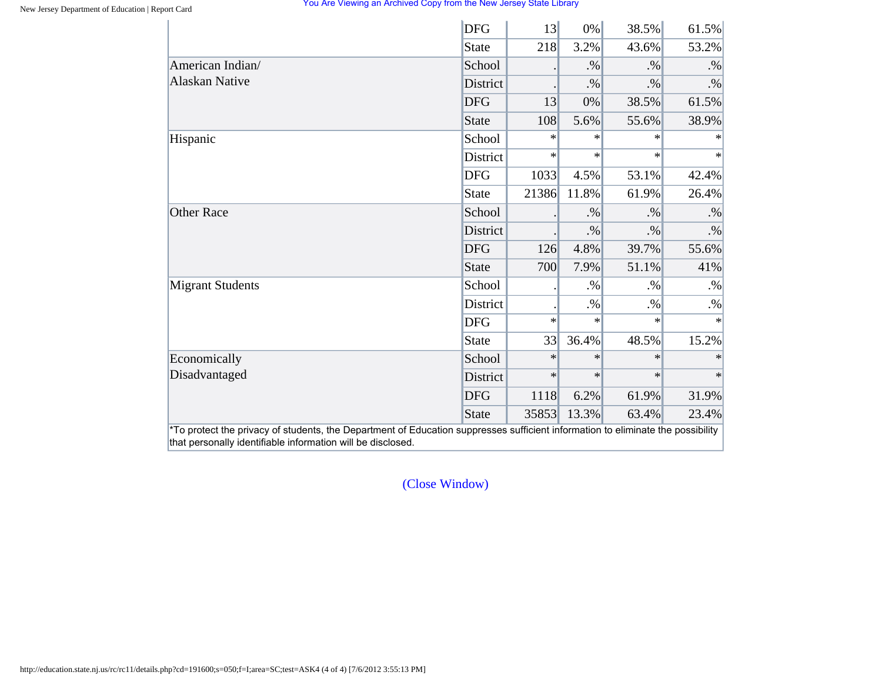|                                           | <b>DFG</b>      | 13     | $0\%$  | 38.5%  | 61.5%  |
|-------------------------------------------|-----------------|--------|--------|--------|--------|
|                                           | State           | 218    | 3.2%   | 43.6%  | 53.2%  |
| American Indian/<br><b>Alaskan Native</b> | School          |        | $. \%$ | $. \%$ | $. \%$ |
|                                           | <b>District</b> |        | $. \%$ | $. \%$ | $. \%$ |
|                                           | <b>DFG</b>      | 13     | 0%     | 38.5%  | 61.5%  |
|                                           | State           | 108    | 5.6%   | 55.6%  | 38.9%  |
| Hispanic                                  | School          | $\ast$ | $\ast$ | $\ast$ | $\ast$ |
|                                           | District        | $\ast$ | $\ast$ | $\ast$ | $\ast$ |
|                                           | <b>DFG</b>      | 1033   | 4.5%   | 53.1%  | 42.4%  |
|                                           | State           | 21386  | 11.8%  | 61.9%  | 26.4%  |
| <b>Other Race</b>                         | School          |        | $. \%$ | $. \%$ | $. \%$ |
|                                           | <b>District</b> |        | $. \%$ | $. \%$ | $. \%$ |
|                                           | <b>DFG</b>      | 126    | 4.8%   | 39.7%  | 55.6%  |
|                                           | State           | 700    | 7.9%   | 51.1%  | 41%    |
| <b>Migrant Students</b>                   | School          |        | $. \%$ | $. \%$ | $. \%$ |
|                                           | District        |        | $. \%$ | $. \%$ | $. \%$ |
|                                           | <b>DFG</b>      | $\ast$ | $\ast$ | $\ast$ | $\ast$ |
|                                           | State           | 33     | 36.4%  | 48.5%  | 15.2%  |
| Economically                              | School          | $\ast$ | $\ast$ | $\ast$ |        |
| Disadvantaged                             | District        | $\ast$ | $\ast$ | $\ast$ | $\ast$ |
|                                           | <b>DFG</b>      | 1118   | 6.2%   | 61.9%  | 31.9%  |
|                                           | State           | 35853  | 13.3%  | 63.4%  | 23.4%  |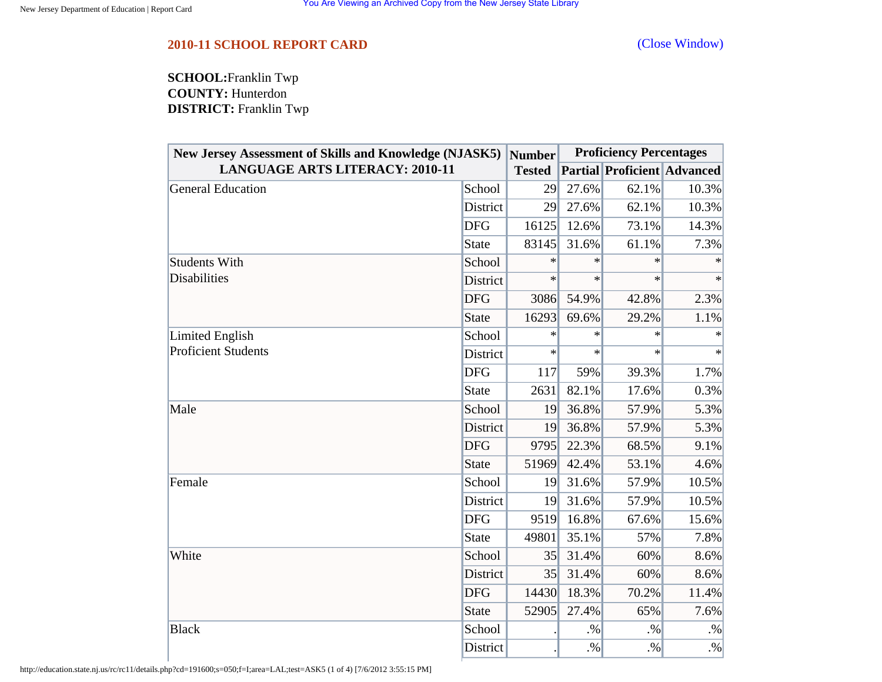## <span id="page-35-0"></span>**2010-11 SCHOOL REPORT CARD** [\(Close Window\)](#page-35-0)

**SCHOOL:**Franklin Twp **COUNTY:** Hunterdon **DISTRICT:** Franklin Twp

| <b>New Jersey Assessment of Skills and Knowledge (NJASK5)</b><br><b>LANGUAGE ARTS LITERACY: 2010-11</b> |                 | Number<br><b>Tested</b> | <b>Proficiency Percentages</b> |        |                                    |
|---------------------------------------------------------------------------------------------------------|-----------------|-------------------------|--------------------------------|--------|------------------------------------|
|                                                                                                         |                 |                         |                                |        | <b>Partial Proficient Advanced</b> |
| <b>General Education</b>                                                                                | School          | 29                      | 27.6%                          | 62.1%  | 10.3%                              |
|                                                                                                         | District        | 29                      | 27.6%                          | 62.1%  | 10.3%                              |
|                                                                                                         | <b>DFG</b>      | 16125                   | 12.6%                          | 73.1%  | 14.3%                              |
|                                                                                                         | <b>State</b>    | 83145                   | 31.6%                          | 61.1%  | 7.3%                               |
| <b>Students With</b><br><b>Disabilities</b>                                                             | School          | $\ast$                  | $\ast$                         | $\ast$ |                                    |
|                                                                                                         | <b>District</b> | $\ast$                  | $\ast$                         | $\ast$ | $\ast$                             |
|                                                                                                         | <b>DFG</b>      | 3086                    | 54.9%                          | 42.8%  | 2.3%                               |
|                                                                                                         | <b>State</b>    | 16293                   | 69.6%                          | 29.2%  | 1.1%                               |
| Limited English                                                                                         | School          | $\ast$                  | $\ast$                         | $\ast$ | $\ast$                             |
| <b>Proficient Students</b>                                                                              | District        | $\ast$                  | $\ast$                         | $\ast$ | $\ast$                             |
|                                                                                                         | <b>DFG</b>      | 117                     | 59%                            | 39.3%  | 1.7%                               |
|                                                                                                         | <b>State</b>    | 2631                    | 82.1%                          | 17.6%  | 0.3%                               |
| Male                                                                                                    | School          | 19                      | 36.8%                          | 57.9%  | 5.3%                               |
|                                                                                                         | District        | 19                      | 36.8%                          | 57.9%  | 5.3%                               |
|                                                                                                         | <b>DFG</b>      | 9795                    | 22.3%                          | 68.5%  | 9.1%                               |
|                                                                                                         | <b>State</b>    | 51969                   | 42.4%                          | 53.1%  | 4.6%                               |
| Female                                                                                                  | School          | 19                      | 31.6%                          | 57.9%  | 10.5%                              |
|                                                                                                         | District        | 19                      | 31.6%                          | 57.9%  | 10.5%                              |
|                                                                                                         | <b>DFG</b>      | 9519                    | 16.8%                          | 67.6%  | 15.6%                              |
|                                                                                                         | <b>State</b>    | 49801                   | 35.1%                          | 57%    | 7.8%                               |
| White                                                                                                   | School          | 35                      | 31.4%                          | 60%    | 8.6%                               |
|                                                                                                         | District        | 35                      | 31.4%                          | 60%    | 8.6%                               |
|                                                                                                         | <b>DFG</b>      | 14430                   | 18.3%                          | 70.2%  | 11.4%                              |
|                                                                                                         | <b>State</b>    | 52905                   | 27.4%                          | 65%    | 7.6%                               |
| <b>Black</b>                                                                                            | School          |                         | $. \%$                         | $. \%$ | $. \%$                             |
|                                                                                                         | District        |                         | $. \%$                         | $. \%$ | $. \%$                             |

http://education.state.nj.us/rc/rc11/details.php?cd=191600;s=050;f=I;area=LAL;test=ASK5 (1 of 4) [7/6/2012 3:55:15 PM]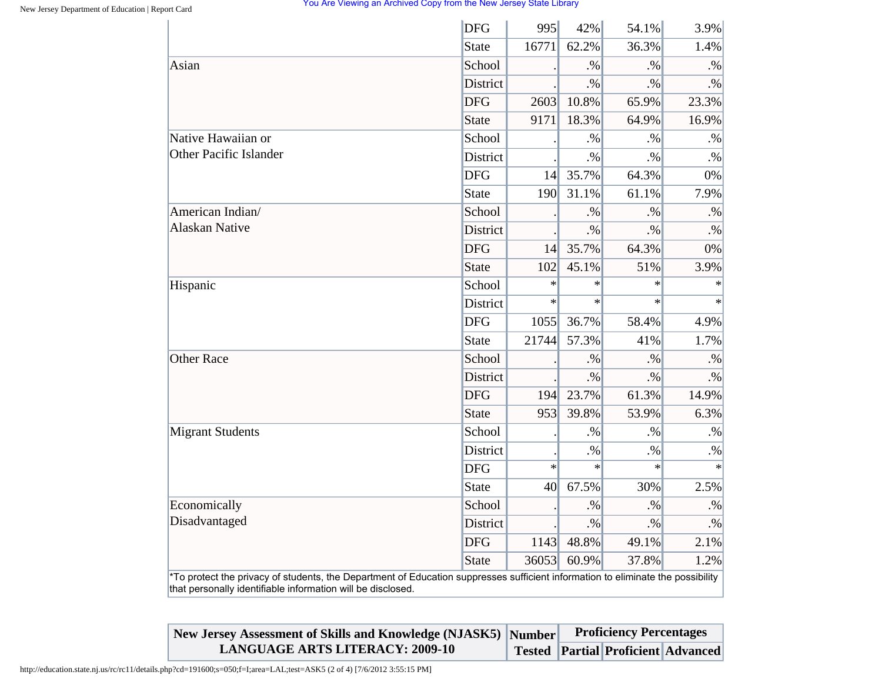|                                                                                                                                                                                                | <b>DFG</b>   | 995    | 42%    | 54.1%     | 3.9%      |
|------------------------------------------------------------------------------------------------------------------------------------------------------------------------------------------------|--------------|--------|--------|-----------|-----------|
|                                                                                                                                                                                                | <b>State</b> | 16771  | 62.2%  | 36.3%     | 1.4%      |
| Asian                                                                                                                                                                                          | School       |        | .96    | $\cdot\%$ | $. \%$    |
|                                                                                                                                                                                                | District     |        | $. \%$ | $. \%$    | $. \%$    |
|                                                                                                                                                                                                | <b>DFG</b>   | 2603   | 10.8%  | 65.9%     | 23.3%     |
|                                                                                                                                                                                                | <b>State</b> | 9171   | 18.3%  | 64.9%     | 16.9%     |
| Native Hawaiian or                                                                                                                                                                             | School       |        | $. \%$ | $. \%$    | $. \%$    |
| <b>Other Pacific Islander</b>                                                                                                                                                                  | District     |        | $. \%$ | $. \%$    | $. \%$    |
|                                                                                                                                                                                                | <b>DFG</b>   | 14     | 35.7%  | 64.3%     | 0%        |
|                                                                                                                                                                                                | <b>State</b> | 190    | 31.1%  | 61.1%     | 7.9%      |
| American Indian/                                                                                                                                                                               | School       |        | $. \%$ | $. \%$    | $. \%$    |
| <b>Alaskan Native</b>                                                                                                                                                                          | District     |        | $. \%$ | $. \%$    | $. \%$    |
|                                                                                                                                                                                                | <b>DFG</b>   | 14     | 35.7%  | 64.3%     | 0%        |
|                                                                                                                                                                                                | <b>State</b> | 102    | 45.1%  | 51%       | 3.9%      |
| Hispanic                                                                                                                                                                                       | School       | $\ast$ | $\ast$ | $\ast$    | $\ast$    |
|                                                                                                                                                                                                | District     | $\ast$ | $\ast$ | $\ast$    | $\ast$    |
|                                                                                                                                                                                                | <b>DFG</b>   | 1055   | 36.7%  | 58.4%     | 4.9%      |
|                                                                                                                                                                                                | <b>State</b> | 21744  | 57.3%  | 41%       | 1.7%      |
| <b>Other Race</b>                                                                                                                                                                              | School       |        | $. \%$ | $. \%$    | $. \%$    |
|                                                                                                                                                                                                | District     |        | $. \%$ | $. \%$    | $. \%$    |
|                                                                                                                                                                                                | <b>DFG</b>   | 194    | 23.7%  | 61.3%     | 14.9%     |
|                                                                                                                                                                                                | <b>State</b> | 953    | 39.8%  | 53.9%     | 6.3%      |
| <b>Migrant Students</b>                                                                                                                                                                        | School       |        | $. \%$ | $. \%$    | $. \%$    |
|                                                                                                                                                                                                | District     |        | $. \%$ | $. \%$    | $. \%$    |
|                                                                                                                                                                                                | <b>DFG</b>   | $\ast$ | $\ast$ | $\ast$    | $\ast$    |
|                                                                                                                                                                                                | <b>State</b> | 40     | 67.5%  | 30%       | 2.5%      |
| Economically                                                                                                                                                                                   | School       |        | $. \%$ | $. \%$    | $. \%$    |
| Disadvantaged                                                                                                                                                                                  | District     |        | $. \%$ | $. \%$    | $\cdot\%$ |
|                                                                                                                                                                                                | <b>DFG</b>   | 1143   | 48.8%  | 49.1%     | 2.1%      |
|                                                                                                                                                                                                | <b>State</b> | 36053  | 60.9%  | 37.8%     | 1.2%      |
| *To protect the privacy of students, the Department of Education suppresses sufficient information to eliminate the possibility<br>that personally identifiable information will be disclosed. |              |        |        |           |           |

| New Jersey Assessment of Skills and Knowledge (NJASK5) Number | <b>Proficiency Percentages</b> |  |                                           |  |
|---------------------------------------------------------------|--------------------------------|--|-------------------------------------------|--|
| <b>LANGUAGE ARTS LITERACY: 2009-10</b>                        |                                |  | <b>Tested Partial Proficient Advanced</b> |  |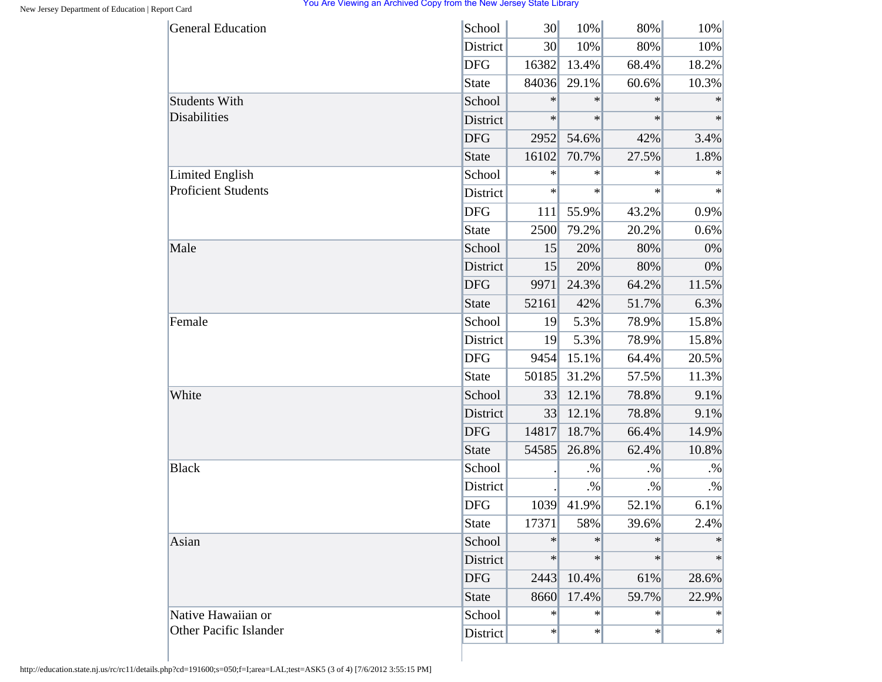| <b>General Education</b>   | School     | 30     | 10%    | 80%    | 10%       |
|----------------------------|------------|--------|--------|--------|-----------|
|                            | District   | 30     | 10%    | 80%    | 10%       |
|                            | <b>DFG</b> | 16382  | 13.4%  | 68.4%  | 18.2%     |
|                            | State      | 84036  | 29.1%  | 60.6%  | 10.3%     |
| <b>Students With</b>       | School     | $\ast$ | $\ast$ | $\ast$ | $\ast$    |
| <b>Disabilities</b>        | District   | $\ast$ | $\ast$ | $\ast$ | $\ast$    |
|                            | <b>DFG</b> | 2952   | 54.6%  | 42%    | 3.4%      |
|                            | State      | 16102  | 70.7%  | 27.5%  | 1.8%      |
| <b>Limited English</b>     | School     | ∗      | $\ast$ | $\ast$ | $\ast$    |
| <b>Proficient Students</b> | District   | $\ast$ | $\ast$ | $\ast$ | $\ast$    |
|                            | <b>DFG</b> | 111    | 55.9%  | 43.2%  | 0.9%      |
|                            | State      | 2500   | 79.2%  | 20.2%  | 0.6%      |
| Male                       | School     | 15     | 20%    | 80%    | 0%        |
|                            | District   | 15     | 20%    | 80%    | 0%        |
|                            | <b>DFG</b> | 9971   | 24.3%  | 64.2%  | 11.5%     |
|                            | State      | 52161  | 42%    | 51.7%  | 6.3%      |
| Female                     | School     | 19     | 5.3%   | 78.9%  | 15.8%     |
|                            | District   | 19     | 5.3%   | 78.9%  | 15.8%     |
|                            | <b>DFG</b> | 9454   | 15.1%  | 64.4%  | 20.5%     |
|                            | State      | 50185  | 31.2%  | 57.5%  | 11.3%     |
| White                      | School     | 33     | 12.1%  | 78.8%  | 9.1%      |
|                            | District   | 33     | 12.1%  | 78.8%  | 9.1%      |
|                            | <b>DFG</b> | 14817  | 18.7%  | 66.4%  | 14.9%     |
|                            | State      | 54585  | 26.8%  | 62.4%  | 10.8%     |
| <b>Black</b>               | School     |        | $. \%$ | $. \%$ | $. \%$    |
|                            | District   |        | $. \%$ | $. \%$ | $\cdot\%$ |
|                            | <b>DFG</b> | 1039   | 41.9%  | 52.1%  | 6.1%      |
|                            | State      | 17371  | 58%    | 39.6%  | 2.4%      |
| Asian                      | School     | $\ast$ | $\ast$ | $\ast$ | $\ast$    |
|                            | District   | $\ast$ | $\ast$ | $\ast$ | $\ast$    |
|                            | <b>DFG</b> | 2443   | 10.4%  | 61%    | 28.6%     |
|                            | State      | 8660   | 17.4%  | 59.7%  | 22.9%     |
| Native Hawaiian or         | School     | $\ast$ | $\ast$ | $\ast$ | $\ast$    |
| Other Pacific Islander     | District   | $\ast$ | $\ast$ | $\ast$ | $\ast$    |
|                            |            |        |        |        |           |

http://education.state.nj.us/rc/rc11/details.php?cd=191600;s=050;f=I;area=LAL;test=ASK5 (3 of 4) [7/6/2012 3:55:15 PM]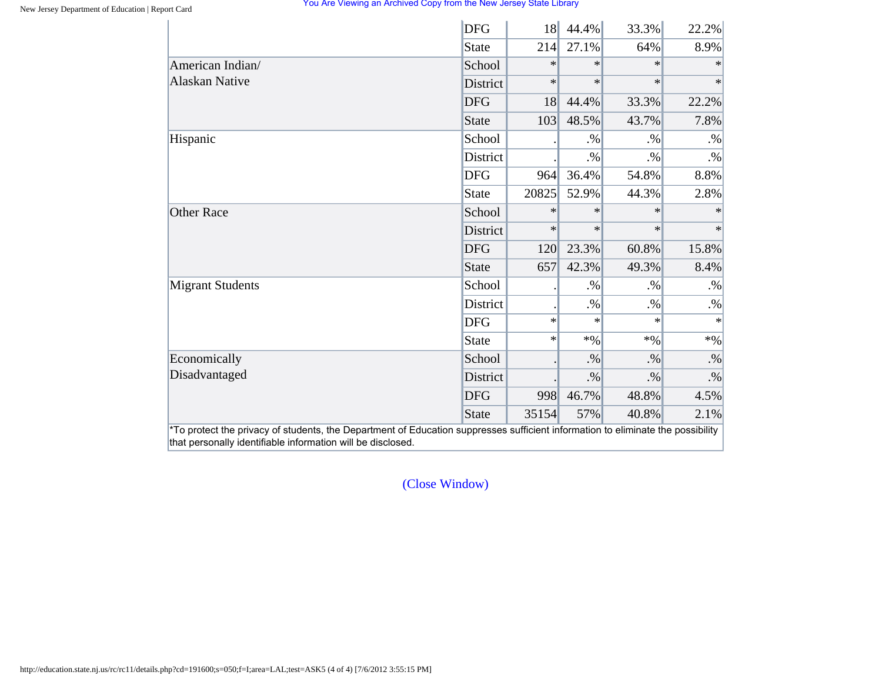|                         | <b>DFG</b>      | <b>18</b> | 44.4%  | 33.3%  | 22.2%  |
|-------------------------|-----------------|-----------|--------|--------|--------|
|                         | State           | 214       | 27.1%  | 64%    | 8.9%   |
| American Indian/        | School          | $\ast$    | $\ast$ | $*$    | $\ast$ |
| <b>Alaskan Native</b>   | <b>District</b> | $\ast$    | $\ast$ | $\ast$ | $\ast$ |
|                         | <b>DFG</b>      | 18        | 44.4%  | 33.3%  | 22.2%  |
|                         | State           | 103       | 48.5%  | 43.7%  | 7.8%   |
| Hispanic                | School          |           | $. \%$ | $. \%$ | $. \%$ |
|                         | <b>District</b> |           | $. \%$ | $. \%$ | $. \%$ |
|                         | <b>DFG</b>      | 964       | 36.4%  | 54.8%  | 8.8%   |
|                         | State           | 20825     | 52.9%  | 44.3%  | 2.8%   |
| <b>Other Race</b>       | School          | $\ast$    | $\ast$ | $\ast$ | $*$    |
|                         | <b>District</b> | $\ast$    | $\ast$ | $\ast$ | $\ast$ |
|                         | <b>DFG</b>      | 120       | 23.3%  | 60.8%  | 15.8%  |
|                         | State           | 657       | 42.3%  | 49.3%  | 8.4%   |
| <b>Migrant Students</b> | School          |           | $. \%$ | $. \%$ | $. \%$ |
|                         | District        |           | $. \%$ | $. \%$ | $. \%$ |
|                         | <b>DFG</b>      | $\ast$    | $\ast$ | $\ast$ | $\ast$ |
|                         | State           | $\ast$    | $*96$  | $*96$  | $*9/0$ |
| Economically            | School          |           | $. \%$ | $. \%$ | $. \%$ |
| Disadvantaged           | District        |           | $. \%$ | $. \%$ | $. \%$ |
|                         | <b>DFG</b>      | 998       | 46.7%  | 48.8%  | 4.5%   |
|                         | State           | 35154     | 57%    | 40.8%  | 2.1%   |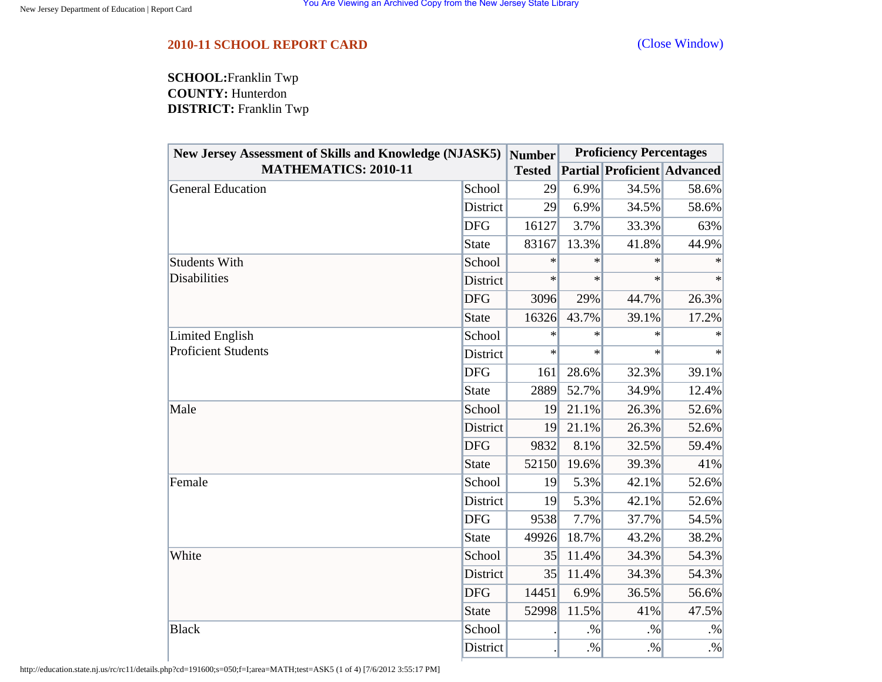<span id="page-39-0"></span>**SCHOOL:**Franklin Twp **COUNTY:** Hunterdon **DISTRICT:** Franklin Twp

| <b>New Jersey Assessment of Skills and Knowledge (NJASK5)</b> |              | Number        | <b>Proficiency Percentages</b> |                                    |        |  |
|---------------------------------------------------------------|--------------|---------------|--------------------------------|------------------------------------|--------|--|
| <b>MATHEMATICS: 2010-11</b>                                   |              | <b>Tested</b> |                                | <b>Partial Proficient Advanced</b> |        |  |
| <b>General Education</b>                                      | School       | 29            | 6.9%                           | 34.5%                              | 58.6%  |  |
|                                                               | District     | 29            | 6.9%                           | 34.5%                              | 58.6%  |  |
|                                                               | <b>DFG</b>   | 16127         | 3.7%                           | 33.3%                              | 63%    |  |
|                                                               | <b>State</b> | 83167         | 13.3%                          | 41.8%                              | 44.9%  |  |
| <b>Students With</b>                                          | School       | $\ast$        | $\ast$                         | ∗                                  | ∗      |  |
| <b>Disabilities</b>                                           | District     | $\ast$        | $\ast$                         | $\ast$                             | $\ast$ |  |
|                                                               | <b>DFG</b>   | 3096          | 29%                            | 44.7%                              | 26.3%  |  |
| Limited English<br><b>Proficient Students</b>                 | <b>State</b> | 16326         | 43.7%                          | 39.1%                              | 17.2%  |  |
|                                                               | School       | $\ast$        | $\ast$                         | $\ast$                             | $\ast$ |  |
|                                                               | District     | $\ast$        | $\ast$                         | $\ast$                             | $\ast$ |  |
|                                                               | <b>DFG</b>   | 161           | 28.6%                          | 32.3%                              | 39.1%  |  |
|                                                               | <b>State</b> | 2889          | 52.7%                          | 34.9%                              | 12.4%  |  |
| Male                                                          | School       | 19            | 21.1%                          | 26.3%                              | 52.6%  |  |
|                                                               | District     | 19            | 21.1%                          | 26.3%                              | 52.6%  |  |
|                                                               | <b>DFG</b>   | 9832          | 8.1%                           | 32.5%                              | 59.4%  |  |
| Female<br>White                                               | <b>State</b> | 52150         | 19.6%                          | 39.3%                              | 41%    |  |
|                                                               | School       | 19            | 5.3%                           | 42.1%                              | 52.6%  |  |
|                                                               | District     | 19            | 5.3%                           | 42.1%                              | 52.6%  |  |
|                                                               | <b>DFG</b>   | 9538          | 7.7%                           | 37.7%                              | 54.5%  |  |
|                                                               | <b>State</b> | 49926         | 18.7%                          | 43.2%                              | 38.2%  |  |
|                                                               | School       | 35            | 11.4%                          | 34.3%                              | 54.3%  |  |
|                                                               | District     | 35            | 11.4%                          | 34.3%                              | 54.3%  |  |
|                                                               | <b>DFG</b>   | 14451         | 6.9%                           | 36.5%                              | 56.6%  |  |
|                                                               | <b>State</b> | 52998         | 11.5%                          | 41%                                | 47.5%  |  |
| <b>Black</b>                                                  | School       |               | $. \%$                         | $. \%$                             | $. \%$ |  |
|                                                               | District     |               | $. \%$                         | $. \%$                             | $. \%$ |  |

http://education.state.nj.us/rc/rc11/details.php?cd=191600;s=050;f=I;area=MATH;test=ASK5 (1 of 4) [7/6/2012 3:55:17 PM]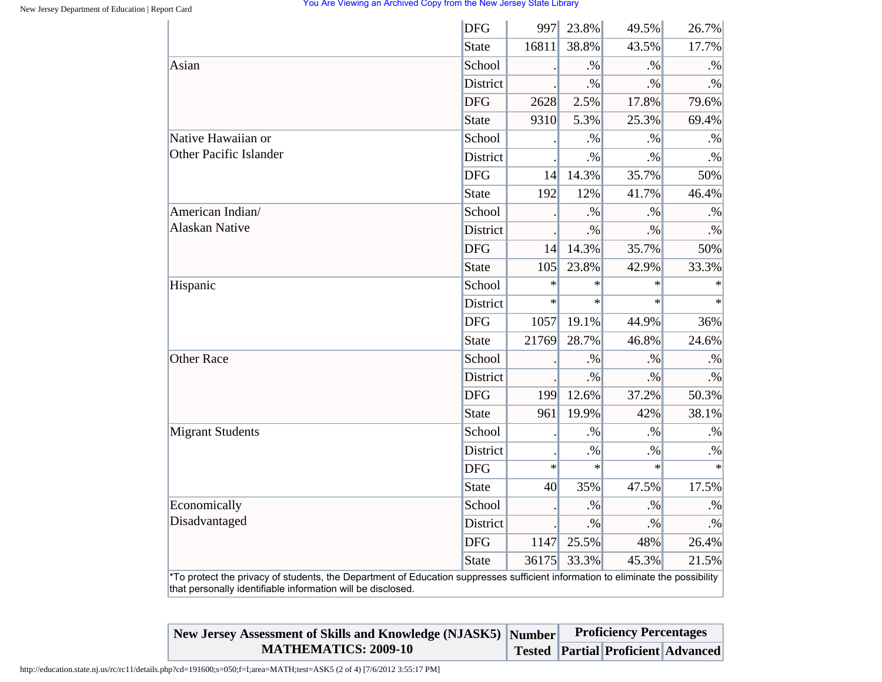| <b>State</b><br>Asian<br><b>DFG</b><br><b>State</b><br>Native Hawaiian or<br><b>Other Pacific Islander</b><br><b>DFG</b><br><b>State</b><br>American Indian/<br><b>Alaskan Native</b><br><b>District</b><br><b>DFG</b><br><b>State</b><br>Hispanic | School<br><b>District</b><br>School<br><b>District</b><br>School | 16811<br>2628<br>9310<br> 14 <br>192 | 38.8%<br>.96<br>$\cdot\%$<br>2.5%<br>5.3%<br>$. \%$<br>$. \%$<br>14.3% | 43.5%<br>.9/6<br>$. \%$<br>17.8%<br>25.3%<br>$. \%$ | 17.7%<br>$. \%$<br>$. \%$<br>79.6%<br>69.4% |
|----------------------------------------------------------------------------------------------------------------------------------------------------------------------------------------------------------------------------------------------------|------------------------------------------------------------------|--------------------------------------|------------------------------------------------------------------------|-----------------------------------------------------|---------------------------------------------|
|                                                                                                                                                                                                                                                    |                                                                  |                                      |                                                                        |                                                     |                                             |
|                                                                                                                                                                                                                                                    |                                                                  |                                      |                                                                        |                                                     |                                             |
|                                                                                                                                                                                                                                                    |                                                                  |                                      |                                                                        |                                                     |                                             |
|                                                                                                                                                                                                                                                    |                                                                  |                                      |                                                                        |                                                     |                                             |
|                                                                                                                                                                                                                                                    |                                                                  |                                      |                                                                        |                                                     |                                             |
|                                                                                                                                                                                                                                                    |                                                                  |                                      |                                                                        |                                                     | $. \%$                                      |
|                                                                                                                                                                                                                                                    |                                                                  |                                      |                                                                        | $. \%$                                              | $. \%$                                      |
|                                                                                                                                                                                                                                                    |                                                                  |                                      |                                                                        | 35.7%                                               | 50%                                         |
|                                                                                                                                                                                                                                                    |                                                                  |                                      | 12%                                                                    | 41.7%                                               | 46.4%                                       |
|                                                                                                                                                                                                                                                    |                                                                  |                                      | $. \%$                                                                 | $. \%$                                              | $. \%$                                      |
|                                                                                                                                                                                                                                                    |                                                                  |                                      | $. \%$                                                                 | $. \%$                                              | $. \%$                                      |
|                                                                                                                                                                                                                                                    |                                                                  | 14                                   | 14.3%                                                                  | 35.7%                                               | 50%                                         |
|                                                                                                                                                                                                                                                    |                                                                  | 105                                  | 23.8%                                                                  | 42.9%                                               | 33.3%                                       |
|                                                                                                                                                                                                                                                    | School                                                           | $\ast$                               | $\ast$                                                                 | $\ast$                                              | $\ast$                                      |
|                                                                                                                                                                                                                                                    | <b>District</b>                                                  | $\star$                              | $\ast$                                                                 | $\ast$                                              | $\ast$                                      |
| <b>DFG</b>                                                                                                                                                                                                                                         |                                                                  | 1057                                 | 19.1%                                                                  | 44.9%                                               | 36%                                         |
| <b>State</b>                                                                                                                                                                                                                                       |                                                                  | 21769                                | 28.7%                                                                  | 46.8%                                               | 24.6%                                       |
| <b>Other Race</b>                                                                                                                                                                                                                                  | School                                                           |                                      | $. \%$                                                                 | $. \%$                                              | $. \%$                                      |
|                                                                                                                                                                                                                                                    | <b>District</b>                                                  |                                      | $. \%$                                                                 | $. \%$                                              | $. \%$                                      |
| <b>DFG</b>                                                                                                                                                                                                                                         |                                                                  | 199                                  | 12.6%                                                                  | 37.2%                                               | 50.3%                                       |
| <b>State</b>                                                                                                                                                                                                                                       |                                                                  | 961                                  | 19.9%                                                                  | 42%                                                 | 38.1%                                       |
| <b>Migrant Students</b>                                                                                                                                                                                                                            | School                                                           |                                      | $. \%$                                                                 | $. \%$                                              | $\cdot\%$                                   |
|                                                                                                                                                                                                                                                    | District                                                         |                                      | $. \%$                                                                 | $. \%$                                              | $. \%$                                      |
| <b>DFG</b>                                                                                                                                                                                                                                         |                                                                  | $\ast$                               | $\ast$                                                                 | $\ast$                                              |                                             |
| <b>State</b>                                                                                                                                                                                                                                       |                                                                  | 40                                   | 35%                                                                    | 47.5%                                               | 17.5%                                       |
| Economically                                                                                                                                                                                                                                       | School                                                           |                                      | $. \%$                                                                 | $. \%$                                              | $. \%$                                      |
| Disadvantaged                                                                                                                                                                                                                                      | <b>District</b>                                                  |                                      | $. \%$                                                                 | $. \%$                                              | $\cdot\%$                                   |
| <b>DFG</b>                                                                                                                                                                                                                                         |                                                                  | 1147                                 | 25.5%                                                                  | 48%                                                 | 26.4%                                       |
| <b>State</b>                                                                                                                                                                                                                                       |                                                                  | 36175                                | 33.3%                                                                  | 45.3%                                               | 21.5%                                       |

| New Jersey Assessment of Skills and Knowledge (NJASK5) Number | <b>Proficiency Percentages</b> |  |                                          |  |
|---------------------------------------------------------------|--------------------------------|--|------------------------------------------|--|
| <b>MATHEMATICS: 2009-10</b>                                   |                                |  | Tested   Partial   Proficient   Advanced |  |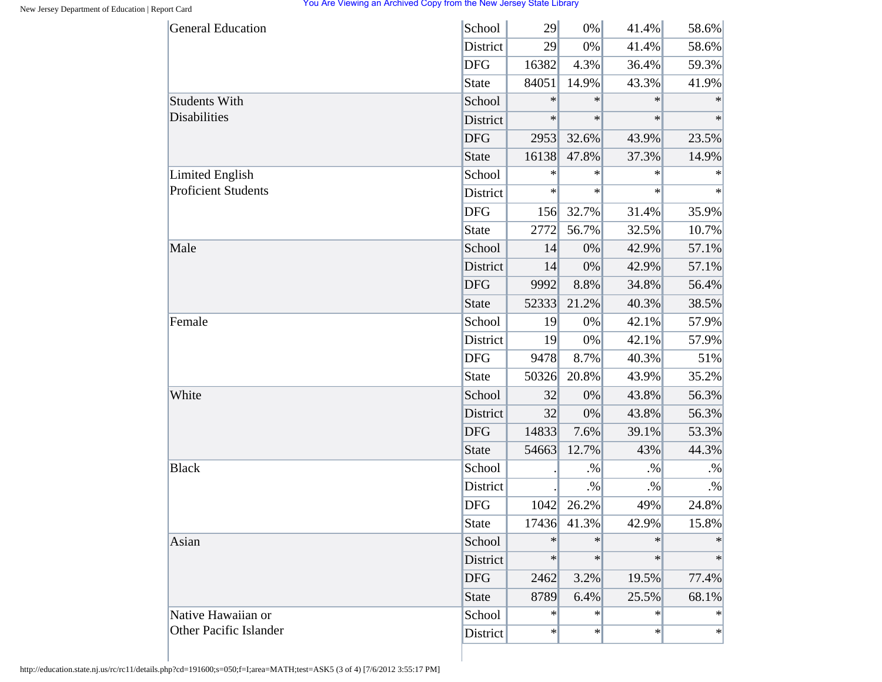| <b>General Education</b>   | School       | 29     | 0%          | 41.4%  | 58.6%  |
|----------------------------|--------------|--------|-------------|--------|--------|
|                            | District     | 29     | 0%          | 41.4%  | 58.6%  |
|                            | <b>DFG</b>   | 16382  | 4.3%        | 36.4%  | 59.3%  |
|                            | <b>State</b> | 84051  | 14.9%       | 43.3%  | 41.9%  |
| <b>Students With</b>       | School       | $\ast$ | $\ast$      | $\ast$ | $\ast$ |
| Disabilities               | District     | $\ast$ | $\ast$      | $\ast$ | $\ast$ |
|                            | <b>DFG</b>   | 2953   | 32.6%       | 43.9%  | 23.5%  |
|                            | <b>State</b> | 16138  | 47.8%       | 37.3%  | 14.9%  |
| <b>Limited English</b>     | School       | $\ast$ | $\ast$      | $\ast$ | $\ast$ |
| <b>Proficient Students</b> | District     | $\ast$ | $\ast$      | $\ast$ | $\ast$ |
|                            | <b>DFG</b>   | 156    | 32.7%       | 31.4%  | 35.9%  |
|                            | <b>State</b> | 2772   | 56.7%       | 32.5%  | 10.7%  |
| Male                       | School       | 14     | 0%          | 42.9%  | 57.1%  |
|                            | District     | 14     | 0%          | 42.9%  | 57.1%  |
|                            | <b>DFG</b>   | 9992   | 8.8%        | 34.8%  | 56.4%  |
|                            | <b>State</b> | 52333  | 21.2%       | 40.3%  | 38.5%  |
| Female                     | School       | 19     | 0%          | 42.1%  | 57.9%  |
|                            | District     | 19     | 0%          | 42.1%  | 57.9%  |
|                            | <b>DFG</b>   | 9478   | 8.7%        | 40.3%  | 51%    |
|                            | <b>State</b> | 50326  | 20.8%       | 43.9%  | 35.2%  |
| White                      | School       | 32     | 0%          | 43.8%  | 56.3%  |
|                            | District     | 32     | 0%          | 43.8%  | 56.3%  |
|                            | <b>DFG</b>   | 14833  | 7.6%        | 39.1%  | 53.3%  |
|                            | <b>State</b> | 54663  | 12.7%       | 43%    | 44.3%  |
| <b>Black</b>               | School       |        | $\cdot\%$   | $. \%$ | $. \%$ |
|                            | District     |        | $. \%$      | $. \%$ | $. \%$ |
|                            | <b>DFG</b>   | 1042   | 26.2%       | 49%    | 24.8%  |
|                            | <b>State</b> |        | 17436 41.3% | 42.9%  | 15.8%  |
| Asian                      | School       | $\ast$ | $\ast$      | $\ast$ | ∗      |
|                            | District     | $\ast$ | $\ast$      | $\ast$ | $\ast$ |
|                            | <b>DFG</b>   | 2462   | 3.2%        | 19.5%  | 77.4%  |
|                            | <b>State</b> | 8789   | 6.4%        | 25.5%  | 68.1%  |
| Native Hawaiian or         | School       | $\ast$ | $\ast$      | $\ast$ | $\ast$ |
| Other Pacific Islander     | District     | $\ast$ | $\ast$      | $\ast$ | $\ast$ |

http://education.state.nj.us/rc/rc11/details.php?cd=191600;s=050;f=I;area=MATH;test=ASK5 (3 of 4) [7/6/2012 3:55:17 PM]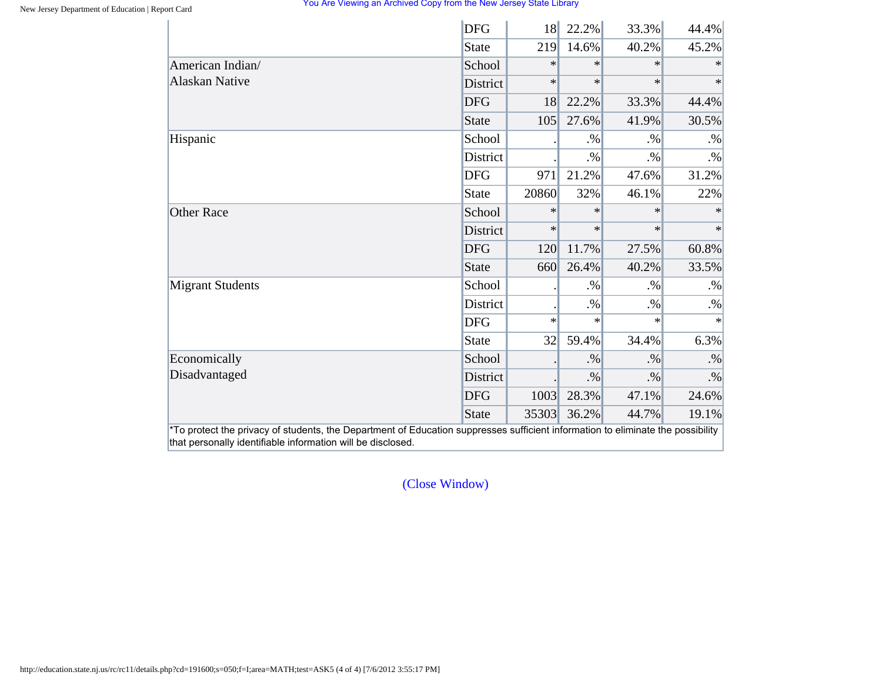|                         | <b>DFG</b>      | <b>18</b> | 22.2%  | 33.3%  | 44.4%  |
|-------------------------|-----------------|-----------|--------|--------|--------|
|                         | State           | 219       | 14.6%  | 40.2%  | 45.2%  |
| American Indian/        | School          | $\ast$    | $\ast$ | $\ast$ | $\ast$ |
| <b>Alaskan Native</b>   | <b>District</b> | $\ast$    | $\ast$ | $\ast$ | $\ast$ |
|                         | <b>DFG</b>      | 18        | 22.2%  | 33.3%  | 44.4%  |
|                         | State           | 105       | 27.6%  | 41.9%  | 30.5%  |
| Hispanic                | School          |           | $. \%$ | $. \%$ | $. \%$ |
|                         | <b>District</b> |           | $. \%$ | $. \%$ | $. \%$ |
|                         | <b>DFG</b>      | 971       | 21.2%  | 47.6%  | 31.2%  |
|                         | State           | 20860     | 32%    | 46.1%  | 22%    |
| <b>Other Race</b>       | School          | $\ast$    | $\ast$ | $\ast$ | $\ast$ |
|                         | <b>District</b> | $\ast$    | $\ast$ | $\ast$ | $\ast$ |
|                         | <b>DFG</b>      | 120       | 11.7%  | 27.5%  | 60.8%  |
|                         | State           | 660       | 26.4%  | 40.2%  | 33.5%  |
| <b>Migrant Students</b> | School          |           | $. \%$ | $. \%$ | $. \%$ |
|                         | District        |           | $. \%$ | $. \%$ | $. \%$ |
|                         | <b>DFG</b>      | $\ast$    | $\ast$ | $\ast$ | $\ast$ |
|                         | State           | 32        | 59.4%  | 34.4%  | 6.3%   |
| Economically            | School          |           | $. \%$ | $. \%$ | $. \%$ |
| Disadvantaged           | District        |           | $. \%$ | $. \%$ | $. \%$ |
|                         | <b>DFG</b>      | 1003      | 28.3%  | 47.1%  | 24.6%  |
|                         | State           | 35303     | 36.2%  | 44.7%  | 19.1%  |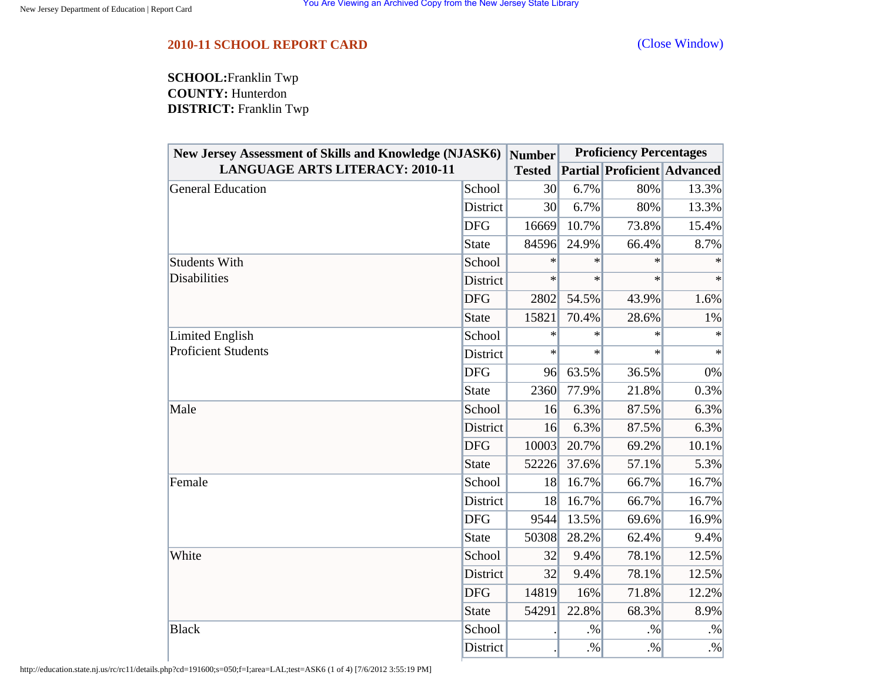<span id="page-43-0"></span>**SCHOOL:**Franklin Twp **COUNTY:** Hunterdon **DISTRICT:** Franklin Twp

| New Jersey Assessment of Skills and Knowledge (NJASK6) |              | <b>Number</b>   | <b>Proficiency Percentages</b> |                                    |        |  |
|--------------------------------------------------------|--------------|-----------------|--------------------------------|------------------------------------|--------|--|
| <b>LANGUAGE ARTS LITERACY: 2010-11</b>                 |              | <b>Tested</b>   |                                | <b>Partial Proficient Advanced</b> |        |  |
| General Education                                      | School       | 30 <sup>l</sup> | 6.7%                           | 80%                                | 13.3%  |  |
|                                                        | District     | 30              | 6.7%                           | 80%                                | 13.3%  |  |
|                                                        | <b>DFG</b>   | 16669           | 10.7%                          | 73.8%                              | 15.4%  |  |
|                                                        | <b>State</b> | 84596           | 24.9%                          | 66.4%                              | 8.7%   |  |
| <b>Students With</b>                                   | School       | $\ast$          | $\ast$                         | $\ast$                             |        |  |
| <b>Disabilities</b>                                    | District     | $\ast$          | $\ast$                         | $\ast$                             | $\ast$ |  |
|                                                        | <b>DFG</b>   | 2802            | 54.5%                          | 43.9%                              | 1.6%   |  |
|                                                        | <b>State</b> | 15821           | 70.4%                          | 28.6%                              | 1%     |  |
| Limited English                                        | School       | $\ast$          | $\ast$                         | $\ast$                             | $\ast$ |  |
| <b>Proficient Students</b>                             | District     | $\ast$          | $\ast$                         | $\ast$                             | $\ast$ |  |
|                                                        | <b>DFG</b>   | 96              | 63.5%                          | 36.5%                              | 0%     |  |
|                                                        | <b>State</b> | 2360            | 77.9%                          | 21.8%                              | 0.3%   |  |
| Male                                                   | School       | 16              | 6.3%                           | 87.5%                              | 6.3%   |  |
|                                                        | District     | 16              | 6.3%                           | 87.5%                              | 6.3%   |  |
|                                                        | <b>DFG</b>   | 10003           | 20.7%                          | 69.2%                              | 10.1%  |  |
|                                                        | <b>State</b> | 52226           | 37.6%                          | 57.1%                              | 5.3%   |  |
| Female                                                 | School       | 18              | 16.7%                          | 66.7%                              | 16.7%  |  |
|                                                        | District     | 18              | 16.7%                          | 66.7%                              | 16.7%  |  |
|                                                        | <b>DFG</b>   | 9544            | 13.5%                          | 69.6%                              | 16.9%  |  |
|                                                        | <b>State</b> | 50308           | 28.2%                          | 62.4%                              | 9.4%   |  |
| White                                                  | School       | 32              | 9.4%                           | 78.1%                              | 12.5%  |  |
|                                                        | District     | 32              | 9.4%                           | 78.1%                              | 12.5%  |  |
|                                                        | <b>DFG</b>   | 14819           | 16%                            | 71.8%                              | 12.2%  |  |
|                                                        | <b>State</b> | 54291           | 22.8%                          | 68.3%                              | 8.9%   |  |
| <b>Black</b>                                           | School       |                 | $. \%$                         | .9/6                               | $. \%$ |  |
|                                                        | District     |                 | $. \%$                         | $. \%$                             | $. \%$ |  |

http://education.state.nj.us/rc/rc11/details.php?cd=191600;s=050;f=I;area=LAL;test=ASK6 (1 of 4) [7/6/2012 3:55:19 PM]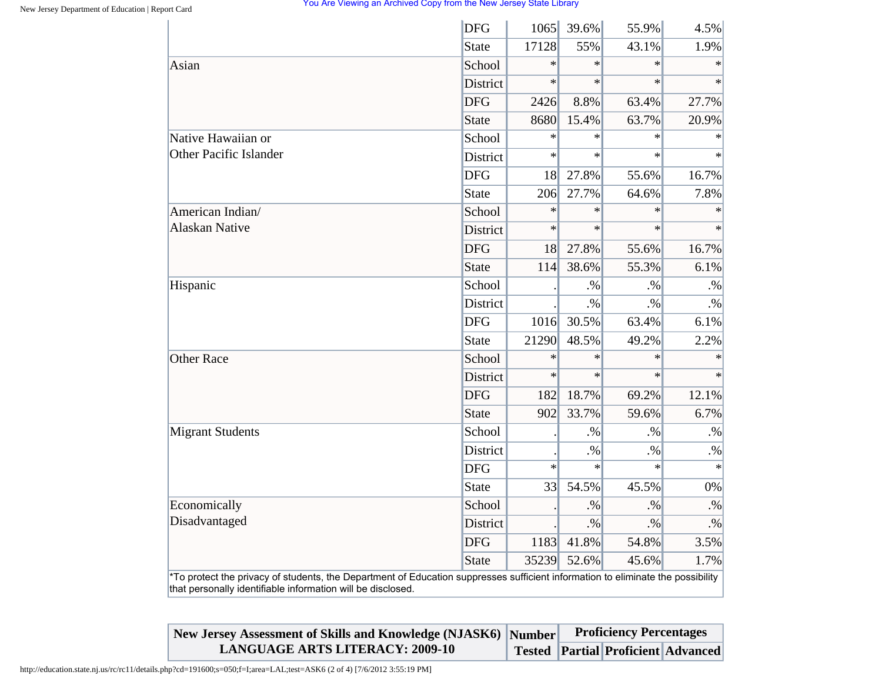|                                                                                                                                                                                                | <b>DFG</b>   | 1065   | 39.6%  | 55.9%  | 4.5%      |
|------------------------------------------------------------------------------------------------------------------------------------------------------------------------------------------------|--------------|--------|--------|--------|-----------|
|                                                                                                                                                                                                | <b>State</b> | 17128  | 55%    | 43.1%  | 1.9%      |
| Asian                                                                                                                                                                                          | School       | $\ast$ | $\ast$ | $\ast$ | $\ast$    |
|                                                                                                                                                                                                | District     | $\ast$ | $\ast$ | $\ast$ | $\ast$    |
|                                                                                                                                                                                                | <b>DFG</b>   | 2426   | 8.8%   | 63.4%  | 27.7%     |
|                                                                                                                                                                                                | <b>State</b> | 8680   | 15.4%  | 63.7%  | 20.9%     |
| Native Hawaiian or                                                                                                                                                                             | School       | $\ast$ | $\ast$ | $\ast$ | $\ast$    |
| <b>Other Pacific Islander</b>                                                                                                                                                                  | District     | $\ast$ | $\ast$ | $\ast$ | $\ast$    |
|                                                                                                                                                                                                | <b>DFG</b>   | 18     | 27.8%  | 55.6%  | 16.7%     |
|                                                                                                                                                                                                | <b>State</b> | 206    | 27.7%  | 64.6%  | 7.8%      |
| American Indian/                                                                                                                                                                               | School       | $\ast$ | $\ast$ | $\ast$ | $\ast$    |
| <b>Alaskan Native</b>                                                                                                                                                                          | District     | $\ast$ | $\ast$ | $\ast$ |           |
|                                                                                                                                                                                                | <b>DFG</b>   | 18     | 27.8%  | 55.6%  | 16.7%     |
|                                                                                                                                                                                                | <b>State</b> | 114    | 38.6%  | 55.3%  | 6.1%      |
| Hispanic                                                                                                                                                                                       | School       |        | $. \%$ | $. \%$ | $\cdot\%$ |
|                                                                                                                                                                                                | District     |        | $. \%$ | $. \%$ | $. \%$    |
|                                                                                                                                                                                                | <b>DFG</b>   | 1016   | 30.5%  | 63.4%  | 6.1%      |
|                                                                                                                                                                                                | <b>State</b> | 21290  | 48.5%  | 49.2%  | 2.2%      |
| <b>Other Race</b>                                                                                                                                                                              | School       | $\ast$ | $\ast$ | $\ast$ | $\ast$    |
|                                                                                                                                                                                                | District     | $\ast$ | $\ast$ | $\ast$ | $\ast$    |
|                                                                                                                                                                                                | <b>DFG</b>   | 182    | 18.7%  | 69.2%  | 12.1%     |
|                                                                                                                                                                                                | <b>State</b> | 902    | 33.7%  | 59.6%  | 6.7%      |
| <b>Migrant Students</b>                                                                                                                                                                        | School       |        | $. \%$ | $. \%$ | $. \%$    |
|                                                                                                                                                                                                | District     |        | $. \%$ | $. \%$ | $. \%$    |
|                                                                                                                                                                                                | <b>DFG</b>   | $\ast$ | $\ast$ | $\ast$ | $\star$   |
|                                                                                                                                                                                                | <b>State</b> | 33     | 54.5%  | 45.5%  | 0%        |
| Economically                                                                                                                                                                                   | School       |        | $. \%$ | $. \%$ | $. \%$    |
| Disadvantaged                                                                                                                                                                                  | District     |        | $. \%$ | $. \%$ | $\cdot\%$ |
|                                                                                                                                                                                                | <b>DFG</b>   | 1183   | 41.8%  | 54.8%  | 3.5%      |
|                                                                                                                                                                                                | <b>State</b> | 35239  | 52.6%  | 45.6%  | 1.7%      |
| *To protect the privacy of students, the Department of Education suppresses sufficient information to eliminate the possibility<br>that personally identifiable information will be disclosed. |              |        |        |        |           |

| New Jersey Assessment of Skills and Knowledge (NJASK6) Number | <b>Proficiency Percentages</b> |                                           |  |  |
|---------------------------------------------------------------|--------------------------------|-------------------------------------------|--|--|
| <b>LANGUAGE ARTS LITERACY: 2009-10</b>                        |                                | <b>Tested Partial Proficient Advanced</b> |  |  |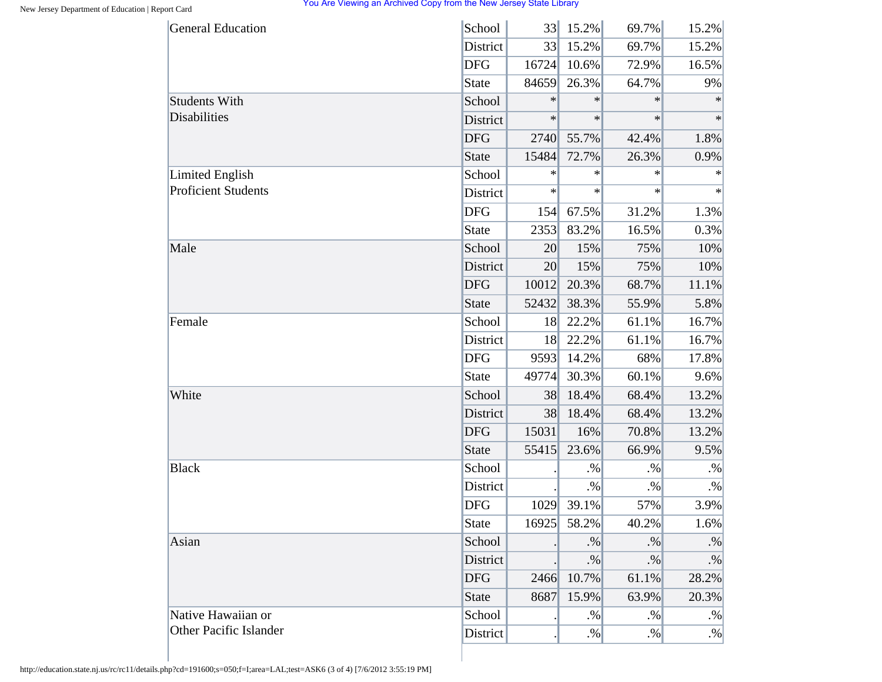| <b>General Education</b>      | School       | 33     | 15.2%  | 69.7%  | 15.2%  |
|-------------------------------|--------------|--------|--------|--------|--------|
|                               | District     | 33     | 15.2%  | 69.7%  | 15.2%  |
|                               | <b>DFG</b>   | 16724  | 10.6%  | 72.9%  | 16.5%  |
|                               | State        | 84659  | 26.3%  | 64.7%  | 9%     |
| <b>Students With</b>          | School       | $\ast$ | $\ast$ | $\ast$ | $\ast$ |
| Disabilities                  | District     | $\ast$ | $\ast$ | $\ast$ | $\ast$ |
|                               | <b>DFG</b>   | 2740   | 55.7%  | 42.4%  | 1.8%   |
|                               | <b>State</b> | 15484  | 72.7%  | 26.3%  | 0.9%   |
| <b>Limited English</b>        | School       | $\ast$ | $\ast$ | $\ast$ | $\ast$ |
| <b>Proficient Students</b>    | District     | $\ast$ | $\ast$ | $\ast$ | $\ast$ |
|                               | <b>DFG</b>   | 154    | 67.5%  | 31.2%  | 1.3%   |
|                               | <b>State</b> | 2353   | 83.2%  | 16.5%  | 0.3%   |
| Male                          | School       | 20     | 15%    | 75%    | 10%    |
|                               | District     | 20     | 15%    | 75%    | 10%    |
|                               | <b>DFG</b>   | 10012  | 20.3%  | 68.7%  | 11.1%  |
|                               | <b>State</b> | 52432  | 38.3%  | 55.9%  | 5.8%   |
| Female                        | School       | 18     | 22.2%  | 61.1%  | 16.7%  |
|                               | District     | 18     | 22.2%  | 61.1%  | 16.7%  |
|                               | <b>DFG</b>   | 9593   | 14.2%  | 68%    | 17.8%  |
|                               | <b>State</b> | 49774  | 30.3%  | 60.1%  | 9.6%   |
| White                         | School       | 38     | 18.4%  | 68.4%  | 13.2%  |
|                               | District     | 38     | 18.4%  | 68.4%  | 13.2%  |
|                               | <b>DFG</b>   | 15031  | 16%    | 70.8%  | 13.2%  |
|                               | <b>State</b> | 55415  | 23.6%  | 66.9%  | 9.5%   |
| <b>Black</b>                  | School       |        | $. \%$ | $. \%$ | $. \%$ |
|                               | District     |        | $. \%$ | $. \%$ | $. \%$ |
|                               | <b>DFG</b>   | 1029   | 39.1%  | 57%    | 3.9%   |
|                               | <b>State</b> | 16925  | 58.2%  | 40.2%  | 1.6%   |
| Asian                         | School       |        | $. \%$ | $. \%$ | $. \%$ |
|                               | District     |        | $. \%$ | $. \%$ | $. \%$ |
|                               | <b>DFG</b>   | 2466   | 10.7%  | 61.1%  | 28.2%  |
|                               | <b>State</b> | 8687   | 15.9%  | 63.9%  | 20.3%  |
| Native Hawaiian or            | School       |        | $. \%$ | $. \%$ | $. \%$ |
| <b>Other Pacific Islander</b> | District     |        | $. \%$ | $. \%$ | $. \%$ |

http://education.state.nj.us/rc/rc11/details.php?cd=191600;s=050;f=I;area=LAL;test=ASK6 (3 of 4) [7/6/2012 3:55:19 PM]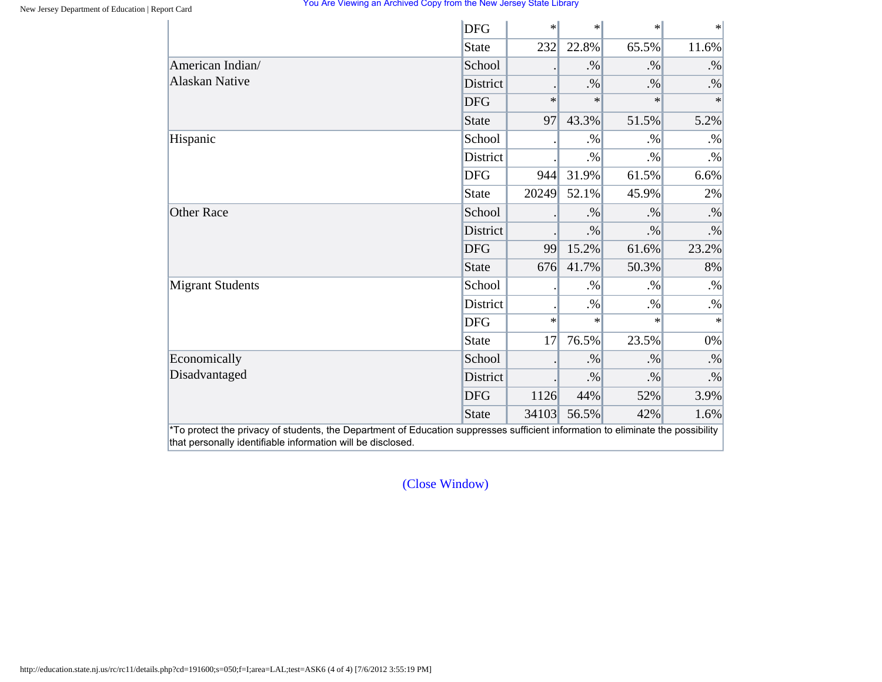|                         | <b>DFG</b>   | $\ast$ | $\ast$ | $\ast$ | $\ast$    |
|-------------------------|--------------|--------|--------|--------|-----------|
|                         | <b>State</b> | 232    | 22.8%  | 65.5%  | 11.6%     |
| American Indian/        | School       |        | $. \%$ | $. \%$ | $. \%$    |
| <b>Alaskan Native</b>   | District     |        | $. \%$ | $. \%$ | $. \%$    |
|                         | <b>DFG</b>   | $\ast$ | $\ast$ | $\ast$ | $\ast$    |
|                         | State        | 97     | 43.3%  | 51.5%  | 5.2%      |
| Hispanic                | School       |        | $. \%$ | $. \%$ | $. \%$    |
|                         | District     |        | $. \%$ | $. \%$ | $. \%$    |
|                         | <b>DFG</b>   | 944    | 31.9%  | 61.5%  | 6.6%      |
|                         | <b>State</b> | 20249  | 52.1%  | 45.9%  | 2%        |
| <b>Other Race</b>       | School       |        | $. \%$ | $. \%$ | $. \%$    |
|                         | District     |        | $. \%$ | $. \%$ | $\cdot\%$ |
|                         | <b>DFG</b>   | 99     | 15.2%  | 61.6%  | 23.2%     |
|                         | <b>State</b> | 676    | 41.7%  | 50.3%  | 8%        |
| <b>Migrant Students</b> | School       |        | $. \%$ | $. \%$ | $. \%$    |
|                         | District     |        | $. \%$ | $. \%$ | $. \%$    |
|                         | <b>DFG</b>   | $\ast$ | $\ast$ | $\ast$ | $\ast$    |
|                         | <b>State</b> | 17     | 76.5%  | 23.5%  | 0%        |
| Economically            | School       |        | $. \%$ | $. \%$ | $\cdot\%$ |
| Disadvantaged           | District     |        | $. \%$ | $. \%$ | $. \%$    |
|                         | <b>DFG</b>   | 1126   | 44%    | 52%    | 3.9%      |
|                         | <b>State</b> | 34103  | 56.5%  | 42%    | 1.6%      |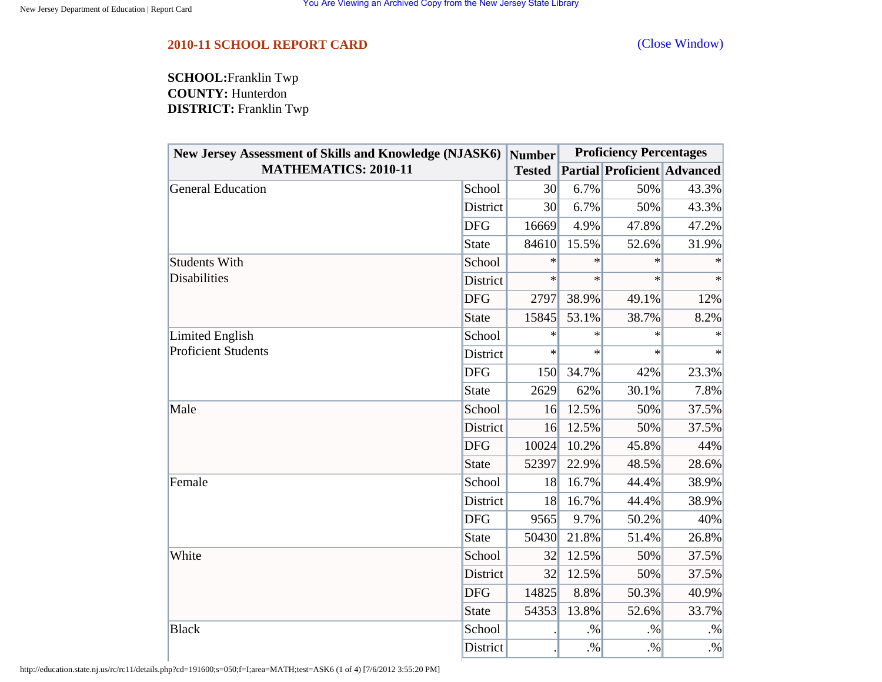<span id="page-47-0"></span>**SCHOOL:**Franklin Twp **COUNTY:** Hunterdon **DISTRICT:** Franklin Twp

| New Jersey Assessment of Skills and Knowledge (NJASK6)  Number<br><b>MATHEMATICS: 2010-11</b> |                 |                 | <b>Proficiency Percentages</b> |                                    |        |  |
|-----------------------------------------------------------------------------------------------|-----------------|-----------------|--------------------------------|------------------------------------|--------|--|
|                                                                                               |                 | <b>Tested</b>   |                                | <b>Partial Proficient Advanced</b> |        |  |
| <b>General Education</b>                                                                      | School          | 30 <sup>l</sup> | 6.7%                           | 50%                                | 43.3%  |  |
|                                                                                               | District        | 30              | 6.7%                           | 50%                                | 43.3%  |  |
|                                                                                               | <b>DFG</b>      | 16669           | 4.9%                           | 47.8%                              | 47.2%  |  |
|                                                                                               | <b>State</b>    | 84610           | 15.5%                          | 52.6%                              | 31.9%  |  |
| <b>Students With</b>                                                                          | School          | $\ast$          | $\ast$                         | $\ast$                             |        |  |
| <b>Disabilities</b>                                                                           | <b>District</b> | $\ast$          | $\ast$                         | $\ast$                             | $\ast$ |  |
|                                                                                               | <b>DFG</b>      | 2797            | 38.9%                          | 49.1%                              | 12%    |  |
|                                                                                               | <b>State</b>    | 15845           | 53.1%                          | 38.7%                              | 8.2%   |  |
| Limited English                                                                               | School          | $\ast$          | $\ast$                         | $\ast$                             | $\ast$ |  |
| <b>Proficient Students</b>                                                                    | District        | $\ast$          | $\ast$                         | $\ast$                             | $\ast$ |  |
|                                                                                               | <b>DFG</b>      | 150             | 34.7%                          | 42%                                | 23.3%  |  |
|                                                                                               | <b>State</b>    | 2629            | 62%                            | 30.1%                              | 7.8%   |  |
| Male                                                                                          | School          | 16              | 12.5%                          | 50%                                | 37.5%  |  |
|                                                                                               | District        | 16              | 12.5%                          | 50%                                | 37.5%  |  |
|                                                                                               | <b>DFG</b>      | 10024           | 10.2%                          | 45.8%                              | 44%    |  |
|                                                                                               | <b>State</b>    | 52397           | 22.9%                          | 48.5%                              | 28.6%  |  |
| Female                                                                                        | School          | 18              | 16.7%                          | 44.4%                              | 38.9%  |  |
|                                                                                               | District        | 18              | 16.7%                          | 44.4%                              | 38.9%  |  |
|                                                                                               | <b>DFG</b>      | 9565            | 9.7%                           | 50.2%                              | 40%    |  |
|                                                                                               | <b>State</b>    | 50430           | 21.8%                          | 51.4%                              | 26.8%  |  |
| White                                                                                         | School          | 32              | 12.5%                          | 50%                                | 37.5%  |  |
|                                                                                               | District        | 32              | 12.5%                          | 50%                                | 37.5%  |  |
|                                                                                               | <b>DFG</b>      | 14825           | 8.8%                           | 50.3%                              | 40.9%  |  |
|                                                                                               | <b>State</b>    | 54353           | 13.8%                          | 52.6%                              | 33.7%  |  |
| <b>Black</b>                                                                                  | School          |                 | $. \%$                         | $. \%$                             | $. \%$ |  |
|                                                                                               | District        |                 | $. \%$                         | $. \%$                             | $. \%$ |  |

http://education.state.nj.us/rc/rc11/details.php?cd=191600;s=050;f=I;area=MATH;test=ASK6 (1 of 4) [7/6/2012 3:55:20 PM]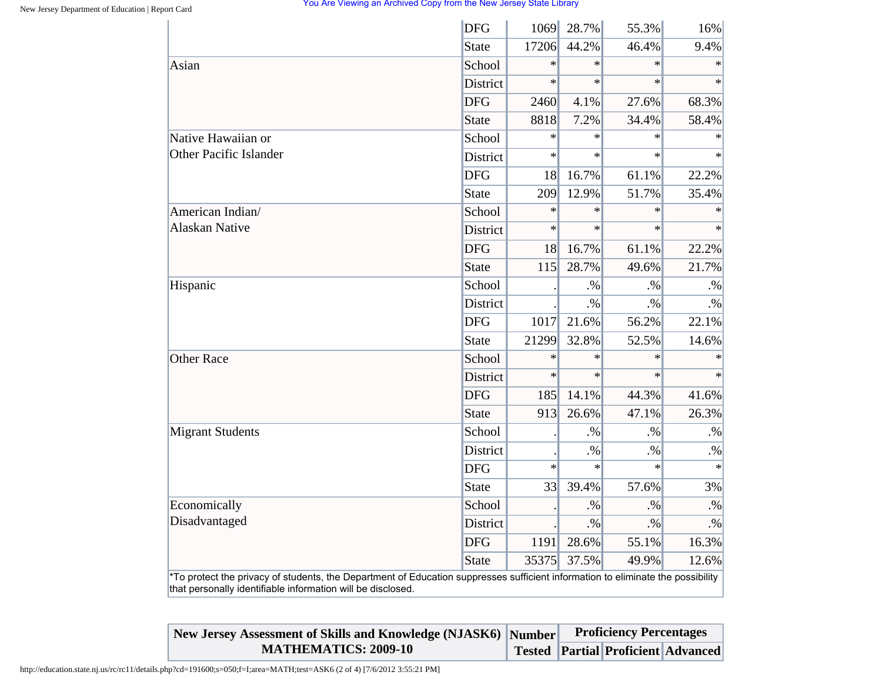| Asian<br>Native Hawaiian or<br><b>Other Pacific Islander</b> | <b>State</b><br>School<br>District<br><b>DFG</b><br><b>State</b><br>School | 17206<br>$\ast$<br>$\ast$<br>2460<br>8818 | 44.2%<br>$\ast$<br>$\ast$<br>4.1%<br>7.2% | 46.4%<br>$\ast$<br>$\ast$<br>27.6% | 9.4%<br>$\ast$<br>$\ast$ |
|--------------------------------------------------------------|----------------------------------------------------------------------------|-------------------------------------------|-------------------------------------------|------------------------------------|--------------------------|
|                                                              |                                                                            |                                           |                                           |                                    |                          |
|                                                              |                                                                            |                                           |                                           |                                    |                          |
|                                                              |                                                                            |                                           |                                           |                                    |                          |
|                                                              |                                                                            |                                           |                                           |                                    | 68.3%                    |
|                                                              |                                                                            |                                           |                                           | 34.4%                              | 58.4%                    |
|                                                              |                                                                            | $\ast$                                    | $\ast$                                    | $\ast$                             | $\ast$                   |
|                                                              | District                                                                   | $\ast$                                    | $\ast$                                    | $\ast$                             | $\ast$                   |
|                                                              | <b>DFG</b>                                                                 | 18                                        | 16.7%                                     | 61.1%                              | 22.2%                    |
|                                                              | <b>State</b>                                                               | 209                                       | 12.9%                                     | 51.7%                              | 35.4%                    |
| American Indian/                                             | School                                                                     | $\ast$                                    | $\ast$                                    | $\ast$                             |                          |
| <b>Alaskan Native</b>                                        | District                                                                   | $\ast$                                    | $\ast$                                    | $\ast$                             | $\ast$                   |
|                                                              | <b>DFG</b>                                                                 | <b>18</b>                                 | 16.7%                                     | 61.1%                              | 22.2%                    |
|                                                              | <b>State</b>                                                               | 115                                       | 28.7%                                     | 49.6%                              | 21.7%                    |
| Hispanic                                                     | School                                                                     |                                           | $. \%$                                    | $. \%$                             | $\cdot\%$                |
|                                                              | District                                                                   |                                           | $. \%$                                    | $. \%$                             | $. \%$                   |
|                                                              | <b>DFG</b>                                                                 | 1017                                      | 21.6%                                     | 56.2%                              | 22.1%                    |
|                                                              | <b>State</b>                                                               | 21299                                     | 32.8%                                     | 52.5%                              | 14.6%                    |
| <b>Other Race</b>                                            | School                                                                     | $\ast$                                    | $\ast$                                    | $\ast$                             | $\ast$                   |
|                                                              | District                                                                   | $\ast$                                    | $\ast$                                    | $\ast$                             | $\ast$                   |
|                                                              | <b>DFG</b>                                                                 | 185                                       | 14.1%                                     | 44.3%                              | 41.6%                    |
|                                                              | <b>State</b>                                                               | 913                                       | 26.6%                                     | 47.1%                              | 26.3%                    |
| <b>Migrant Students</b>                                      | School                                                                     |                                           | $. \%$                                    | $. \%$                             | $. \%$                   |
|                                                              | District                                                                   |                                           | $. \%$                                    | $\cdot\%$                          | $\cdot\%$                |
|                                                              | <b>DFG</b>                                                                 | $\ast$                                    | $\ast$                                    | $\ast$                             | $\ast$                   |
|                                                              | <b>State</b>                                                               | 33                                        | 39.4%                                     | 57.6%                              | 3%                       |
| Economically                                                 | School                                                                     |                                           | $. \%$                                    | $. \%$                             | $. \%$                   |
| Disadvantaged                                                | <b>District</b>                                                            |                                           | $. \%$                                    | $. \%$                             | $. \%$                   |
|                                                              | <b>DFG</b>                                                                 | 1191                                      | 28.6%                                     | 55.1%                              | 16.3%                    |
|                                                              | <b>State</b>                                                               | 35375                                     | 37.5%                                     | 49.9%                              | 12.6%                    |

| New Jersey Assessment of Skills and Knowledge (NJASK6) Number | <b>Proficiency Percentages</b> |                                    |  |
|---------------------------------------------------------------|--------------------------------|------------------------------------|--|
| <b>MATHEMATICS: 2009-10</b>                                   |                                | Tested Partial Proficient Advanced |  |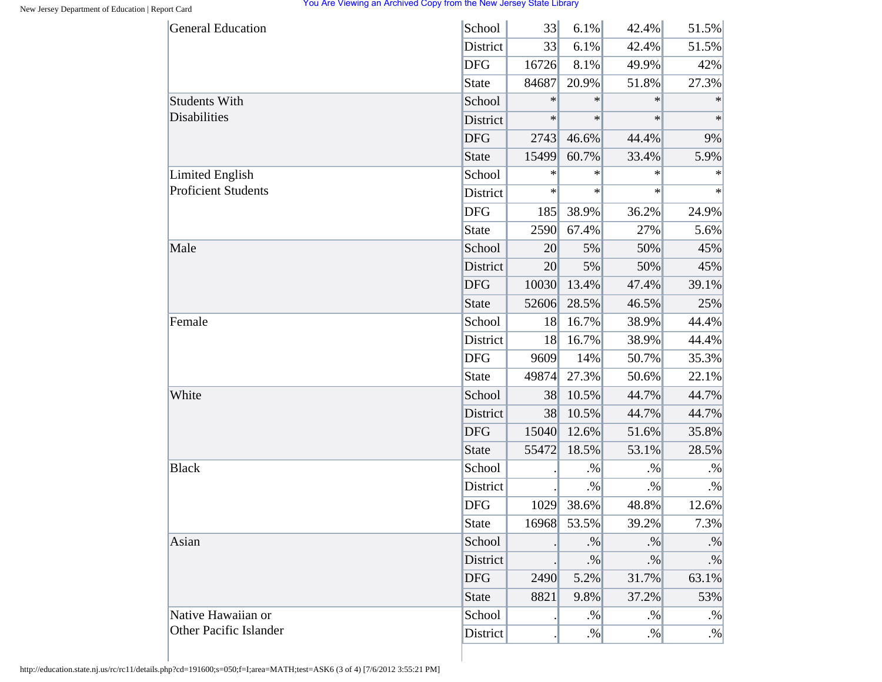| <b>General Education</b>   | School          | 33              | $6.1\%$ | 42.4%  | 51.5%     |
|----------------------------|-----------------|-----------------|---------|--------|-----------|
|                            | District        | 33              | 6.1%    | 42.4%  | 51.5%     |
|                            | <b>DFG</b>      | 16726           | 8.1%    | 49.9%  | 42%       |
|                            | <b>State</b>    | 84687           | 20.9%   | 51.8%  | 27.3%     |
| <b>Students With</b>       | School          | $\ast$          | $\ast$  | $\ast$ | $\ast$    |
| Disabilities               | District        | $\ast$          | $\ast$  | $\ast$ | $\ast$    |
|                            | <b>DFG</b>      | 2743            | 46.6%   | 44.4%  | 9%        |
|                            | <b>State</b>    | 15499           | 60.7%   | 33.4%  | 5.9%      |
| <b>Limited English</b>     | School          | $\ast$          | $\ast$  | $\ast$ | $\ast$    |
| <b>Proficient Students</b> | District        | $\ast$          | $\ast$  | $\ast$ | $\ast$    |
|                            | <b>DFG</b>      | 185             | 38.9%   | 36.2%  | 24.9%     |
|                            | <b>State</b>    | 2590            | 67.4%   | 27%    | 5.6%      |
| Male                       | School          | 20 <sup>°</sup> | 5%      | 50%    | 45%       |
|                            | District        | 20 <sup>°</sup> | 5%      | 50%    | 45%       |
|                            | <b>DFG</b>      | 10030           | 13.4%   | 47.4%  | 39.1%     |
|                            | <b>State</b>    | 52606           | 28.5%   | 46.5%  | 25%       |
| Female                     | School          | 18              | 16.7%   | 38.9%  | 44.4%     |
|                            | District        | 18              | 16.7%   | 38.9%  | 44.4%     |
|                            | <b>DFG</b>      | 9609            | 14%     | 50.7%  | 35.3%     |
|                            | <b>State</b>    | 49874           | 27.3%   | 50.6%  | 22.1%     |
| White                      | School          | 38              | 10.5%   | 44.7%  | 44.7%     |
|                            | District        | 38              | 10.5%   | 44.7%  | 44.7%     |
|                            | <b>DFG</b>      | 15040           | 12.6%   | 51.6%  | 35.8%     |
|                            | <b>State</b>    | 55472           | 18.5%   | 53.1%  | 28.5%     |
| <b>Black</b>               | School          |                 | $. \%$  | $. \%$ | $. \%$    |
|                            | District        |                 | $. \%$  | $. \%$ | $. \%$    |
|                            | <b>DFG</b>      | 1029            | 38.6%   | 48.8%  | 12.6%     |
|                            | <b>State</b>    | 16968           | 53.5%   | 39.2%  | 7.3%      |
| Asian                      | School          |                 | $. \%$  | $. \%$ | $\cdot\%$ |
|                            | <b>District</b> |                 | $. \%$  | $. \%$ | $. \%$    |
|                            | <b>DFG</b>      | 2490            | 5.2%    | 31.7%  | 63.1%     |
|                            | <b>State</b>    | 8821            | 9.8%    | 37.2%  | 53%       |
| Native Hawaiian or         | School          |                 | $. \%$  | $. \%$ | $. \%$    |
| Other Pacific Islander     | District        |                 | $. \%$  | $. \%$ | $. \%$    |

http://education.state.nj.us/rc/rc11/details.php?cd=191600;s=050;f=I;area=MATH;test=ASK6 (3 of 4) [7/6/2012 3:55:21 PM]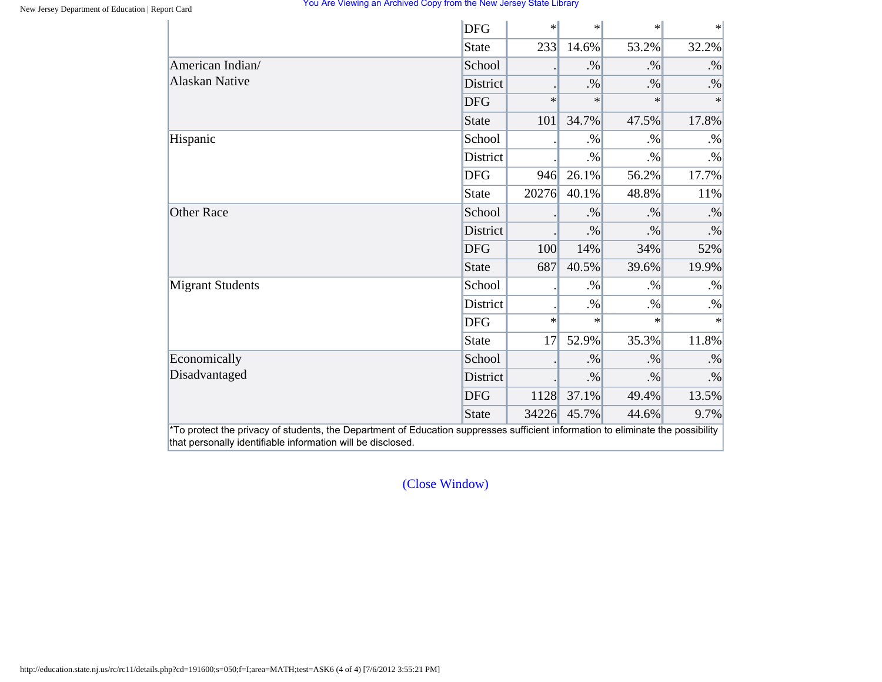|                         | <b>DFG</b>   | $\ast$ | $\ast$ | $\ast$ | $\ast$    |
|-------------------------|--------------|--------|--------|--------|-----------|
|                         | <b>State</b> | 233    | 14.6%  | 53.2%  | 32.2%     |
| American Indian/        | School       |        | $. \%$ | $. \%$ | $. \%$    |
| <b>Alaskan Native</b>   | District     |        | $. \%$ | $. \%$ | $. \%$    |
|                         | <b>DFG</b>   | $\ast$ | $\ast$ | $\ast$ | $\ast$    |
|                         | State        | 101    | 34.7%  | 47.5%  | 17.8%     |
| Hispanic                | School       |        | $. \%$ | $. \%$ | $. \%$    |
|                         | District     |        | $. \%$ | $. \%$ | $. \%$    |
|                         | <b>DFG</b>   | 946    | 26.1%  | 56.2%  | 17.7%     |
|                         | <b>State</b> | 20276  | 40.1%  | 48.8%  | 11%       |
| <b>Other Race</b>       | School       |        | $. \%$ | $. \%$ | $. \%$    |
|                         | District     |        | $. \%$ | $. \%$ | $\cdot\%$ |
|                         | <b>DFG</b>   | 100    | 14%    | 34%    | 52%       |
|                         | <b>State</b> | 687    | 40.5%  | 39.6%  | 19.9%     |
| <b>Migrant Students</b> | School       |        | $. \%$ | $. \%$ | $. \%$    |
|                         | District     |        | $. \%$ | $. \%$ | $. \%$    |
|                         | <b>DFG</b>   | $\ast$ | $\ast$ | $\ast$ | $\ast$    |
|                         | <b>State</b> | 17     | 52.9%  | 35.3%  | 11.8%     |
| Economically            | School       |        | $. \%$ | $. \%$ | $. \%$    |
| Disadvantaged           | District     |        | $. \%$ | $. \%$ | $. \%$    |
|                         | <b>DFG</b>   | 1128   | 37.1%  | 49.4%  | 13.5%     |
|                         | <b>State</b> | 34226  | 45.7%  | 44.6%  | 9.7%      |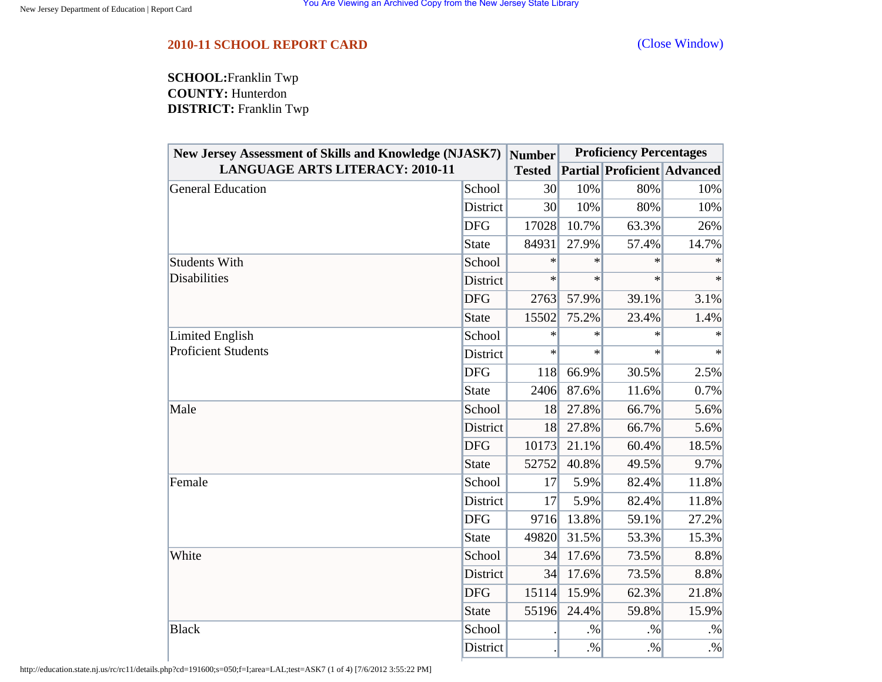<span id="page-51-0"></span>**SCHOOL:**Franklin Twp **COUNTY:** Hunterdon **DISTRICT:** Franklin Twp

| New Jersey Assessment of Skills and Knowledge (NJASK7)<br><b>LANGUAGE ARTS LITERACY: 2010-11</b> |              | <b>Number</b> | <b>Proficiency Percentages</b> |                                    |        |  |
|--------------------------------------------------------------------------------------------------|--------------|---------------|--------------------------------|------------------------------------|--------|--|
|                                                                                                  |              | <b>Tested</b> |                                | <b>Partial Proficient Advanced</b> |        |  |
| General Education                                                                                | School       | 30            | 10%                            | 80%                                | 10%    |  |
|                                                                                                  | District     | 30            | 10%                            | 80%                                | 10%    |  |
|                                                                                                  | <b>DFG</b>   | 17028         | 10.7%                          | 63.3%                              | 26%    |  |
|                                                                                                  | <b>State</b> | 84931         | 27.9%                          | 57.4%                              | 14.7%  |  |
| <b>Students With</b>                                                                             | School       | $\ast$        | $\ast$                         | $\ast$                             |        |  |
| <b>Disabilities</b>                                                                              | District     | $\ast$        | $\ast$                         | $\ast$                             | $\ast$ |  |
|                                                                                                  | <b>DFG</b>   | 2763          | 57.9%                          | 39.1%                              | 3.1%   |  |
|                                                                                                  | <b>State</b> | 15502         | 75.2%                          | 23.4%                              | 1.4%   |  |
| Limited English                                                                                  | School       | $\ast$        | $\ast$                         | $\ast$                             | $\ast$ |  |
| <b>Proficient Students</b>                                                                       | District     | $\ast$        | $\ast$                         | $\ast$                             | $\ast$ |  |
|                                                                                                  | <b>DFG</b>   | 118           | 66.9%                          | 30.5%                              | 2.5%   |  |
|                                                                                                  | <b>State</b> | 2406          | 87.6%                          | 11.6%                              | 0.7%   |  |
| Male                                                                                             | School       | 18            | 27.8%                          | 66.7%                              | 5.6%   |  |
|                                                                                                  | District     | <b>18</b>     | 27.8%                          | 66.7%                              | 5.6%   |  |
|                                                                                                  | <b>DFG</b>   | 10173         | 21.1%                          | 60.4%                              | 18.5%  |  |
|                                                                                                  | <b>State</b> | 52752         | 40.8%                          | 49.5%                              | 9.7%   |  |
| Female                                                                                           | School       | 17            | 5.9%                           | 82.4%                              | 11.8%  |  |
|                                                                                                  | District     | 17            | 5.9%                           | 82.4%                              | 11.8%  |  |
|                                                                                                  | <b>DFG</b>   | 9716          | 13.8%                          | 59.1%                              | 27.2%  |  |
|                                                                                                  | <b>State</b> | 49820         | 31.5%                          | 53.3%                              | 15.3%  |  |
| White                                                                                            | School       | 34            | 17.6%                          | 73.5%                              | 8.8%   |  |
|                                                                                                  | District     | 34            | 17.6%                          | 73.5%                              | 8.8%   |  |
|                                                                                                  | <b>DFG</b>   | 15114         | 15.9%                          | 62.3%                              | 21.8%  |  |
|                                                                                                  | <b>State</b> | 55196         | 24.4%                          | 59.8%                              | 15.9%  |  |
| <b>Black</b>                                                                                     | School       |               | $. \%$                         | .9/6                               | $. \%$ |  |
|                                                                                                  | District     |               | $. \%$                         | $. \%$                             | $. \%$ |  |

http://education.state.nj.us/rc/rc11/details.php?cd=191600;s=050;f=I;area=LAL;test=ASK7 (1 of 4) [7/6/2012 3:55:22 PM]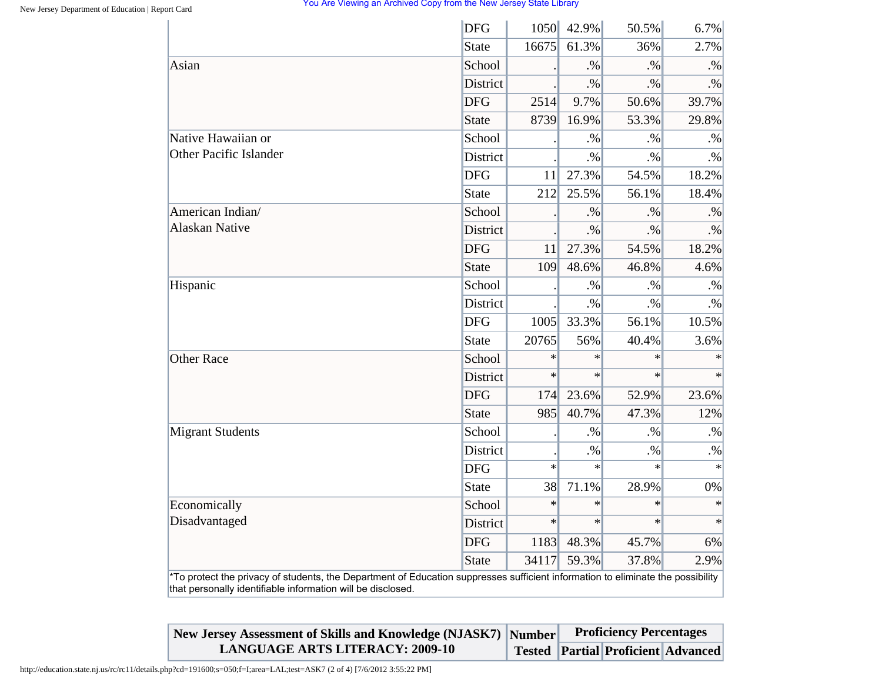|                               | <b>DFG</b> | 1050   | 42.9%     | 50.5%  | 6.7%      |
|-------------------------------|------------|--------|-----------|--------|-----------|
|                               | State      | 16675  | 61.3%     | 36%    | 2.7%      |
| Asian                         | School     |        | .96       | $. \%$ | $. \%$    |
|                               | District   |        | $\cdot\%$ | $. \%$ | $. \%$    |
|                               | <b>DFG</b> | 2514   | 9.7%      | 50.6%  | 39.7%     |
|                               | State      | 8739   | 16.9%     | 53.3%  | 29.8%     |
| Native Hawaiian or            | School     |        | $. \%$    | $. \%$ | $. \%$    |
| <b>Other Pacific Islander</b> | District   |        | $. \%$    | $. \%$ | $. \%$    |
|                               | <b>DFG</b> | 11     | 27.3%     | 54.5%  | 18.2%     |
|                               | State      | 212    | 25.5%     | 56.1%  | 18.4%     |
| American Indian/              | School     |        | $. \%$    | $. \%$ | $. \%$    |
| <b>Alaskan Native</b>         | District   |        | $. \%$    | $. \%$ | $. \%$    |
|                               | <b>DFG</b> | 11     | 27.3%     | 54.5%  | 18.2%     |
|                               | State      | 109    | 48.6%     | 46.8%  | 4.6%      |
| Hispanic                      | School     |        | $. \%$    | $. \%$ | $\cdot\%$ |
|                               | District   |        | $. \%$    | $. \%$ | $. \%$    |
|                               | <b>DFG</b> | 1005   | 33.3%     | 56.1%  | 10.5%     |
|                               | State      | 20765  | 56%       | 40.4%  | 3.6%      |
| <b>Other Race</b>             | School     | $\ast$ | $\ast$    | $\ast$ | $\ast$    |
|                               | District   | $\ast$ | $\ast$    | $\ast$ | $\ast$    |
|                               | <b>DFG</b> | 174    | 23.6%     | 52.9%  | 23.6%     |
|                               | State      | 985    | 40.7%     | 47.3%  | 12%       |
| <b>Migrant Students</b>       | School     |        | $. \%$    | .96    | $\cdot\%$ |
|                               | District   |        | $. \%$    | $. \%$ | $. \%$    |
|                               | <b>DFG</b> | $\ast$ | $\ast$    | $\ast$ | $\ast$    |
|                               | State      | 38     | 71.1%     | 28.9%  | 0%        |
| Economically                  | School     | $\ast$ | $\ast$    | $\ast$ | $\ast$    |
| Disadvantaged                 | District   | $\ast$ | $\ast$    | $\ast$ | $\ast$    |
|                               | <b>DFG</b> | 1183   | 48.3%     | 45.7%  | 6%        |
|                               | State      | 34117  | 59.3%     | 37.8%  | 2.9%      |

**New Jersey Assessment of Skills and Knowledge (NJASK7) Number LANGUAGE ARTS LITERACY: 2009-10 Tested Partial Proficient Advanced Proficiency Percentages**

http://education.state.nj.us/rc/rc11/details.php?cd=191600;s=050;f=I;area=LAL;test=ASK7 (2 of 4) [7/6/2012 3:55:22 PM]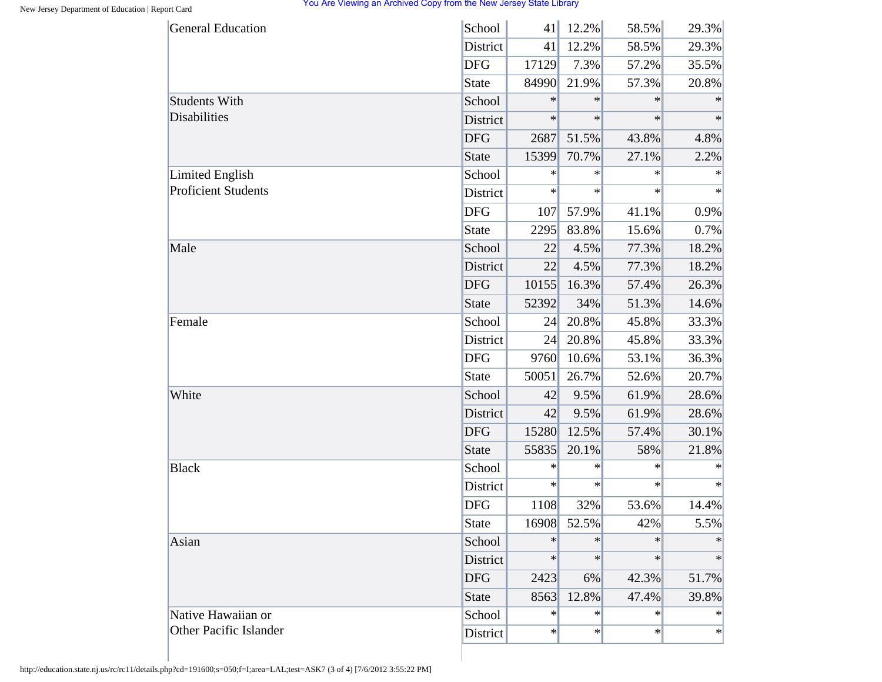| <b>General Education</b>      | School       | 41     | 12.2%  | 58.5%  | 29.3%  |
|-------------------------------|--------------|--------|--------|--------|--------|
|                               | District     | 41     | 12.2%  | 58.5%  | 29.3%  |
|                               | <b>DFG</b>   | 17129  | 7.3%   | 57.2%  | 35.5%  |
|                               | <b>State</b> | 84990  | 21.9%  | 57.3%  | 20.8%  |
| <b>Students With</b>          | School       | $\ast$ | $\ast$ | $\ast$ | $\ast$ |
| Disabilities                  | District     | $\ast$ | $\ast$ | $\ast$ | $\ast$ |
|                               | <b>DFG</b>   | 2687   | 51.5%  | 43.8%  | 4.8%   |
|                               | <b>State</b> | 15399  | 70.7%  | 27.1%  | 2.2%   |
| <b>Limited English</b>        | School       | $\ast$ | $\ast$ | $\ast$ | $\ast$ |
| <b>Proficient Students</b>    | District     | $\ast$ | $\ast$ | $\ast$ | $\ast$ |
|                               | <b>DFG</b>   | 107    | 57.9%  | 41.1%  | 0.9%   |
|                               | <b>State</b> | 2295   | 83.8%  | 15.6%  | 0.7%   |
| Male                          | School       | 22     | 4.5%   | 77.3%  | 18.2%  |
|                               | District     | 22     | 4.5%   | 77.3%  | 18.2%  |
|                               | <b>DFG</b>   | 10155  | 16.3%  | 57.4%  | 26.3%  |
|                               | <b>State</b> | 52392  | 34%    | 51.3%  | 14.6%  |
| Female                        | School       | 24     | 20.8%  | 45.8%  | 33.3%  |
|                               | District     | 24     | 20.8%  | 45.8%  | 33.3%  |
|                               | <b>DFG</b>   | 9760   | 10.6%  | 53.1%  | 36.3%  |
|                               | <b>State</b> | 50051  | 26.7%  | 52.6%  | 20.7%  |
| White                         | School       | 42     | 9.5%   | 61.9%  | 28.6%  |
|                               | District     | 42     | 9.5%   | 61.9%  | 28.6%  |
|                               | <b>DFG</b>   | 15280  | 12.5%  | 57.4%  | 30.1%  |
|                               | <b>State</b> | 55835  | 20.1%  | 58%    | 21.8%  |
| <b>Black</b>                  | School       | $\ast$ | $\ast$ | $\ast$ | ∗      |
|                               | District     | $\ast$ | $\ast$ | $\ast$ | $\ast$ |
|                               | <b>DFG</b>   | 1108   | 32%    | 53.6%  | 14.4%  |
|                               | <b>State</b> | 16908  | 52.5%  | 42%    | 5.5%   |
| Asian                         | School       | $\ast$ | $\ast$ | $\ast$ | $\ast$ |
|                               | District     | $\ast$ | $\ast$ | $\ast$ | $\ast$ |
|                               | <b>DFG</b>   | 2423   | 6%     | 42.3%  | 51.7%  |
|                               | <b>State</b> | 8563   | 12.8%  | 47.4%  | 39.8%  |
| Native Hawaiian or            | School       | $\ast$ | $\ast$ | $\ast$ | $\ast$ |
| <b>Other Pacific Islander</b> | District     | $\ast$ | $\ast$ | $\ast$ | $\ast$ |

http://education.state.nj.us/rc/rc11/details.php?cd=191600;s=050;f=I;area=LAL;test=ASK7 (3 of 4) [7/6/2012 3:55:22 PM]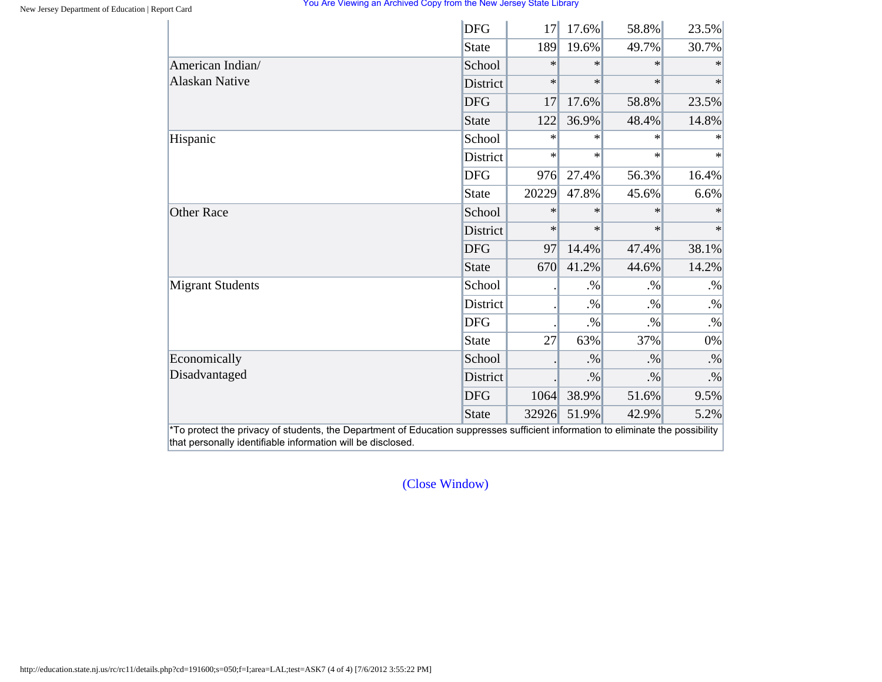|                         | <b>DFG</b>      | 17     | 17.6%  | 58.8%  | 23.5%     |
|-------------------------|-----------------|--------|--------|--------|-----------|
|                         | State           | 189    | 19.6%  | 49.7%  | 30.7%     |
| American Indian/        | School          | $\ast$ | $\ast$ | $\ast$ | $\ast$    |
| <b>Alaskan Native</b>   | <b>District</b> | $\ast$ | $\ast$ | $\ast$ | $\ast$    |
|                         | <b>DFG</b>      | 17     | 17.6%  | 58.8%  | 23.5%     |
|                         | State           | 122    | 36.9%  | 48.4%  | 14.8%     |
| Hispanic                | School          | $\ast$ | $\ast$ | $\ast$ | $\ast$    |
|                         | <b>District</b> | $\ast$ | $\ast$ | $\ast$ | $\ast$    |
|                         | <b>DFG</b>      | 976    | 27.4%  | 56.3%  | 16.4%     |
|                         | State           | 20229  | 47.8%  | 45.6%  | 6.6%      |
| <b>Other Race</b>       | School          | $\ast$ | $\ast$ | $\ast$ | $\ast$    |
|                         | District        | $\ast$ | $\ast$ | $\ast$ | $\ast$    |
|                         | <b>DFG</b>      | 97     | 14.4%  | 47.4%  | 38.1%     |
|                         | State           | 670    | 41.2%  | 44.6%  | 14.2%     |
| <b>Migrant Students</b> | School          |        | $. \%$ | $. \%$ | $. \%$    |
|                         | District        |        | $. \%$ | $. \%$ | $. \%$    |
|                         | <b>DFG</b>      |        | $. \%$ | $. \%$ | $. \%$    |
|                         | <b>State</b>    | 27     | 63%    | 37%    | 0%        |
| Economically            | School          |        | $. \%$ | $. \%$ | $\cdot\%$ |
| Disadvantaged           | District        |        | $. \%$ | $. \%$ | $. \%$    |
|                         | <b>DFG</b>      | 1064   | 38.9%  | 51.6%  | 9.5%      |
|                         | State           | 32926  | 51.9%  | 42.9%  | 5.2%      |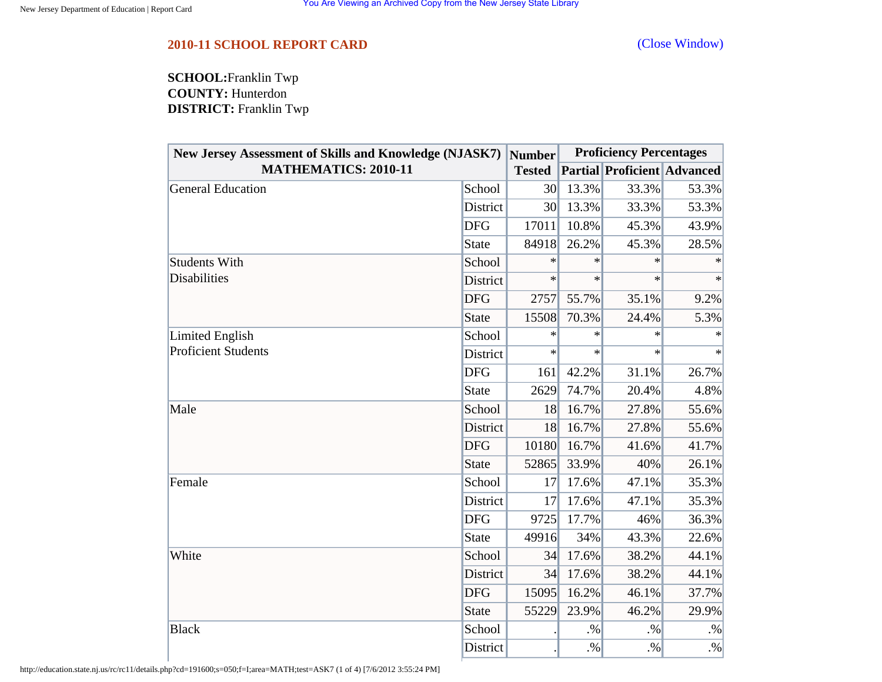<span id="page-55-0"></span>**SCHOOL:**Franklin Twp **COUNTY:** Hunterdon **DISTRICT:** Franklin Twp

| New Jersey Assessment of Skills and Knowledge (NJASK7)<br><b>MATHEMATICS: 2010-11</b> |              | <b>Number</b>   | <b>Proficiency Percentages</b> |                                    |        |  |
|---------------------------------------------------------------------------------------|--------------|-----------------|--------------------------------|------------------------------------|--------|--|
|                                                                                       |              | <b>Tested</b>   |                                | <b>Partial Proficient Advanced</b> |        |  |
| <b>General Education</b>                                                              | School       | 30 <sup>l</sup> | 13.3%                          | 33.3%                              | 53.3%  |  |
|                                                                                       | District     | 30              | 13.3%                          | 33.3%                              | 53.3%  |  |
|                                                                                       | <b>DFG</b>   | 17011           | 10.8%                          | 45.3%                              | 43.9%  |  |
|                                                                                       | <b>State</b> | 84918           | 26.2%                          | 45.3%                              | 28.5%  |  |
| <b>Students With</b>                                                                  | School       | $\ast$          | $\ast$                         | $\ast$                             |        |  |
| <b>Disabilities</b>                                                                   | District     | $\ast$          | $\ast$                         | $\ast$                             | $\ast$ |  |
|                                                                                       | <b>DFG</b>   | 2757            | 55.7%                          | 35.1%                              | 9.2%   |  |
|                                                                                       | <b>State</b> | 15508           | 70.3%                          | 24.4%                              | 5.3%   |  |
| Limited English                                                                       | School       | $\ast$          | $\ast$                         | $\ast$                             | $\ast$ |  |
| <b>Proficient Students</b>                                                            | District     | $\ast$          | $\ast$                         | $\ast$                             | $\ast$ |  |
|                                                                                       | <b>DFG</b>   | 161             | 42.2%                          | 31.1%                              | 26.7%  |  |
|                                                                                       | <b>State</b> | 2629            | 74.7%                          | 20.4%                              | 4.8%   |  |
| Male                                                                                  | School       | 18              | 16.7%                          | 27.8%                              | 55.6%  |  |
|                                                                                       | District     | 18              | 16.7%                          | 27.8%                              | 55.6%  |  |
|                                                                                       | <b>DFG</b>   | 10180           | 16.7%                          | 41.6%                              | 41.7%  |  |
|                                                                                       | <b>State</b> | 52865           | 33.9%                          | 40%                                | 26.1%  |  |
| Female                                                                                | School       | 17              | 17.6%                          | 47.1%                              | 35.3%  |  |
|                                                                                       | District     | 17              | 17.6%                          | 47.1%                              | 35.3%  |  |
|                                                                                       | <b>DFG</b>   | 9725            | 17.7%                          | 46%                                | 36.3%  |  |
|                                                                                       | <b>State</b> | 49916           | 34%                            | 43.3%                              | 22.6%  |  |
| White                                                                                 | School       | 34              | 17.6%                          | 38.2%                              | 44.1%  |  |
|                                                                                       | District     | 34              | 17.6%                          | 38.2%                              | 44.1%  |  |
|                                                                                       | <b>DFG</b>   | 15095           | 16.2%                          | 46.1%                              | 37.7%  |  |
|                                                                                       | <b>State</b> | 55229           | 23.9%                          | 46.2%                              | 29.9%  |  |
| <b>Black</b>                                                                          | School       |                 | $. \%$                         | .9/6                               | $. \%$ |  |
|                                                                                       | District     |                 | $. \%$                         | $. \%$                             | $. \%$ |  |

http://education.state.nj.us/rc/rc11/details.php?cd=191600;s=050;f=I;area=MATH;test=ASK7 (1 of 4) [7/6/2012 3:55:24 PM]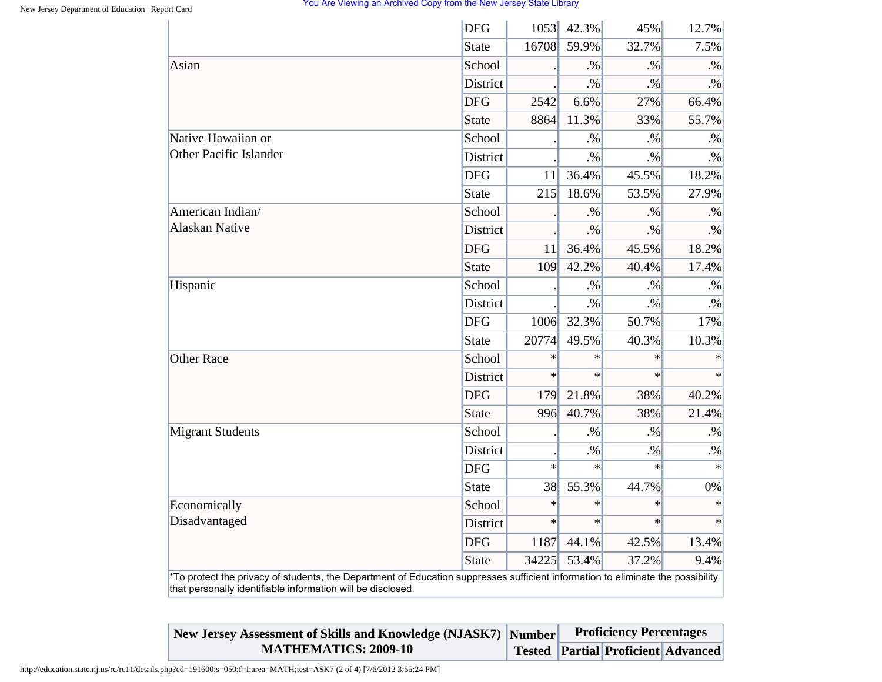|                         | <b>DFG</b>      | 1053   | 42.3%  | 45%    | 12.7%     |
|-------------------------|-----------------|--------|--------|--------|-----------|
|                         | State           | 16708  | 59.9%  | 32.7%  | 7.5%      |
| Asian                   | School          |        | $. \%$ | .9/6   | $. \%$    |
|                         | District        |        | $. \%$ | $. \%$ | $. \%$    |
|                         | <b>DFG</b>      | 2542   | 6.6%   | 27%    | 66.4%     |
|                         | State           | 8864   | 11.3%  | 33%    | 55.7%     |
| Native Hawaiian or      | School          |        | $. \%$ | $. \%$ | $. \%$    |
| Other Pacific Islander  | District        |        | $. \%$ | $. \%$ | $. \%$    |
|                         | <b>DFG</b>      | 11     | 36.4%  | 45.5%  | 18.2%     |
|                         | State           | 215    | 18.6%  | 53.5%  | 27.9%     |
| American Indian/        | School          |        | $. \%$ | $. \%$ | $. \%$    |
| <b>Alaskan Native</b>   | District        |        | $. \%$ | $. \%$ | $. \%$    |
|                         | <b>DFG</b>      | 11     | 36.4%  | 45.5%  | 18.2%     |
|                         | State           | 109    | 42.2%  | 40.4%  | 17.4%     |
| Hispanic                | School          |        | $. \%$ | $. \%$ | $. \%$    |
|                         | District        |        | $. \%$ | $. \%$ | $. \%$    |
|                         | <b>DFG</b>      | 1006   | 32.3%  | 50.7%  | 17%       |
|                         | <b>State</b>    | 20774  | 49.5%  | 40.3%  | 10.3%     |
| <b>Other Race</b>       | School          | $\ast$ | $\ast$ | $\ast$ | $\ast$    |
|                         | <b>District</b> | $\ast$ | $\ast$ | $\ast$ | $\ast$    |
|                         | <b>DFG</b>      | 179    | 21.8%  | 38%    | 40.2%     |
|                         | State           | 996    | 40.7%  | 38%    | 21.4%     |
| <b>Migrant Students</b> | School          |        | $. \%$ | $. \%$ | $\cdot\%$ |
|                         | District        |        | $. \%$ | $. \%$ | $\cdot\%$ |
|                         | <b>DFG</b>      | $\ast$ | $\ast$ | $\ast$ | $\ast$    |
|                         | <b>State</b>    | 38     | 55.3%  | 44.7%  | 0%        |
| Economically            | School          | $\ast$ | $\ast$ | $\ast$ | $\ast$    |
| Disadvantaged           | <b>District</b> | $\ast$ | $\ast$ | $\ast$ | $\ast$    |
|                         | <b>DFG</b>      | 1187   | 44.1%  | 42.5%  | 13.4%     |
|                         | State           | 34225  | 53.4%  | 37.2%  | 9.4%      |

| New Jersey Assessment of Skills and Knowledge (NJASK7) Number | <b>Proficiency Percentages</b> |                                          |  |  |
|---------------------------------------------------------------|--------------------------------|------------------------------------------|--|--|
| <b>MATHEMATICS: 2009-10</b>                                   |                                | Tested   Partial   Proficient   Advanced |  |  |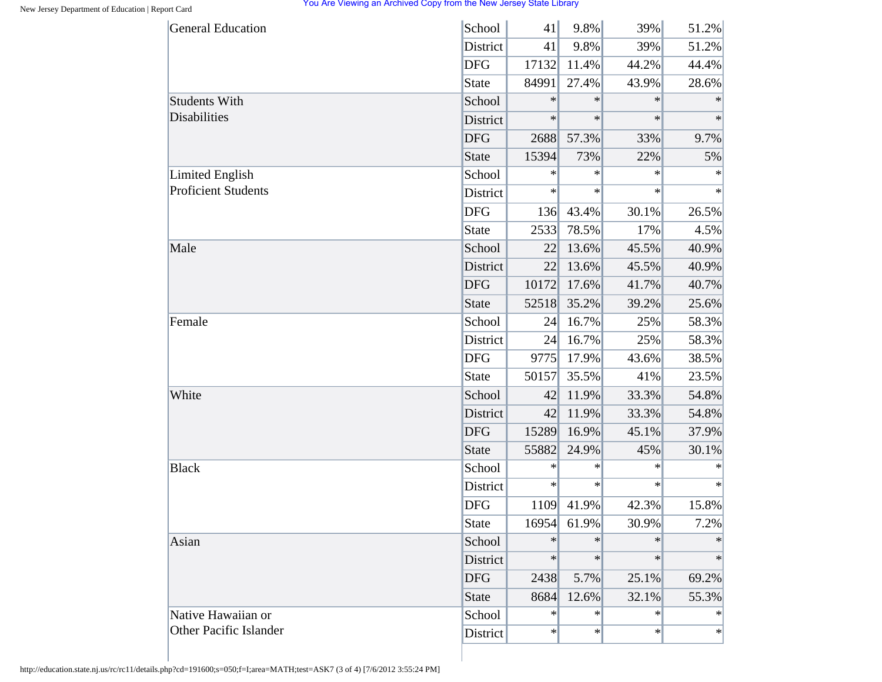| <b>General Education</b>      | School       | 41     | 9.8%   | 39%    | 51.2%  |
|-------------------------------|--------------|--------|--------|--------|--------|
|                               | District     | 41     | 9.8%   | 39%    | 51.2%  |
|                               | <b>DFG</b>   | 17132  | 11.4%  | 44.2%  | 44.4%  |
|                               | State        | 84991  | 27.4%  | 43.9%  | 28.6%  |
| <b>Students With</b>          | School       | $\ast$ | $\ast$ | $\ast$ | $\ast$ |
| <b>Disabilities</b>           | District     | $\ast$ | $\ast$ | $\ast$ | $\ast$ |
|                               | <b>DFG</b>   | 2688   | 57.3%  | 33%    | 9.7%   |
|                               | <b>State</b> | 15394  | 73%    | 22%    | 5%     |
| <b>Limited English</b>        | School       | $\ast$ | $\ast$ | $\ast$ | $\ast$ |
| <b>Proficient Students</b>    | District     | $\ast$ | $\ast$ | $\ast$ | $\ast$ |
|                               | <b>DFG</b>   | 136    | 43.4%  | 30.1%  | 26.5%  |
|                               | State        | 2533   | 78.5%  | 17%    | 4.5%   |
| Male                          | School       | 22     | 13.6%  | 45.5%  | 40.9%  |
|                               | District     | 22     | 13.6%  | 45.5%  | 40.9%  |
|                               | <b>DFG</b>   | 10172  | 17.6%  | 41.7%  | 40.7%  |
|                               | <b>State</b> | 52518  | 35.2%  | 39.2%  | 25.6%  |
| Female                        | School       | 24     | 16.7%  | 25%    | 58.3%  |
|                               | District     | 24     | 16.7%  | 25%    | 58.3%  |
|                               | <b>DFG</b>   | 9775   | 17.9%  | 43.6%  | 38.5%  |
|                               | <b>State</b> | 50157  | 35.5%  | 41%    | 23.5%  |
| White                         | School       | 42     | 11.9%  | 33.3%  | 54.8%  |
|                               | District     | 42     | 11.9%  | 33.3%  | 54.8%  |
|                               | <b>DFG</b>   | 15289  | 16.9%  | 45.1%  | 37.9%  |
|                               | <b>State</b> | 55882  | 24.9%  | 45%    | 30.1%  |
| <b>Black</b>                  | School       | $\ast$ | $\ast$ | $\ast$ | $\ast$ |
|                               | District     | $\ast$ | $\ast$ | $\ast$ | $\ast$ |
|                               | <b>DFG</b>   | 1109   | 41.9%  | 42.3%  | 15.8%  |
|                               | <b>State</b> | 16954  | 61.9%  | 30.9%  | 7.2%   |
| Asian                         | School       | $\ast$ | $\ast$ | $\ast$ | $\ast$ |
|                               | District     | $\ast$ | $\ast$ | $\ast$ | $\ast$ |
|                               | <b>DFG</b>   | 2438   | 5.7%   | 25.1%  | 69.2%  |
|                               | <b>State</b> | 8684   | 12.6%  | 32.1%  | 55.3%  |
| Native Hawaiian or            | School       | $\ast$ | $\ast$ | $\ast$ | $\ast$ |
| <b>Other Pacific Islander</b> | District     | $\ast$ | $\ast$ | $\ast$ | $\ast$ |
|                               |              |        |        |        |        |

http://education.state.nj.us/rc/rc11/details.php?cd=191600;s=050;f=I;area=MATH;test=ASK7 (3 of 4) [7/6/2012 3:55:24 PM]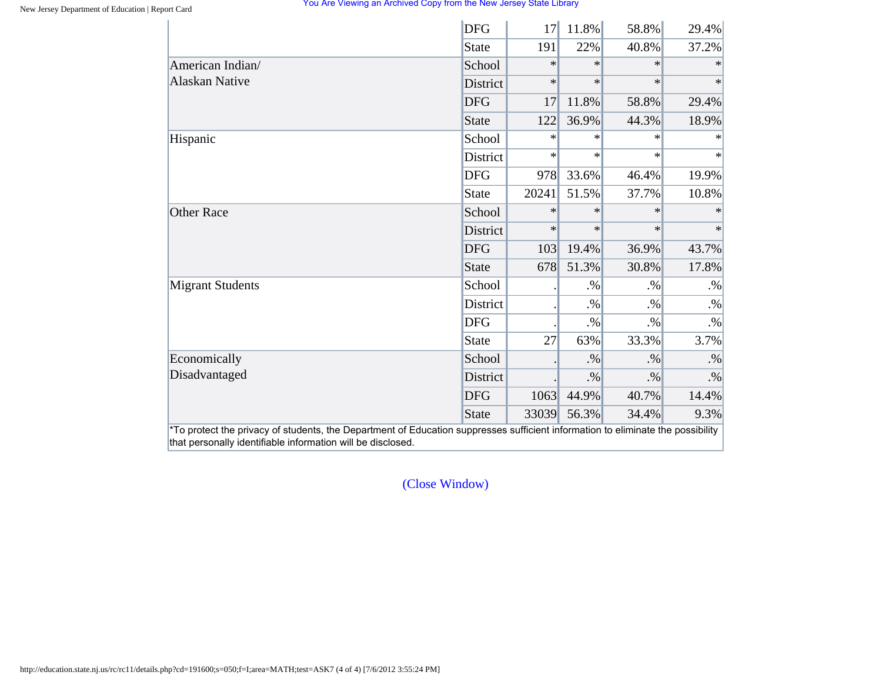|                         | <b>DFG</b>   | 17     | 11.8%  | 58.8%  | 29.4%  |
|-------------------------|--------------|--------|--------|--------|--------|
|                         | <b>State</b> | 191    | 22%    | 40.8%  | 37.2%  |
| American Indian/        | School       | $\ast$ | $\ast$ | $\ast$ | $\ast$ |
| <b>Alaskan Native</b>   | District     | $\ast$ | $\ast$ | $\ast$ | $\ast$ |
|                         | <b>DFG</b>   | 17     | 11.8%  | 58.8%  | 29.4%  |
|                         | <b>State</b> | 122    | 36.9%  | 44.3%  | 18.9%  |
| Hispanic                | School       | $\ast$ | $\ast$ | $\ast$ | $\ast$ |
|                         | District     | $\ast$ | $\ast$ | $\ast$ | $\ast$ |
|                         | <b>DFG</b>   | 978    | 33.6%  | 46.4%  | 19.9%  |
|                         | <b>State</b> | 20241  | 51.5%  | 37.7%  | 10.8%  |
| <b>Other Race</b>       | School       | $\ast$ | $\ast$ | $\ast$ |        |
|                         | District     | $\ast$ | $\ast$ | $\ast$ | $\ast$ |
|                         | <b>DFG</b>   | 103    | 19.4%  | 36.9%  | 43.7%  |
|                         | <b>State</b> | 678    | 51.3%  | 30.8%  | 17.8%  |
| <b>Migrant Students</b> | School       |        | $. \%$ | $. \%$ | $. \%$ |
|                         | District     |        | $. \%$ | $. \%$ | $. \%$ |
|                         | <b>DFG</b>   |        | $. \%$ | $. \%$ | $. \%$ |
|                         | <b>State</b> | 27     | 63%    | 33.3%  | 3.7%   |
| Economically            | School       |        | $. \%$ | $. \%$ | $. \%$ |
| Disadvantaged           | District     |        | $. \%$ | $. \%$ | $. \%$ |
|                         | <b>DFG</b>   | 1063   | 44.9%  | 40.7%  | 14.4%  |
|                         | <b>State</b> | 33039  | 56.3%  | 34.4%  | 9.3%   |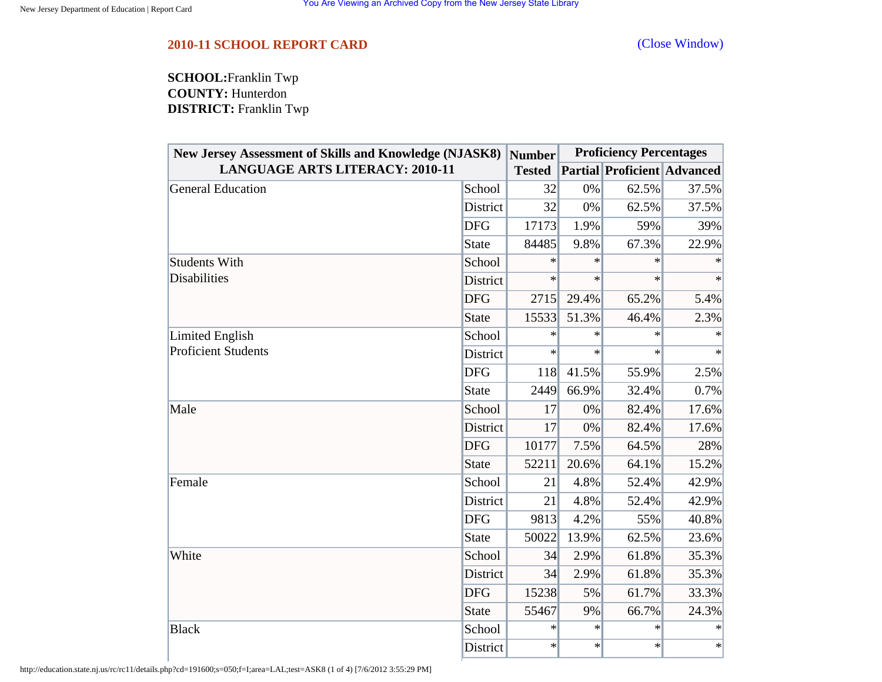<span id="page-59-0"></span>**SCHOOL:**Franklin Twp **COUNTY:** Hunterdon **DISTRICT:** Franklin Twp

| <b>New Jersey Assessment of Skills and Knowledge (NJASK8)</b> |              | <b>Number</b> | <b>Proficiency Percentages</b> |                                    |        |
|---------------------------------------------------------------|--------------|---------------|--------------------------------|------------------------------------|--------|
| <b>LANGUAGE ARTS LITERACY: 2010-11</b>                        |              | <b>Tested</b> |                                | <b>Partial Proficient Advanced</b> |        |
| General Education                                             | School       | 32            | 0%                             | 62.5%                              | 37.5%  |
|                                                               | District     | 32            | 0%                             | 62.5%                              | 37.5%  |
|                                                               | <b>DFG</b>   | 17173         | 1.9%                           | 59%                                | 39%    |
|                                                               | <b>State</b> | 84485         | 9.8%                           | 67.3%                              | 22.9%  |
| <b>Students With</b>                                          | School       | $\ast$        | $\ast$                         | $\ast$                             |        |
| <b>Disabilities</b>                                           | District     | $\ast$        | $\ast$                         | $\ast$                             | $\ast$ |
|                                                               | <b>DFG</b>   | 2715          | 29.4%                          | 65.2%                              | 5.4%   |
|                                                               | <b>State</b> | 15533         | 51.3%                          | 46.4%                              | 2.3%   |
| Limited English                                               | School       | $\ast$        | $\ast$                         | $\ast$                             | $\ast$ |
| <b>Proficient Students</b>                                    | District     | $\ast$        | $\ast$                         | $\ast$                             | $\ast$ |
|                                                               | <b>DFG</b>   | 118           | 41.5%                          | 55.9%                              | 2.5%   |
|                                                               | <b>State</b> | 2449          | 66.9%                          | 32.4%                              | 0.7%   |
| Male                                                          | School       | 17            | 0%                             | 82.4%                              | 17.6%  |
|                                                               | District     | 17            | 0%                             | 82.4%                              | 17.6%  |
|                                                               | <b>DFG</b>   | 10177         | 7.5%                           | 64.5%                              | 28%    |
|                                                               | <b>State</b> | 52211         | 20.6%                          | 64.1%                              | 15.2%  |
| Female                                                        | School       | 21            | 4.8%                           | 52.4%                              | 42.9%  |
|                                                               | District     | 21            | 4.8%                           | 52.4%                              | 42.9%  |
|                                                               | <b>DFG</b>   | 9813          | 4.2%                           | 55%                                | 40.8%  |
|                                                               | <b>State</b> | 50022         | 13.9%                          | 62.5%                              | 23.6%  |
| White                                                         | School       | 34            | 2.9%                           | 61.8%                              | 35.3%  |
|                                                               | District     | 34            | 2.9%                           | 61.8%                              | 35.3%  |
|                                                               | <b>DFG</b>   | 15238         | 5%                             | 61.7%                              | 33.3%  |
|                                                               | <b>State</b> | 55467         | 9%                             | 66.7%                              | 24.3%  |
| <b>Black</b>                                                  | School       | $\ast$        | $\ast$                         | $\ast$                             | $\ast$ |
|                                                               | District     | $\ast$        | $\ast$                         | $\ast$                             | $\ast$ |

http://education.state.nj.us/rc/rc11/details.php?cd=191600;s=050;f=I;area=LAL;test=ASK8 (1 of 4) [7/6/2012 3:55:29 PM]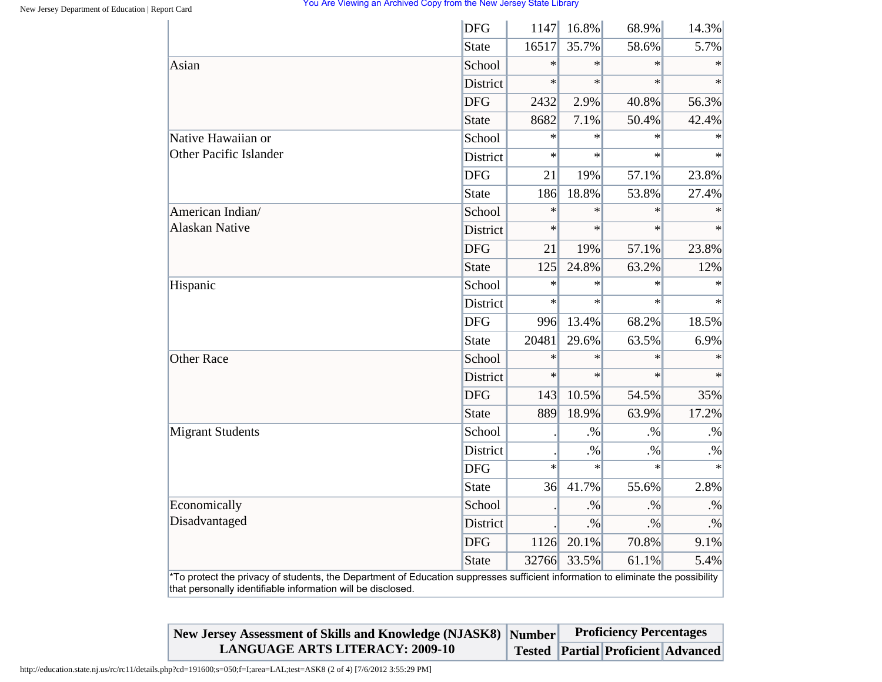|                                                                                                                                                                                                | <b>DFG</b>      | 1147   | 16.8%  | 68.9%  | 14.3%     |
|------------------------------------------------------------------------------------------------------------------------------------------------------------------------------------------------|-----------------|--------|--------|--------|-----------|
|                                                                                                                                                                                                | <b>State</b>    | 16517  | 35.7%  | 58.6%  | 5.7%      |
| Asian                                                                                                                                                                                          | School          | $\ast$ | $\ast$ | $\ast$ | $\ast$    |
|                                                                                                                                                                                                | <b>District</b> | $\ast$ | $\ast$ | $\ast$ | $\ast$    |
|                                                                                                                                                                                                | <b>DFG</b>      | 2432   | 2.9%   | 40.8%  | 56.3%     |
|                                                                                                                                                                                                | <b>State</b>    | 8682   | 7.1%   | 50.4%  | 42.4%     |
| Native Hawaiian or                                                                                                                                                                             | School          | $\ast$ | $\ast$ | $\ast$ | $\ast$    |
| <b>Other Pacific Islander</b>                                                                                                                                                                  | District        | $\ast$ | $\ast$ | $\ast$ | $\star$   |
|                                                                                                                                                                                                | <b>DFG</b>      | 21     | 19%    | 57.1%  | 23.8%     |
|                                                                                                                                                                                                | <b>State</b>    | 186    | 18.8%  | 53.8%  | 27.4%     |
| American Indian/                                                                                                                                                                               | School          | $\ast$ | $\ast$ | $\ast$ | $\ast$    |
| <b>Alaskan Native</b>                                                                                                                                                                          | District        | $\ast$ | $\ast$ | $\ast$ |           |
|                                                                                                                                                                                                | <b>DFG</b>      | 21     | 19%    | 57.1%  | 23.8%     |
|                                                                                                                                                                                                | <b>State</b>    | 125    | 24.8%  | 63.2%  | 12%       |
| Hispanic                                                                                                                                                                                       | School          | $\ast$ | $\ast$ | $\ast$ | $\ast$    |
|                                                                                                                                                                                                | District        | $\ast$ | $\ast$ | $\ast$ |           |
|                                                                                                                                                                                                | <b>DFG</b>      | 996    | 13.4%  | 68.2%  | 18.5%     |
|                                                                                                                                                                                                | <b>State</b>    | 20481  | 29.6%  | 63.5%  | 6.9%      |
| <b>Other Race</b>                                                                                                                                                                              | School          | $\ast$ | $\ast$ | $\ast$ | $\ast$    |
|                                                                                                                                                                                                | District        | $\ast$ | $\ast$ | $\ast$ | $\ast$    |
|                                                                                                                                                                                                | <b>DFG</b>      | 143    | 10.5%  | 54.5%  | 35%       |
|                                                                                                                                                                                                | <b>State</b>    | 889    | 18.9%  | 63.9%  | 17.2%     |
| <b>Migrant Students</b>                                                                                                                                                                        | School          |        | $. \%$ | $. \%$ | $. \%$    |
|                                                                                                                                                                                                | District        |        | $. \%$ | $. \%$ | $\cdot\%$ |
|                                                                                                                                                                                                | <b>DFG</b>      | $\ast$ | $\ast$ | $\ast$ | $\ast$    |
|                                                                                                                                                                                                | <b>State</b>    | 36     | 41.7%  | 55.6%  | 2.8%      |
| Economically                                                                                                                                                                                   | School          |        | $. \%$ | $. \%$ | $. \%$    |
| Disadvantaged                                                                                                                                                                                  | District        |        | $. \%$ | $. \%$ | $\cdot\%$ |
|                                                                                                                                                                                                | <b>DFG</b>      | 1126   | 20.1%  | 70.8%  | 9.1%      |
|                                                                                                                                                                                                | <b>State</b>    | 32766  | 33.5%  | 61.1%  | 5.4%      |
| *To protect the privacy of students, the Department of Education suppresses sufficient information to eliminate the possibility<br>that personally identifiable information will be disclosed. |                 |        |        |        |           |

| New Jersey Assessment of Skills and Knowledge (NJASK8) Number | <b>Proficiency Percentages</b> |  |                                          |  |
|---------------------------------------------------------------|--------------------------------|--|------------------------------------------|--|
| <b>LANGUAGE ARTS LITERACY: 2009-10</b>                        |                                |  | Tested   Partial   Proficient   Advanced |  |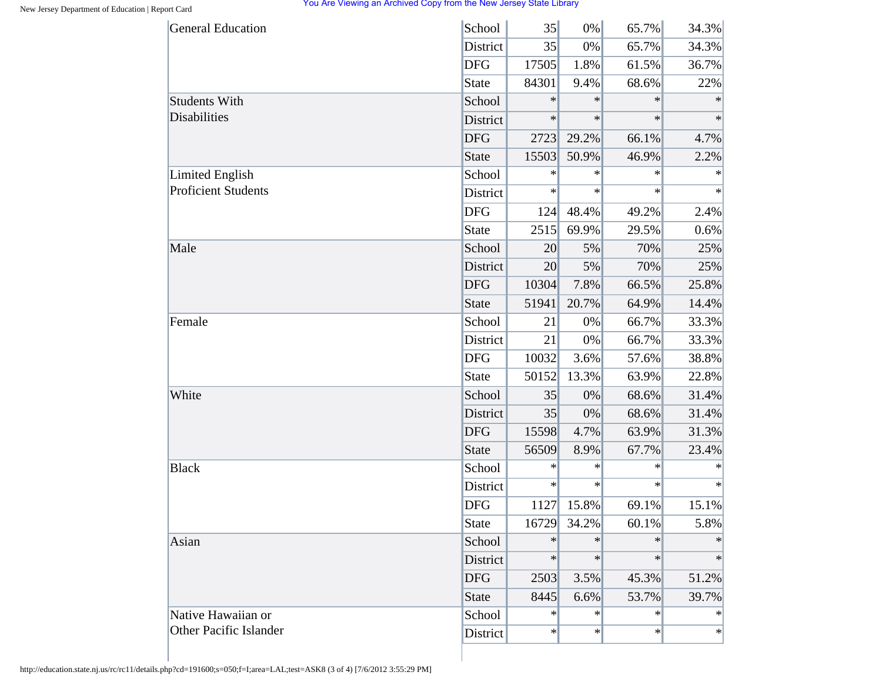| School<br>35       | 0%                 | 65.7%                            | 34.3%                                |
|--------------------|--------------------|----------------------------------|--------------------------------------|
| District<br>35     | 0%                 | 65.7%                            | 34.3%                                |
| 17505              | 1.8%               | 61.5%                            | 36.7%                                |
| 84301              | 9.4%               | 68.6%                            | 22%                                  |
| $\ast$<br>School   | $\ast$             | $\ast$                           | $\ast$                               |
| $\ast$<br>District | $\ast$             | $\ast$                           | $\ast$                               |
| 2723               | 29.2%              | 66.1%                            | 4.7%                                 |
| 15503              | 50.9%              | 46.9%                            | 2.2%                                 |
| School<br>$\ast$   | $\ast$             | $\ast$                           | $\ast$                               |
| $\ast$<br>District | $\ast$             | $\ast$                           | $\ast$                               |
| 124                | 48.4%              | 49.2%                            | 2.4%                                 |
| 2515               | 69.9%              | 29.5%                            | 0.6%                                 |
| School<br>20       | 5%                 | 70%                              | 25%                                  |
| District<br>20     | 5%                 | 70%                              | 25%                                  |
| 10304              | 7.8%               | 66.5%                            | 25.8%                                |
| 51941              | 20.7%              | 64.9%                            | 14.4%                                |
| School<br>21       | 0%                 | 66.7%                            | 33.3%                                |
| District<br>21     | 0%                 | 66.7%                            | 33.3%                                |
| 10032              | 3.6%               | 57.6%                            | 38.8%                                |
| 50152              | 13.3%              | 63.9%                            | 22.8%                                |
| School<br>35       | 0%                 | 68.6%                            | 31.4%                                |
| District<br>35     | 0%                 | 68.6%                            | 31.4%                                |
| 15598              | 4.7%               | 63.9%                            | 31.3%                                |
| 56509              | 8.9%               | 67.7%                            | 23.4%                                |
| School<br>$\ast$   | $\ast$             | $\ast$                           | ∗                                    |
| $\ast$<br>District | $\ast$             | $\ast$                           | ∗                                    |
| 1127               | 15.8%              | 69.1%                            | 15.1%                                |
| 16729              | 34.2%              | 60.1%                            | 5.8%                                 |
| School<br>$\ast$   | $\ast$             | $\ast$                           | $\ast$                               |
| $\ast$<br>District | $\ast$             | $\ast$                           | $\ast$                               |
|                    | 3.5%               | 45.3%                            | 51.2%                                |
|                    | 6.6%               | 53.7%                            | 39.7%                                |
|                    |                    |                                  | $\ast$                               |
|                    |                    |                                  | $\ast$                               |
| <b>State</b>       | School<br>District | 2503<br>8445<br>$\ast$<br>$\ast$ | $\ast$<br>$\ast$<br>$\ast$<br>$\ast$ |

http://education.state.nj.us/rc/rc11/details.php?cd=191600;s=050;f=I;area=LAL;test=ASK8 (3 of 4) [7/6/2012 3:55:29 PM]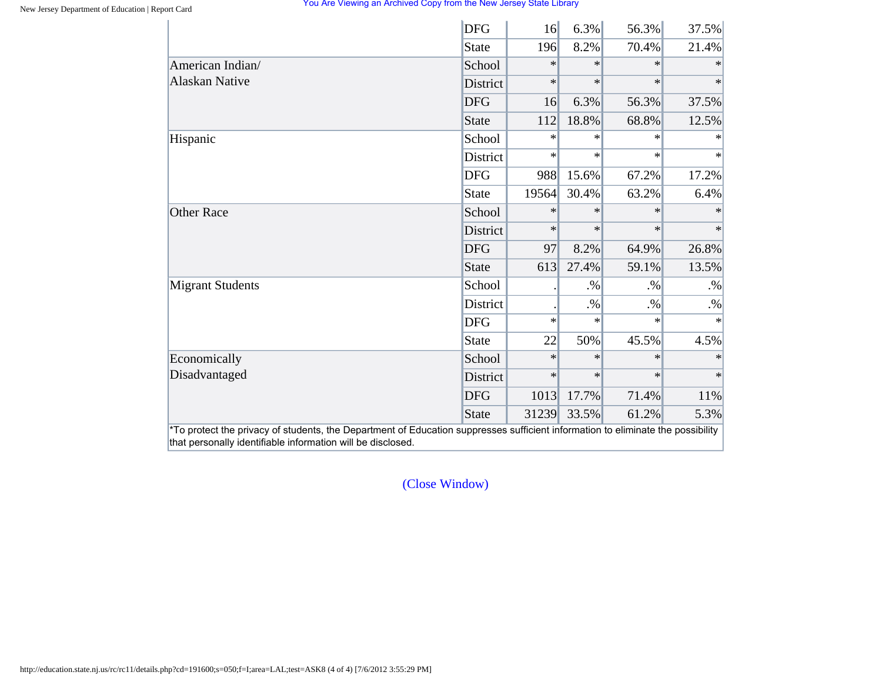|                         | <b>DFG</b>      | 16     | 6.3%   | 56.3%  | 37.5%  |
|-------------------------|-----------------|--------|--------|--------|--------|
|                         | State           | 196    | 8.2%   | 70.4%  | 21.4%  |
| American Indian/        | School          | $\ast$ | $\ast$ | $\ast$ |        |
| <b>Alaskan Native</b>   | <b>District</b> | $\ast$ | $\ast$ | $\ast$ | $\ast$ |
|                         | <b>DFG</b>      | 16     | 6.3%   | 56.3%  | 37.5%  |
|                         | State           | 112    | 18.8%  | 68.8%  | 12.5%  |
| Hispanic                | School          | $\ast$ | $\ast$ | $\ast$ | $\ast$ |
|                         | District        | $\ast$ | $\ast$ | $\ast$ | $\ast$ |
|                         | <b>DFG</b>      | 988    | 15.6%  | 67.2%  | 17.2%  |
|                         | State           | 19564  | 30.4%  | 63.2%  | 6.4%   |
| <b>Other Race</b>       | School          | $\ast$ | $\ast$ | $\ast$ | $\ast$ |
|                         | District        | $\ast$ | $\ast$ | $\ast$ | $\ast$ |
|                         | <b>DFG</b>      | 97     | 8.2%   | 64.9%  | 26.8%  |
|                         | State           | 613    | 27.4%  | 59.1%  | 13.5%  |
| <b>Migrant Students</b> | School          |        | $. \%$ | $. \%$ | $. \%$ |
|                         | District        |        | $. \%$ | $. \%$ | $. \%$ |
|                         | <b>DFG</b>      | $\ast$ | $\ast$ | $\ast$ | $\ast$ |
|                         | State           | 22     | 50%    | 45.5%  | 4.5%   |
| Economically            | School          | $\ast$ | $\ast$ | $\ast$ | $\ast$ |
| Disadvantaged           | District        | $\ast$ | $\ast$ | $\ast$ | $*$    |
|                         | <b>DFG</b>      | 1013   | 17.7%  | 71.4%  | 11%    |
|                         | State           | 31239  | 33.5%  | 61.2%  | 5.3%   |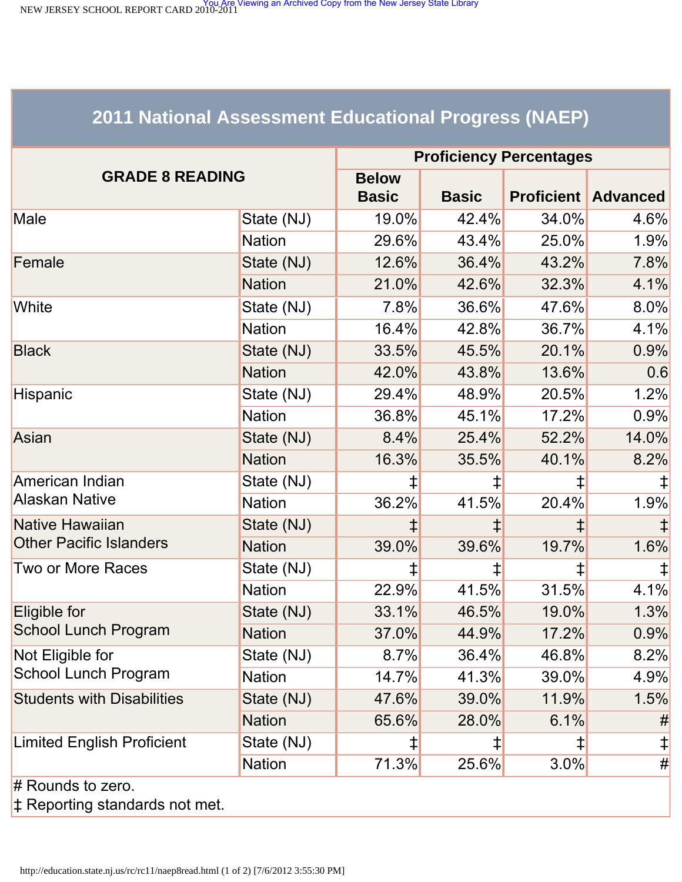<span id="page-63-0"></span>NEW JERSEY SCHOOL REPORT CARD 2010-2011<br>NEW JERSEY SCHOOL REPORT CARD 2010-2011

# **2011 National Assessment Educational Progress (NAEP)**

|                                   | <b>Proficiency Percentages</b> |              |       |                            |            |  |  |
|-----------------------------------|--------------------------------|--------------|-------|----------------------------|------------|--|--|
| <b>GRADE 8 READING</b>            | <b>Below</b><br><b>Basic</b>   | <b>Basic</b> |       | <b>Proficient Advanced</b> |            |  |  |
| Male                              | State (NJ)                     | 19.0%        | 42.4% | 34.0%                      | 4.6%       |  |  |
|                                   | <b>Nation</b>                  | 29.6%        | 43.4% | 25.0%                      | 1.9%       |  |  |
| Female                            | State (NJ)                     | 12.6%        | 36.4% | 43.2%                      | 7.8%       |  |  |
|                                   | <b>Nation</b>                  | 21.0%        | 42.6% | 32.3%                      | 4.1%       |  |  |
| White                             | State (NJ)                     | 7.8%         | 36.6% | 47.6%                      | $8.0\%$    |  |  |
|                                   | <b>Nation</b>                  | 16.4%        | 42.8% | 36.7%                      | 4.1%       |  |  |
| <b>Black</b>                      | State (NJ)                     | 33.5%        | 45.5% | 20.1%                      | 0.9%       |  |  |
|                                   | <b>Nation</b>                  | 42.0%        | 43.8% | 13.6%                      | 0.6        |  |  |
| Hispanic                          | State (NJ)                     | 29.4%        | 48.9% | 20.5%                      | 1.2%       |  |  |
|                                   | <b>Nation</b>                  | 36.8%        | 45.1% | 17.2%                      | 0.9%       |  |  |
| Asian                             | State (NJ)                     | 8.4%         | 25.4% | 52.2%                      | 14.0%      |  |  |
|                                   | <b>Nation</b>                  | 16.3%        | 35.5% | 40.1%                      | 8.2%       |  |  |
| American Indian                   | State (NJ)                     | $\ddagger$   |       | $\ddagger$                 |            |  |  |
| <b>Alaskan Native</b>             | <b>Nation</b>                  | 36.2%        | 41.5% | 20.4%                      | 1.9%       |  |  |
| Native Hawaiian                   | State (NJ)                     |              |       |                            |            |  |  |
| <b>Other Pacific Islanders</b>    | <b>Nation</b>                  | 39.0%        | 39.6% | 19.7%                      | 1.6%       |  |  |
| Two or More Races                 | State (NJ)                     | $\ddagger$   | ‡     | $\ddagger$                 |            |  |  |
|                                   | <b>Nation</b>                  | 22.9%        | 41.5% | 31.5%                      | 4.1%       |  |  |
| Eligible for                      | State (NJ)                     | 33.1%        | 46.5% | 19.0%                      | 1.3%       |  |  |
| School Lunch Program              | <b>Nation</b>                  | 37.0%        | 44.9% | 17.2%                      | 0.9%       |  |  |
| Not Eligible for                  | State (NJ)                     | 8.7%         | 36.4% | 46.8%                      | 8.2%       |  |  |
| <b>School Lunch Program</b>       | <b>Nation</b>                  | 14.7%        | 41.3% | 39.0%                      | 4.9%       |  |  |
| <b>Students with Disabilities</b> | State (NJ)                     | 47.6%        | 39.0% | 11.9%                      | 1.5%       |  |  |
|                                   | <b>Nation</b>                  | 65.6%        | 28.0% | 6.1%                       | #          |  |  |
| <b>Limited English Proficient</b> | State (NJ)                     | ⇟            | ‡     | ‡                          | $\ddagger$ |  |  |
|                                   | <b>Nation</b>                  | 71.3%        | 25.6% | 3.0%                       | #          |  |  |
| $#$ Rounds to zero.               |                                |              |       |                            |            |  |  |

‡ Reporting standards not met.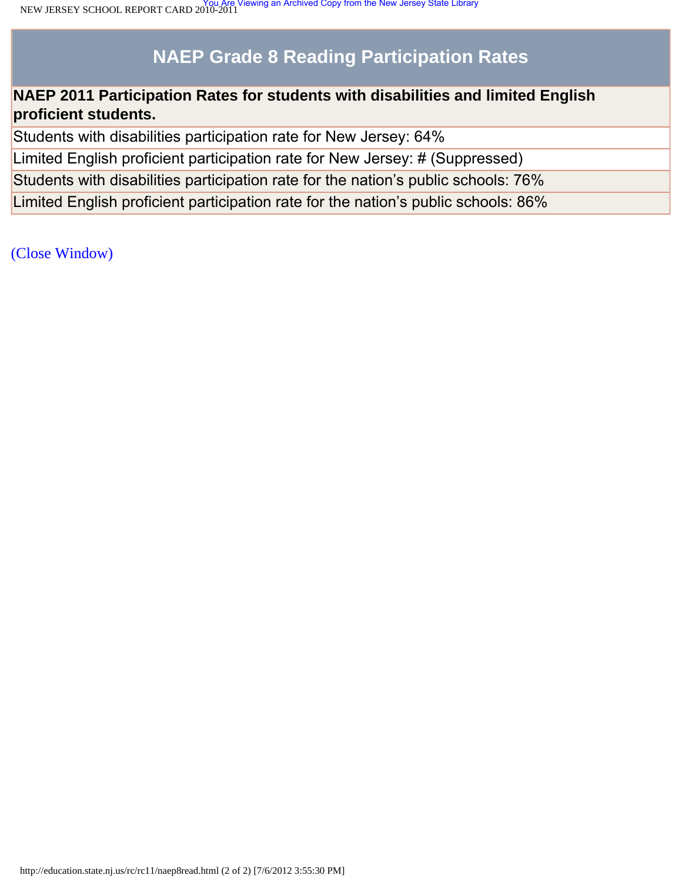# **NAEP Grade 8 Reading Participation Rates**

# **NAEP 2011 Participation Rates for students with disabilities and limited English proficient students.**

Students with disabilities participation rate for New Jersey: 64%

Limited English proficient participation rate for New Jersey: # (Suppressed)

Students with disabilities participation rate for the nation's public schools: 76%

Limited English proficient participation rate for the nation's public schools: 86%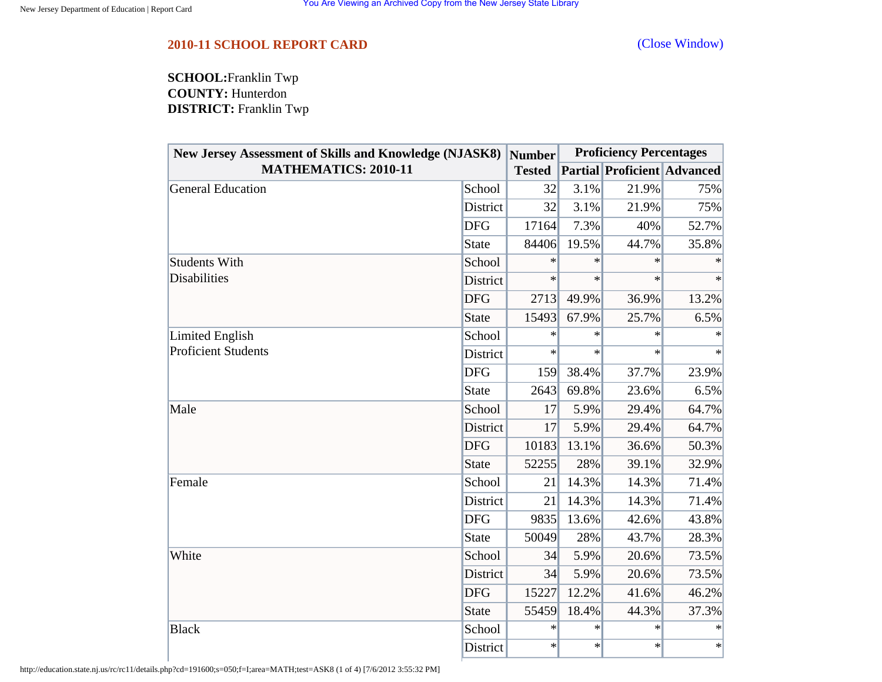<span id="page-65-0"></span>**SCHOOL:**Franklin Twp **COUNTY:** Hunterdon **DISTRICT:** Franklin Twp

| <b>New Jersey Assessment of Skills and Knowledge (NJASK8)</b> |              | <b>Number</b> | <b>Proficiency Percentages</b> |                                    |        |  |
|---------------------------------------------------------------|--------------|---------------|--------------------------------|------------------------------------|--------|--|
| <b>MATHEMATICS: 2010-11</b>                                   |              | <b>Tested</b> |                                | <b>Partial Proficient Advanced</b> |        |  |
| <b>General Education</b>                                      | School       | 32            | 3.1%                           | 21.9%                              | 75%    |  |
|                                                               | District     | 32            | 3.1%                           | 21.9%                              | 75%    |  |
|                                                               | <b>DFG</b>   | 17164         | 7.3%                           | 40%                                | 52.7%  |  |
|                                                               | <b>State</b> | 84406         | 19.5%                          | 44.7%                              | 35.8%  |  |
| <b>Students With</b>                                          | School       | $\ast$        | $\ast$                         | ∗                                  | ∗      |  |
| <b>Disabilities</b>                                           | District     | $\ast$        | $\ast$                         | $\ast$                             | $\ast$ |  |
|                                                               | <b>DFG</b>   | 2713          | 49.9%                          | 36.9%                              | 13.2%  |  |
|                                                               | <b>State</b> | 15493         | 67.9%                          | 25.7%                              | 6.5%   |  |
| Limited English                                               | School       | $\ast$        | $\ast$                         | $\ast$                             | $\ast$ |  |
| <b>Proficient Students</b>                                    | District     | $\ast$        | $\ast$                         | $\ast$                             | $\ast$ |  |
|                                                               | <b>DFG</b>   | 159           | 38.4%                          | 37.7%                              | 23.9%  |  |
|                                                               | <b>State</b> | 2643          | 69.8%                          | 23.6%                              | 6.5%   |  |
| Male                                                          | School       | 17            | 5.9%                           | 29.4%                              | 64.7%  |  |
|                                                               | District     | 17            | 5.9%                           | 29.4%                              | 64.7%  |  |
|                                                               | <b>DFG</b>   | 10183         | 13.1%                          | 36.6%                              | 50.3%  |  |
|                                                               | <b>State</b> | 52255         | 28%                            | 39.1%                              | 32.9%  |  |
| Female                                                        | School       | 21            | 14.3%                          | 14.3%                              | 71.4%  |  |
|                                                               | District     | 21            | 14.3%                          | 14.3%                              | 71.4%  |  |
|                                                               | <b>DFG</b>   | 9835          | 13.6%                          | 42.6%                              | 43.8%  |  |
|                                                               | <b>State</b> | 50049         | 28%                            | 43.7%                              | 28.3%  |  |
| White                                                         | School       | 34            | 5.9%                           | 20.6%                              | 73.5%  |  |
|                                                               | District     | 34            | 5.9%                           | 20.6%                              | 73.5%  |  |
|                                                               | <b>DFG</b>   | 15227         | 12.2%                          | 41.6%                              | 46.2%  |  |
|                                                               | <b>State</b> | 55459         | 18.4%                          | 44.3%                              | 37.3%  |  |
| <b>Black</b>                                                  | School       | ∗             | $\ast$                         | $\ast$                             | $\ast$ |  |
|                                                               | District     | $\ast$        | $\ast$                         | $\ast$                             | $\ast$ |  |

http://education.state.nj.us/rc/rc11/details.php?cd=191600;s=050;f=I;area=MATH;test=ASK8 (1 of 4) [7/6/2012 3:55:32 PM]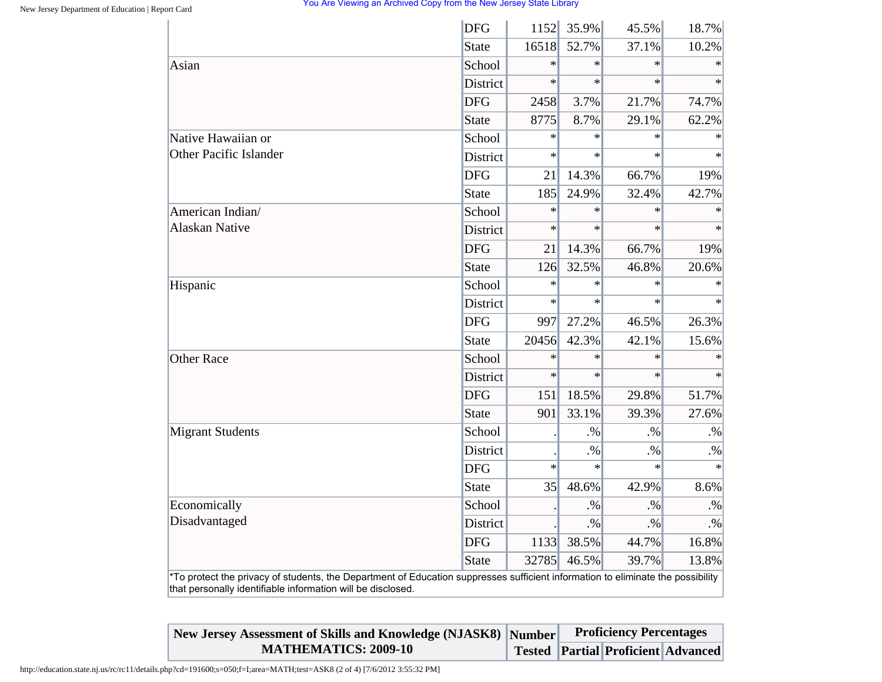|                         | <b>DFG</b>      | 1152   | 35.9%     | 45.5%     | 18.7%     |
|-------------------------|-----------------|--------|-----------|-----------|-----------|
|                         | <b>State</b>    | 16518  | 52.7%     | 37.1%     | 10.2%     |
| Asian                   | School          | $\ast$ | $\ast$    | $\ast$    | $\ast$    |
|                         | <b>District</b> | $\ast$ | $\ast$    | $\ast$    | $\ast$    |
|                         | <b>DFG</b>      | 2458   | 3.7%      | 21.7%     | 74.7%     |
|                         | <b>State</b>    | 8775   | 8.7%      | 29.1%     | 62.2%     |
| Native Hawaiian or      | School          | $\ast$ | $\ast$    | $\ast$    | $\ast$    |
| Other Pacific Islander  | District        | $\ast$ | $\ast$    | $\ast$    | $\ast$    |
|                         | <b>DFG</b>      | 21     | 14.3%     | 66.7%     | 19%       |
|                         | <b>State</b>    | 185    | 24.9%     | 32.4%     | 42.7%     |
| American Indian/        | School          | $\ast$ | $\ast$    | $\ast$    |           |
| <b>Alaskan Native</b>   | District        | $\ast$ | $\ast$    | $\ast$    | $\ast$    |
|                         | <b>DFG</b>      | 21     | 14.3%     | 66.7%     | 19%       |
|                         | <b>State</b>    | 126    | 32.5%     | 46.8%     | 20.6%     |
| Hispanic                | School          | $\ast$ | $\ast$    | $\ast$    | $\ast$    |
|                         | <b>District</b> | $\ast$ | $\ast$    | $\ast$    | $\ast$    |
|                         | <b>DFG</b>      | 997    | 27.2%     | 46.5%     | 26.3%     |
|                         | <b>State</b>    | 20456  | 42.3%     | 42.1%     | 15.6%     |
| <b>Other Race</b>       | School          | $\ast$ | $\ast$    | $\ast$    | $\ast$    |
|                         | <b>District</b> | $\ast$ | $\ast$    | $\ast$    | $\ast$    |
|                         | <b>DFG</b>      | 151    | 18.5%     | 29.8%     | 51.7%     |
|                         | <b>State</b>    | 901    | 33.1%     | 39.3%     | 27.6%     |
| <b>Migrant Students</b> | School          |        | $. \%$    | $. \%$    | $. \%$    |
|                         | District        |        | $\cdot\%$ | $\cdot\%$ | $. \%$    |
|                         | <b>DFG</b>      | $\ast$ | $\ast$    | $\ast$    | $\ast$    |
|                         | <b>State</b>    | 35     | 48.6%     | 42.9%     | 8.6%      |
| Economically            | School          |        | $. \%$    | $. \%$    | $. \%$    |
| Disadvantaged           | District        |        | $. \%$    | $\cdot\%$ | $\cdot\%$ |
|                         | <b>DFG</b>      | 1133   | 38.5%     | 44.7%     | 16.8%     |
|                         | <b>State</b>    | 32785  | 46.5%     | 39.7%     | 13.8%     |

| New Jersey Assessment of Skills and Knowledge (NJASK8) Number |  | <b>Proficiency Percentages</b>           |  |
|---------------------------------------------------------------|--|------------------------------------------|--|
| <b>MATHEMATICS: 2009-10</b>                                   |  | Tested   Partial   Proficient   Advanced |  |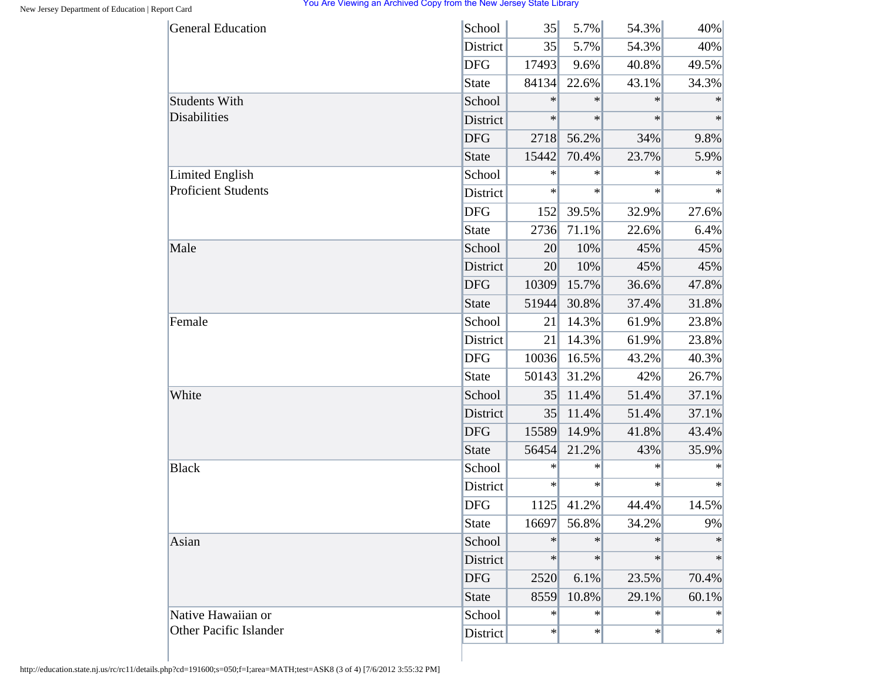| 35     | 5.7%   | 54.3%  | 40%    |
|--------|--------|--------|--------|
| 35     | 5.7%   | 54.3%  | 40%    |
| 17493  | 9.6%   | 40.8%  | 49.5%  |
| 84134  | 22.6%  | 43.1%  | 34.3%  |
| $\ast$ | $\ast$ | $\ast$ | $\ast$ |
| $\ast$ | $\ast$ | $\ast$ | $\ast$ |
| 2718   | 56.2%  | 34%    | 9.8%   |
| 15442  | 70.4%  | 23.7%  | 5.9%   |
| $\ast$ | $\ast$ | $\ast$ | $\ast$ |
| $\ast$ | $\ast$ | $\ast$ | $\ast$ |
| 152    | 39.5%  | 32.9%  | 27.6%  |
| 2736   | 71.1%  | 22.6%  | 6.4%   |
| 20     | 10%    | 45%    | 45%    |
| 20     | 10%    | 45%    | 45%    |
| 10309  | 15.7%  | 36.6%  | 47.8%  |
| 51944  | 30.8%  | 37.4%  | 31.8%  |
| 21     | 14.3%  | 61.9%  | 23.8%  |
| 21     | 14.3%  | 61.9%  | 23.8%  |
| 10036  | 16.5%  | 43.2%  | 40.3%  |
| 50143  | 31.2%  | 42%    | 26.7%  |
| 35     | 11.4%  | 51.4%  | 37.1%  |
| 35     | 11.4%  | 51.4%  | 37.1%  |
| 15589  | 14.9%  | 41.8%  | 43.4%  |
| 56454  | 21.2%  | 43%    | 35.9%  |
| $\ast$ | $\ast$ | $\ast$ | ∗      |
| $\ast$ | $\ast$ | $\ast$ | $\ast$ |
| 1125   | 41.2%  | 44.4%  | 14.5%  |
| 16697  | 56.8%  | 34.2%  | 9%     |
| $\ast$ | $\ast$ | $\ast$ | $\ast$ |
| $\ast$ | $\ast$ | $\ast$ | $\ast$ |
| 2520   | 6.1%   | 23.5%  | 70.4%  |
| 8559   | 10.8%  | 29.1%  | 60.1%  |
| $\ast$ | $\ast$ | $\ast$ | $\ast$ |
| $\ast$ |        | $\ast$ | $\ast$ |
|        |        |        | $\ast$ |

http://education.state.nj.us/rc/rc11/details.php?cd=191600;s=050;f=I;area=MATH;test=ASK8 (3 of 4) [7/6/2012 3:55:32 PM]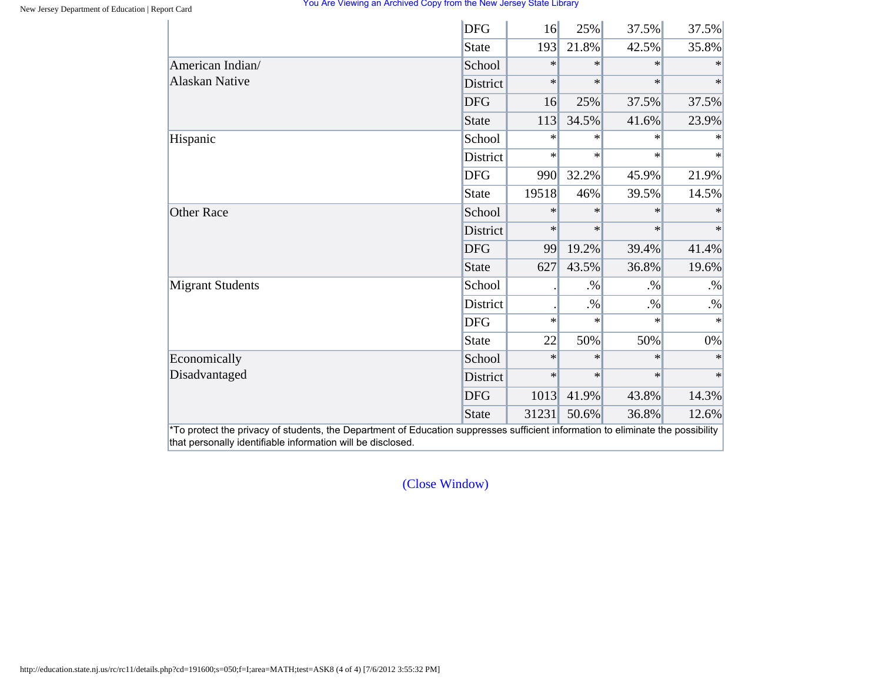|                         | <b>DFG</b>      | 16     | 25%    | 37.5%  | 37.5%  |
|-------------------------|-----------------|--------|--------|--------|--------|
|                         | State           | 193    | 21.8%  | 42.5%  | 35.8%  |
| American Indian/        | School          | $\ast$ | $\ast$ | $\ast$ |        |
| <b>Alaskan Native</b>   | <b>District</b> | $\ast$ | $\ast$ | $\ast$ | $\ast$ |
|                         | <b>DFG</b>      | 16     | 25%    | 37.5%  | 37.5%  |
|                         | State           | 113    | 34.5%  | 41.6%  | 23.9%  |
| Hispanic                | School          | $\ast$ | $\ast$ | $\ast$ | $\ast$ |
|                         | District        | $\ast$ | $\ast$ | $\ast$ | $\ast$ |
|                         | <b>DFG</b>      | 990    | 32.2%  | 45.9%  | 21.9%  |
|                         | State           | 19518  | 46%    | 39.5%  | 14.5%  |
| <b>Other Race</b>       | School          | $\ast$ | $\ast$ | $\ast$ |        |
|                         | <b>District</b> | $\ast$ | $\ast$ | $\ast$ | $\ast$ |
|                         | <b>DFG</b>      | 99     | 19.2%  | 39.4%  | 41.4%  |
|                         | State           | 627    | 43.5%  | 36.8%  | 19.6%  |
| <b>Migrant Students</b> | School          |        | $. \%$ | $. \%$ | $. \%$ |
|                         | District        |        | $. \%$ | $. \%$ | $. \%$ |
|                         | <b>DFG</b>      | $\ast$ | $\ast$ | $\ast$ | $\ast$ |
|                         | State           | 22     | 50%    | 50%    | 0%     |
| Economically            | School          | $\ast$ | $\ast$ | $\ast$ | $\ast$ |
| Disadvantaged           | District        | $\ast$ | $\ast$ | $\ast$ | $\ast$ |
|                         | <b>DFG</b>      | 1013   | 41.9%  | 43.8%  | 14.3%  |
|                         | State           | 31231  | 50.6%  | 36.8%  | 12.6%  |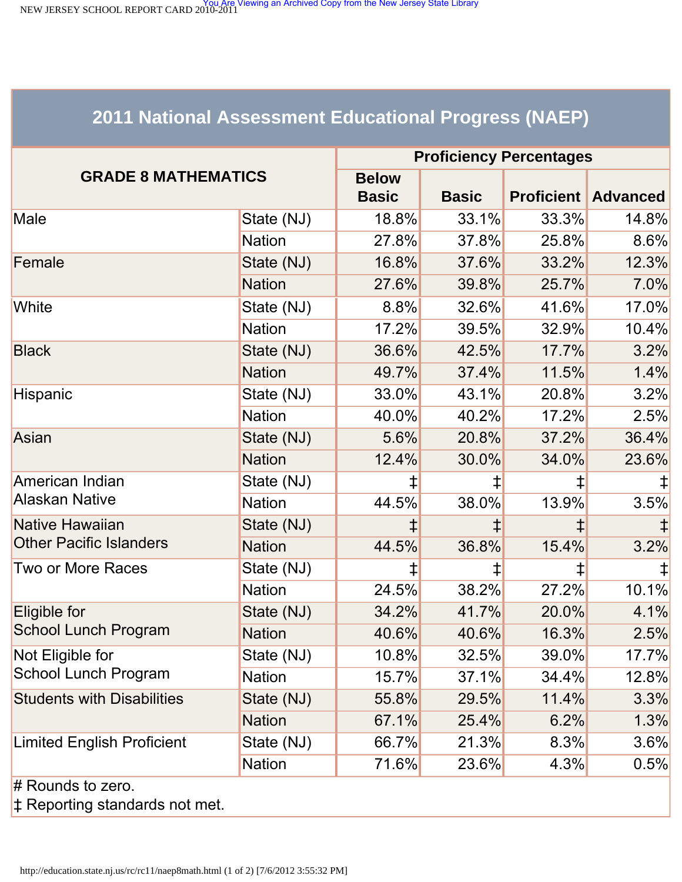<span id="page-69-0"></span>NEW JERSEY SCHOOL REPORT CARD 2010-2011<br>NEW JERSEY SCHOOL REPORT CARD 2010-2011

# **2011 National Assessment Educational Progress (NAEP)**

| <b>GRADE 8 MATHEMATICS</b>                      |               | <b>Proficiency Percentages</b> |              |       |                            |  |
|-------------------------------------------------|---------------|--------------------------------|--------------|-------|----------------------------|--|
|                                                 |               | <b>Below</b>                   |              |       |                            |  |
|                                                 |               | <b>Basic</b>                   | <b>Basic</b> |       | <b>Proficient Advanced</b> |  |
| Male                                            | State (NJ)    | 18.8%                          | 33.1%        | 33.3% | 14.8%                      |  |
|                                                 | <b>Nation</b> | 27.8%                          | 37.8%        | 25.8% | 8.6%                       |  |
| Female                                          | State (NJ)    | 16.8%                          | 37.6%        | 33.2% | 12.3%                      |  |
|                                                 | <b>Nation</b> | 27.6%                          | 39.8%        | 25.7% | 7.0%                       |  |
| White                                           | State (NJ)    | $8.8\%$                        | 32.6%        | 41.6% | 17.0%                      |  |
|                                                 | <b>Nation</b> | 17.2%                          | 39.5%        | 32.9% | 10.4%                      |  |
| <b>Black</b>                                    | State (NJ)    | 36.6%                          | 42.5%        | 17.7% | 3.2%                       |  |
|                                                 | <b>Nation</b> | 49.7%                          | 37.4%        | 11.5% | 1.4%                       |  |
| Hispanic                                        | State (NJ)    | 33.0%                          | 43.1%        | 20.8% | 3.2%                       |  |
|                                                 | <b>Nation</b> | 40.0%                          | 40.2%        | 17.2% | 2.5%                       |  |
| Asian                                           | State (NJ)    | 5.6%                           | 20.8%        | 37.2% | 36.4%                      |  |
|                                                 | <b>Nation</b> | 12.4%                          | 30.0%        | 34.0% | 23.6%                      |  |
| American Indian                                 | State (NJ)    | ⇟                              | ŧ            | ‡     |                            |  |
| <b>Alaskan Native</b>                           | <b>Nation</b> | 44.5%                          | 38.0%        | 13.9% | 3.5%                       |  |
| <b>Native Hawaiian</b>                          | State (NJ)    |                                |              | ‡     |                            |  |
| <b>Other Pacific Islanders</b>                  | <b>Nation</b> | 44.5%                          | 36.8%        | 15.4% | 3.2%                       |  |
| <b>Two or More Races</b>                        | State (NJ)    | ⇟                              | ŧ            | ‡     |                            |  |
|                                                 | <b>Nation</b> | 24.5%                          | 38.2%        | 27.2% | 10.1%                      |  |
| Eligible for                                    | State (NJ)    | 34.2%                          | 41.7%        | 20.0% | 4.1%                       |  |
| <b>School Lunch Program</b>                     | <b>Nation</b> | 40.6%                          | 40.6%        | 16.3% | 2.5%                       |  |
| Not Eligible for<br><b>School Lunch Program</b> | State (NJ)    | 10.8%                          | 32.5%        | 39.0% | 17.7%                      |  |
|                                                 | <b>Nation</b> | 15.7%                          | 37.1%        | 34.4% | 12.8%                      |  |
| <b>Students with Disabilities</b>               | State (NJ)    | 55.8%                          | 29.5%        | 11.4% | 3.3%                       |  |
|                                                 | <b>Nation</b> | 67.1%                          | 25.4%        | 6.2%  | 1.3%                       |  |
| <b>Limited English Proficient</b>               | State (NJ)    | 66.7%                          | 21.3%        | 8.3%  | 3.6%                       |  |
|                                                 | <b>Nation</b> | 71.6%                          | 23.6%        | 4.3%  | 0.5%                       |  |
| $#$ Rounds to zero.                             |               |                                |              |       |                            |  |

‡ Reporting standards not met.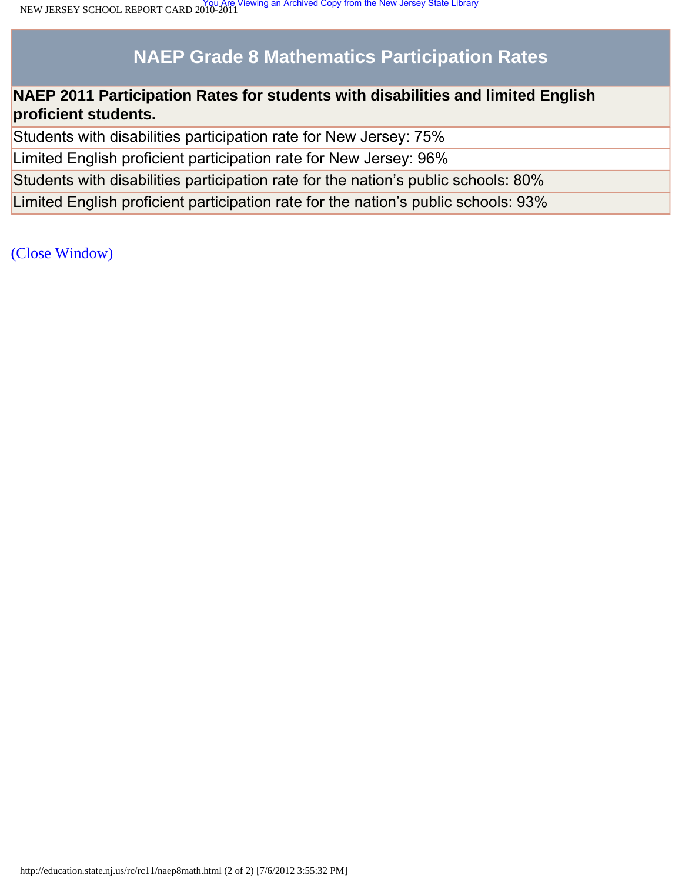# **NAEP Grade 8 Mathematics Participation Rates**

# **NAEP 2011 Participation Rates for students with disabilities and limited English proficient students.**

Students with disabilities participation rate for New Jersey: 75%

Limited English proficient participation rate for New Jersey: 96%

Students with disabilities participation rate for the nation's public schools: 80%

Limited English proficient participation rate for the nation's public schools: 93%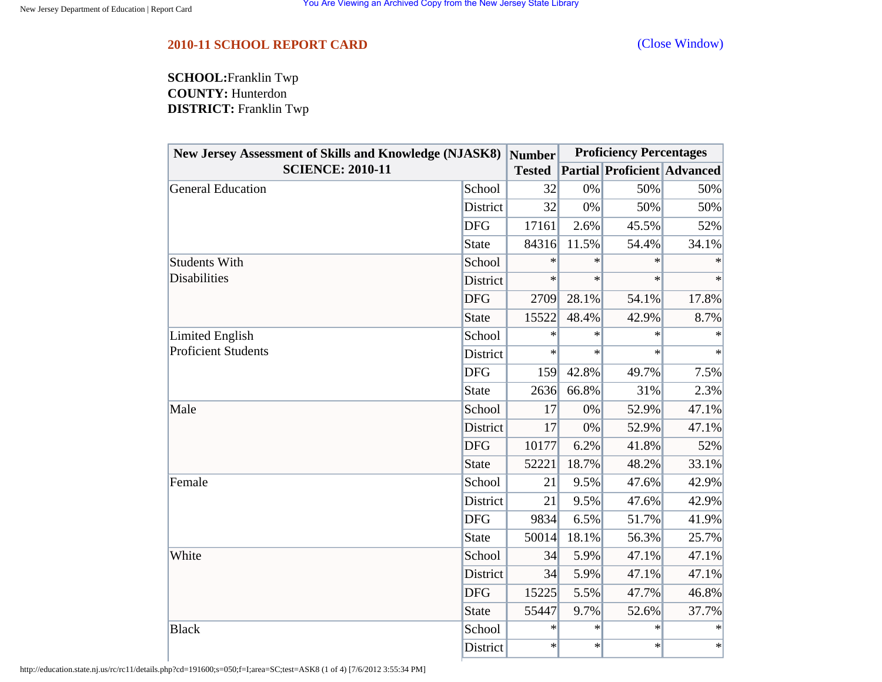<span id="page-71-0"></span>**SCHOOL:**Franklin Twp **COUNTY:** Hunterdon **DISTRICT:** Franklin Twp

| <b>New Jersey Assessment of Skills and Knowledge (NJASK8)</b><br><b>SCIENCE: 2010-11</b> |              | Number<br><b>Tested</b> | <b>Proficiency Percentages</b> |                                    |        |
|------------------------------------------------------------------------------------------|--------------|-------------------------|--------------------------------|------------------------------------|--------|
|                                                                                          |              |                         |                                | <b>Partial Proficient Advanced</b> |        |
| General Education                                                                        | School       | 32                      | 0%                             | 50%                                | 50%    |
|                                                                                          | District     | 32                      | 0%                             | 50%                                | 50%    |
|                                                                                          | <b>DFG</b>   | 17161                   | 2.6%                           | 45.5%                              | 52%    |
|                                                                                          | <b>State</b> | 84316                   | 11.5%                          | 54.4%                              | 34.1%  |
| <b>Students With</b><br><b>Disabilities</b>                                              | School       | $\ast$                  | $\ast$                         | ∗                                  | ∗      |
|                                                                                          | District     | $\ast$                  | $\ast$                         | $\ast$                             | $\ast$ |
|                                                                                          | <b>DFG</b>   | 2709                    | 28.1%                          | 54.1%                              | 17.8%  |
|                                                                                          | <b>State</b> | 15522                   | 48.4%                          | 42.9%                              | 8.7%   |
| Limited English<br><b>Proficient Students</b>                                            | School       | $\ast$                  | $\ast$                         | $\ast$                             | $\ast$ |
|                                                                                          | District     | $\ast$                  | $\ast$                         | $\ast$                             | $\ast$ |
|                                                                                          | <b>DFG</b>   | 159                     | 42.8%                          | 49.7%                              | 7.5%   |
|                                                                                          | <b>State</b> | 2636                    | 66.8%                          | 31%                                | 2.3%   |
| Male                                                                                     | School       | 17                      | 0%                             | 52.9%                              | 47.1%  |
|                                                                                          | District     | 17                      | 0%                             | 52.9%                              | 47.1%  |
|                                                                                          | <b>DFG</b>   | 10177                   | 6.2%                           | 41.8%                              | 52%    |
|                                                                                          | <b>State</b> | 52221                   | 18.7%                          | 48.2%                              | 33.1%  |
| Female                                                                                   | School       | 21                      | 9.5%                           | 47.6%                              | 42.9%  |
|                                                                                          | District     | 21                      | 9.5%                           | 47.6%                              | 42.9%  |
|                                                                                          | <b>DFG</b>   | 9834                    | 6.5%                           | 51.7%                              | 41.9%  |
|                                                                                          | <b>State</b> | 50014                   | 18.1%                          | 56.3%                              | 25.7%  |
| White                                                                                    | School       | 34                      | 5.9%                           | 47.1%                              | 47.1%  |
|                                                                                          | District     | 34                      | 5.9%                           | 47.1%                              | 47.1%  |
|                                                                                          | <b>DFG</b>   | 15225                   | 5.5%                           | 47.7%                              | 46.8%  |
|                                                                                          | <b>State</b> | 55447                   | 9.7%                           | 52.6%                              | 37.7%  |
| <b>Black</b>                                                                             | School       | ∗                       | $\ast$                         | $\ast$                             | $\ast$ |
|                                                                                          | District     | $\ast$                  | $\ast$                         | $\ast$                             | $\ast$ |

http://education.state.nj.us/rc/rc11/details.php?cd=191600;s=050;f=I;area=SC;test=ASK8 (1 of 4) [7/6/2012 3:55:34 PM]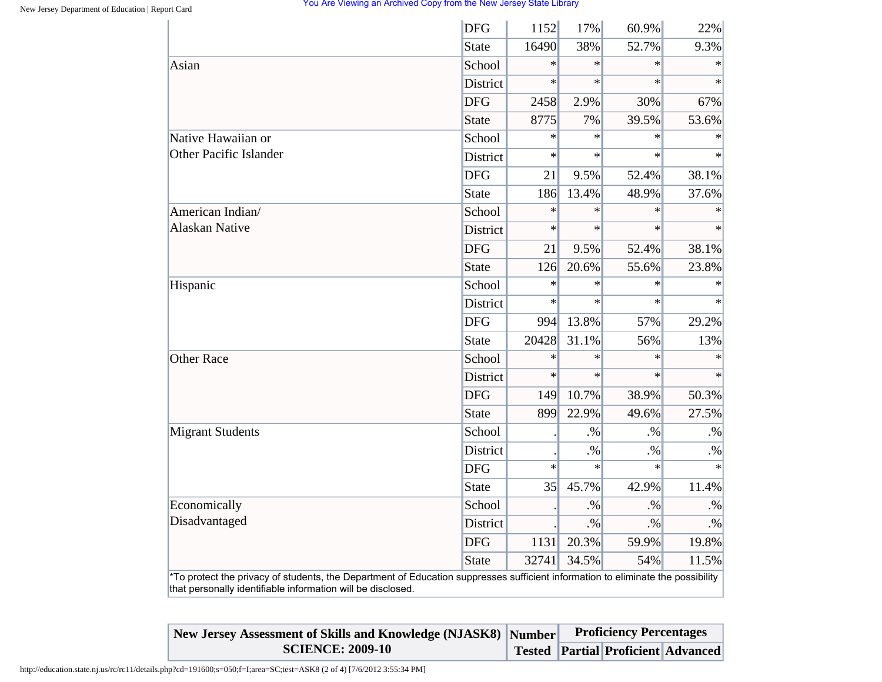## You Are Viewing an Archived Copy from the New Jersey State Library

|                         | <b>DFG</b>      | 1152   | 17%    | 60.9%  | 22%       |
|-------------------------|-----------------|--------|--------|--------|-----------|
|                         | <b>State</b>    | 16490  | 38%    | 52.7%  | 9.3%      |
| Asian                   | School          | $\ast$ | $\ast$ | $\ast$ | $\ast$    |
|                         | <b>District</b> | $\ast$ | $\ast$ | $\ast$ | $\ast$    |
|                         | <b>DFG</b>      | 2458   | 2.9%   | 30%    | 67%       |
|                         | <b>State</b>    | 8775   | 7%     | 39.5%  | 53.6%     |
| Native Hawaiian or      | School          | $\ast$ | $\ast$ | $\ast$ | $\ast$    |
| Other Pacific Islander  | District        | $\ast$ | $\ast$ | $\ast$ | $\ast$    |
|                         | <b>DFG</b>      | 21     | 9.5%   | 52.4%  | 38.1%     |
|                         | <b>State</b>    | 186    | 13.4%  | 48.9%  | 37.6%     |
| American Indian/        | School          | $\ast$ | $\ast$ | $\ast$ |           |
| <b>Alaskan Native</b>   | District        | $\ast$ | $\ast$ | $\ast$ | $\ast$    |
|                         | <b>DFG</b>      | 21     | 9.5%   | 52.4%  | 38.1%     |
|                         | <b>State</b>    | 126    | 20.6%  | 55.6%  | 23.8%     |
| Hispanic                | School          | $\ast$ | $\ast$ | $\ast$ | $\ast$    |
|                         | <b>District</b> | $\ast$ | $\ast$ | $\ast$ | $\ast$    |
|                         | <b>DFG</b>      | 994    | 13.8%  | 57%    | 29.2%     |
|                         | <b>State</b>    | 20428  | 31.1%  | 56%    | 13%       |
| <b>Other Race</b>       | School          | $\ast$ | $\ast$ | $\ast$ | $\ast$    |
|                         | <b>District</b> | $\ast$ | $\ast$ | $\ast$ | $\ast$    |
|                         | <b>DFG</b>      | 149    | 10.7%  | 38.9%  | 50.3%     |
|                         | <b>State</b>    | 899    | 22.9%  | 49.6%  | 27.5%     |
| <b>Migrant Students</b> | School          |        | $. \%$ | $. \%$ | $. \%$    |
|                         | District        |        | $. \%$ | $. \%$ | $. \%$    |
|                         | <b>DFG</b>      | $\ast$ | $\ast$ | $\ast$ | $\ast$    |
|                         | <b>State</b>    | 35     | 45.7%  | 42.9%  | 11.4%     |
| Economically            | School          |        | $. \%$ | $. \%$ | $. \%$    |
| Disadvantaged           | District        |        | $. \%$ | $. \%$ | $\cdot\%$ |
|                         | <b>DFG</b>      | 1131   | 20.3%  | 59.9%  | 19.8%     |
|                         | <b>State</b>    | 32741  | 34.5%  | 54%    | 11.5%     |

| New Jersey Assessment of Skills and Knowledge (NJASK8) Number |  | <b>Proficiency Percentages</b>            |  |  |
|---------------------------------------------------------------|--|-------------------------------------------|--|--|
| <b>SCIENCE: 2009-10</b>                                       |  | <b>Tested Partial Proficient Advanced</b> |  |  |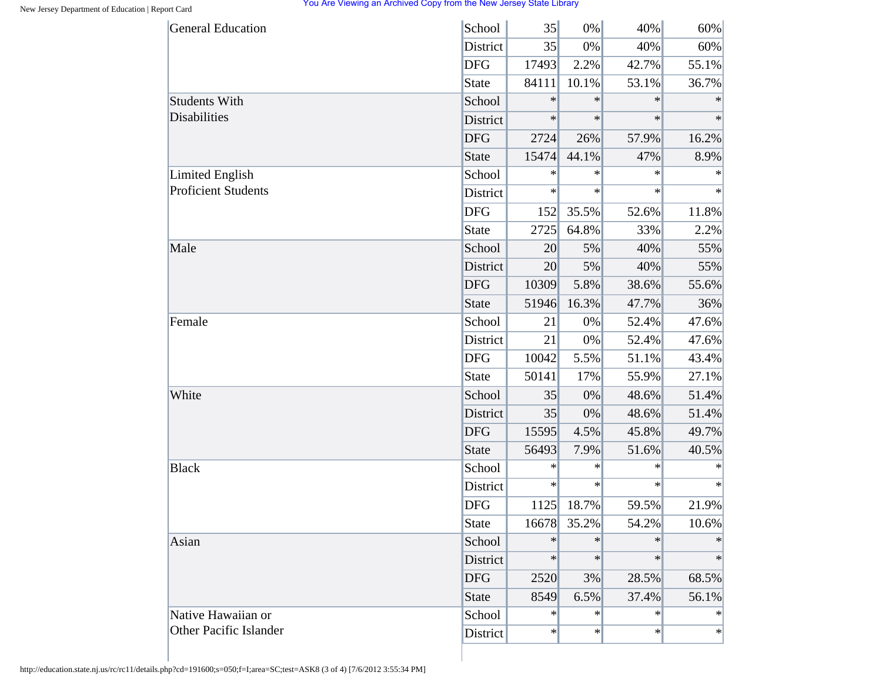## You Are Viewing an Archived Copy from the New Jersey State Library

| <b>General Education</b>                             | School          | 35     | 0%     | 40%    | 60%    |
|------------------------------------------------------|-----------------|--------|--------|--------|--------|
|                                                      | District        | 35     | 0%     | 40%    | 60%    |
|                                                      | <b>DFG</b>      | 17493  | 2.2%   | 42.7%  | 55.1%  |
|                                                      | State           | 84111  | 10.1%  | 53.1%  | 36.7%  |
| <b>Students With</b>                                 | School          | $\ast$ | $\ast$ | $\ast$ | $\ast$ |
| <b>Disabilities</b>                                  | District        | $\ast$ | $\ast$ | $\ast$ | $\ast$ |
|                                                      | <b>DFG</b>      | 2724   | 26%    | 57.9%  | 16.2%  |
|                                                      | <b>State</b>    | 15474  | 44.1%  | 47%    | 8.9%   |
| <b>Limited English</b><br><b>Proficient Students</b> | School          | $\ast$ | $\ast$ | $\ast$ | $\ast$ |
|                                                      | District        | $\ast$ | $\ast$ | $\ast$ | $\ast$ |
|                                                      | <b>DFG</b>      | 152    | 35.5%  | 52.6%  | 11.8%  |
|                                                      | <b>State</b>    | 2725   | 64.8%  | 33%    | 2.2%   |
| Male                                                 | School          | 20     | 5%     | 40%    | 55%    |
|                                                      | <b>District</b> | 20     | 5%     | 40%    | 55%    |
|                                                      | <b>DFG</b>      | 10309  | 5.8%   | 38.6%  | 55.6%  |
|                                                      | <b>State</b>    | 51946  | 16.3%  | 47.7%  | 36%    |
| Female                                               | School          | 21     | 0%     | 52.4%  | 47.6%  |
|                                                      | District        | 21     | 0%     | 52.4%  | 47.6%  |
|                                                      | <b>DFG</b>      | 10042  | 5.5%   | 51.1%  | 43.4%  |
|                                                      | <b>State</b>    | 50141  | 17%    | 55.9%  | 27.1%  |
| White                                                | School          | 35     | 0%     | 48.6%  | 51.4%  |
|                                                      | District        | 35     | 0%     | 48.6%  | 51.4%  |
|                                                      | <b>DFG</b>      | 15595  | 4.5%   | 45.8%  | 49.7%  |
|                                                      | <b>State</b>    | 56493  | 7.9%   | 51.6%  | 40.5%  |
| <b>Black</b>                                         | School          | $\ast$ | $\ast$ | $\ast$ | ∗      |
|                                                      | District        | $\ast$ | $\ast$ | $\ast$ | $\ast$ |
|                                                      | <b>DFG</b>      | 1125   | 18.7%  | 59.5%  | 21.9%  |
|                                                      | <b>State</b>    | 16678  | 35.2%  | 54.2%  | 10.6%  |
| Asian                                                | School          | $\ast$ | $\ast$ | $\ast$ | $\ast$ |
|                                                      | District        | $\ast$ | $\ast$ | $\ast$ | $\ast$ |
|                                                      | <b>DFG</b>      | 2520   | 3%     | 28.5%  | 68.5%  |
|                                                      | <b>State</b>    | 8549   | 6.5%   | 37.4%  | 56.1%  |
| Native Hawaiian or                                   | School          | $\ast$ | $\ast$ | $\ast$ | $\ast$ |
| <b>Other Pacific Islander</b>                        | District        | $\ast$ | $\ast$ | $\ast$ | $\ast$ |

http://education.state.nj.us/rc/rc11/details.php?cd=191600;s=050;f=I;area=SC;test=ASK8 (3 of 4) [7/6/2012 3:55:34 PM]